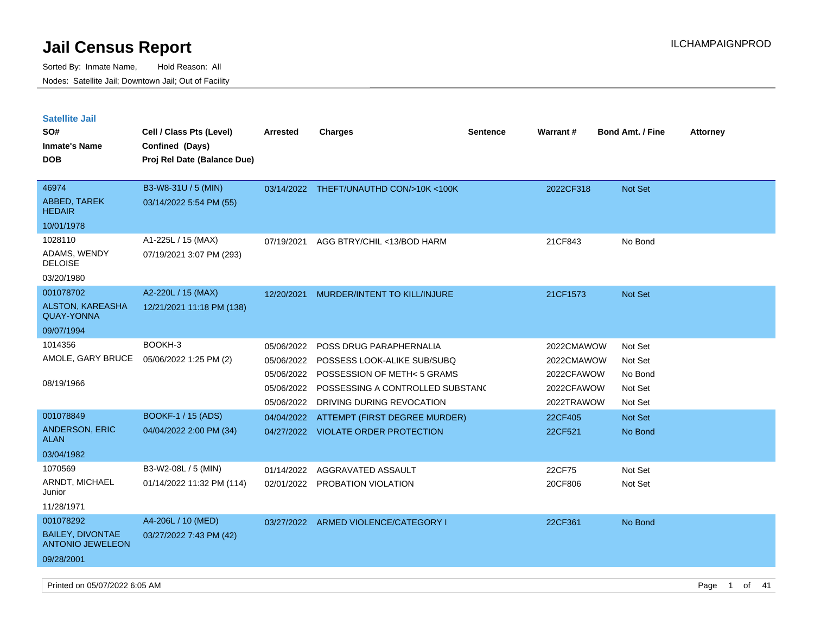Sorted By: Inmate Name, Hold Reason: All Nodes: Satellite Jail; Downtown Jail; Out of Facility

| <b>Satellite Jail</b>                              |                                   |                                                                    |                                                                                                                                                        |                 |                                                                    |                                                     |                 |
|----------------------------------------------------|-----------------------------------|--------------------------------------------------------------------|--------------------------------------------------------------------------------------------------------------------------------------------------------|-----------------|--------------------------------------------------------------------|-----------------------------------------------------|-----------------|
| SO#                                                | Cell / Class Pts (Level)          | <b>Arrested</b>                                                    | <b>Charges</b>                                                                                                                                         | <b>Sentence</b> | <b>Warrant#</b>                                                    | <b>Bond Amt. / Fine</b>                             | <b>Attorney</b> |
| <b>Inmate's Name</b>                               | Confined (Days)                   |                                                                    |                                                                                                                                                        |                 |                                                                    |                                                     |                 |
| <b>DOB</b>                                         | Proj Rel Date (Balance Due)       |                                                                    |                                                                                                                                                        |                 |                                                                    |                                                     |                 |
|                                                    |                                   |                                                                    |                                                                                                                                                        |                 |                                                                    |                                                     |                 |
| 46974                                              | B3-W8-31U / 5 (MIN)               |                                                                    | 03/14/2022 THEFT/UNAUTHD CON/>10K <100K                                                                                                                |                 | 2022CF318                                                          | <b>Not Set</b>                                      |                 |
| <b>ABBED, TAREK</b><br>HEDAIR                      | 03/14/2022 5:54 PM (55)           |                                                                    |                                                                                                                                                        |                 |                                                                    |                                                     |                 |
| 10/01/1978                                         |                                   |                                                                    |                                                                                                                                                        |                 |                                                                    |                                                     |                 |
| 1028110                                            | A1-225L / 15 (MAX)                | 07/19/2021                                                         | AGG BTRY/CHIL <13/BOD HARM                                                                                                                             |                 | 21CF843                                                            | No Bond                                             |                 |
| ADAMS, WENDY<br><b>DELOISE</b>                     | 07/19/2021 3:07 PM (293)          |                                                                    |                                                                                                                                                        |                 |                                                                    |                                                     |                 |
| 03/20/1980                                         |                                   |                                                                    |                                                                                                                                                        |                 |                                                                    |                                                     |                 |
| 001078702                                          | A2-220L / 15 (MAX)                | 12/20/2021                                                         | MURDER/INTENT TO KILL/INJURE                                                                                                                           |                 | 21CF1573                                                           | <b>Not Set</b>                                      |                 |
| <b>ALSTON, KAREASHA</b><br><b>QUAY-YONNA</b>       | 12/21/2021 11:18 PM (138)         |                                                                    |                                                                                                                                                        |                 |                                                                    |                                                     |                 |
| 09/07/1994                                         |                                   |                                                                    |                                                                                                                                                        |                 |                                                                    |                                                     |                 |
| 1014356<br>AMOLE, GARY BRUCE<br>08/19/1966         | BOOKH-3<br>05/06/2022 1:25 PM (2) | 05/06/2022<br>05/06/2022<br>05/06/2022<br>05/06/2022<br>05/06/2022 | POSS DRUG PARAPHERNALIA<br>POSSESS LOOK-ALIKE SUB/SUBQ<br>POSSESSION OF METH< 5 GRAMS<br>POSSESSING A CONTROLLED SUBSTAND<br>DRIVING DURING REVOCATION |                 | 2022CMAWOW<br>2022CMAWOW<br>2022CFAWOW<br>2022CFAWOW<br>2022TRAWOW | Not Set<br>Not Set<br>No Bond<br>Not Set<br>Not Set |                 |
| 001078849                                          | BOOKF-1 / 15 (ADS)                | 04/04/2022                                                         | ATTEMPT (FIRST DEGREE MURDER)                                                                                                                          |                 | 22CF405                                                            | <b>Not Set</b>                                      |                 |
| <b>ANDERSON, ERIC</b><br>ALAN                      | 04/04/2022 2:00 PM (34)           |                                                                    | 04/27/2022 VIOLATE ORDER PROTECTION                                                                                                                    |                 | 22CF521                                                            | No Bond                                             |                 |
| 03/04/1982                                         |                                   |                                                                    |                                                                                                                                                        |                 |                                                                    |                                                     |                 |
| 1070569                                            | B3-W2-08L / 5 (MIN)               | 01/14/2022                                                         | AGGRAVATED ASSAULT                                                                                                                                     |                 | 22CF75                                                             | Not Set                                             |                 |
| ARNDT, MICHAEL<br>Junior                           | 01/14/2022 11:32 PM (114)         | 02/01/2022                                                         | PROBATION VIOLATION                                                                                                                                    |                 | 20CF806                                                            | Not Set                                             |                 |
| 11/28/1971                                         |                                   |                                                                    |                                                                                                                                                        |                 |                                                                    |                                                     |                 |
| 001078292                                          | A4-206L / 10 (MED)                |                                                                    | 03/27/2022 ARMED VIOLENCE/CATEGORY I                                                                                                                   |                 | 22CF361                                                            | No Bond                                             |                 |
| <b>BAILEY, DIVONTAE</b><br><b>ANTONIO JEWELEON</b> | 03/27/2022 7:43 PM (42)           |                                                                    |                                                                                                                                                        |                 |                                                                    |                                                     |                 |
| 09/28/2001                                         |                                   |                                                                    |                                                                                                                                                        |                 |                                                                    |                                                     |                 |

Printed on 05/07/2022 6:05 AM **Page 1 of 41**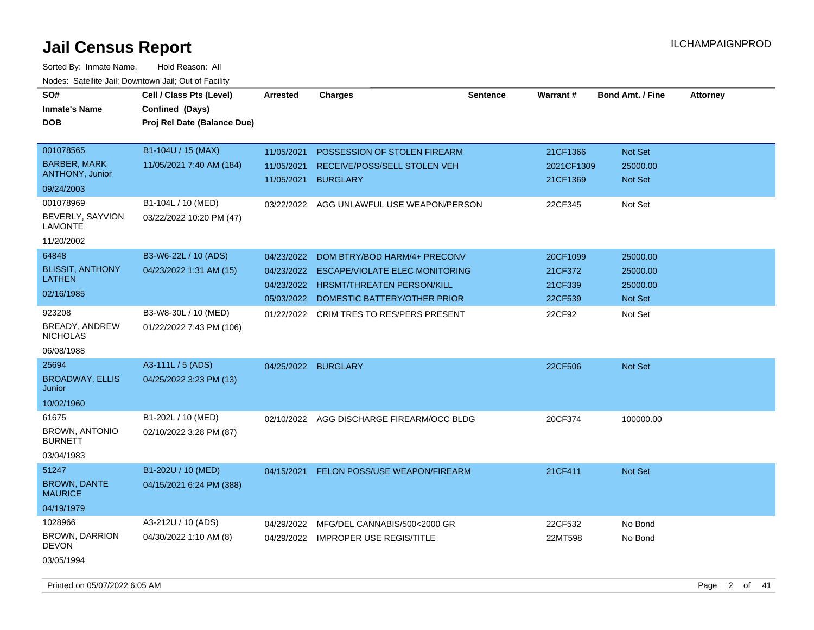| SO#<br><b>Inmate's Name</b><br>DOB               | Cell / Class Pts (Level)<br>Confined (Days)<br>Proj Rel Date (Balance Due) | <b>Arrested</b>     | <b>Charges</b>                            | <b>Sentence</b> | Warrant#   | <b>Bond Amt. / Fine</b> | <b>Attorney</b> |
|--------------------------------------------------|----------------------------------------------------------------------------|---------------------|-------------------------------------------|-----------------|------------|-------------------------|-----------------|
|                                                  |                                                                            |                     |                                           |                 |            |                         |                 |
| 001078565                                        | B1-104U / 15 (MAX)                                                         | 11/05/2021          | POSSESSION OF STOLEN FIREARM              |                 | 21CF1366   | Not Set                 |                 |
| <b>BARBER, MARK</b><br>ANTHONY, Junior           | 11/05/2021 7:40 AM (184)                                                   | 11/05/2021          | RECEIVE/POSS/SELL STOLEN VEH              |                 | 2021CF1309 | 25000.00                |                 |
| 09/24/2003                                       |                                                                            | 11/05/2021          | <b>BURGLARY</b>                           |                 | 21CF1369   | <b>Not Set</b>          |                 |
| 001078969                                        | B1-104L / 10 (MED)                                                         | 03/22/2022          | AGG UNLAWFUL USE WEAPON/PERSON            |                 | 22CF345    | Not Set                 |                 |
| BEVERLY, SAYVION<br><b>LAMONTE</b>               | 03/22/2022 10:20 PM (47)                                                   |                     |                                           |                 |            |                         |                 |
| 11/20/2002                                       |                                                                            |                     |                                           |                 |            |                         |                 |
| 64848                                            | B3-W6-22L / 10 (ADS)                                                       | 04/23/2022          | DOM BTRY/BOD HARM/4+ PRECONV              |                 | 20CF1099   | 25000.00                |                 |
| <b>BLISSIT, ANTHONY</b>                          | 04/23/2022 1:31 AM (15)                                                    | 04/23/2022          | <b>ESCAPE/VIOLATE ELEC MONITORING</b>     |                 | 21CF372    | 25000.00                |                 |
| <b>LATHEN</b>                                    |                                                                            | 04/23/2022          | <b>HRSMT/THREATEN PERSON/KILL</b>         |                 | 21CF339    | 25000.00                |                 |
| 02/16/1985                                       |                                                                            | 05/03/2022          | DOMESTIC BATTERY/OTHER PRIOR              |                 | 22CF539    | Not Set                 |                 |
| 923208                                           | B3-W8-30L / 10 (MED)                                                       |                     | 01/22/2022 CRIM TRES TO RES/PERS PRESENT  |                 | 22CF92     | Not Set                 |                 |
| BREADY, ANDREW<br><b>NICHOLAS</b>                | 01/22/2022 7:43 PM (106)                                                   |                     |                                           |                 |            |                         |                 |
| 06/08/1988                                       |                                                                            |                     |                                           |                 |            |                         |                 |
| 25694                                            | A3-111L / 5 (ADS)                                                          | 04/25/2022 BURGLARY |                                           |                 | 22CF506    | <b>Not Set</b>          |                 |
| <b>BROADWAY, ELLIS</b><br>Junior                 | 04/25/2022 3:23 PM (13)                                                    |                     |                                           |                 |            |                         |                 |
| 10/02/1960                                       |                                                                            |                     |                                           |                 |            |                         |                 |
| 61675<br><b>BROWN, ANTONIO</b><br><b>BURNETT</b> | B1-202L / 10 (MED)<br>02/10/2022 3:28 PM (87)                              |                     | 02/10/2022 AGG DISCHARGE FIREARM/OCC BLDG |                 | 20CF374    | 100000.00               |                 |
| 03/04/1983                                       |                                                                            |                     |                                           |                 |            |                         |                 |
| 51247                                            | B1-202U / 10 (MED)                                                         | 04/15/2021          | <b>FELON POSS/USE WEAPON/FIREARM</b>      |                 | 21CF411    | Not Set                 |                 |
| <b>BROWN, DANTE</b><br><b>MAURICE</b>            | 04/15/2021 6:24 PM (388)                                                   |                     |                                           |                 |            |                         |                 |
| 04/19/1979                                       |                                                                            |                     |                                           |                 |            |                         |                 |
| 1028966                                          | A3-212U / 10 (ADS)                                                         | 04/29/2022          | MFG/DEL CANNABIS/500<2000 GR              |                 | 22CF532    | No Bond                 |                 |
| <b>BROWN, DARRION</b><br><b>DEVON</b>            | 04/30/2022 1:10 AM (8)                                                     |                     | 04/29/2022 IMPROPER USE REGIS/TITLE       |                 | 22MT598    | No Bond                 |                 |
| 03/05/1994                                       |                                                                            |                     |                                           |                 |            |                         |                 |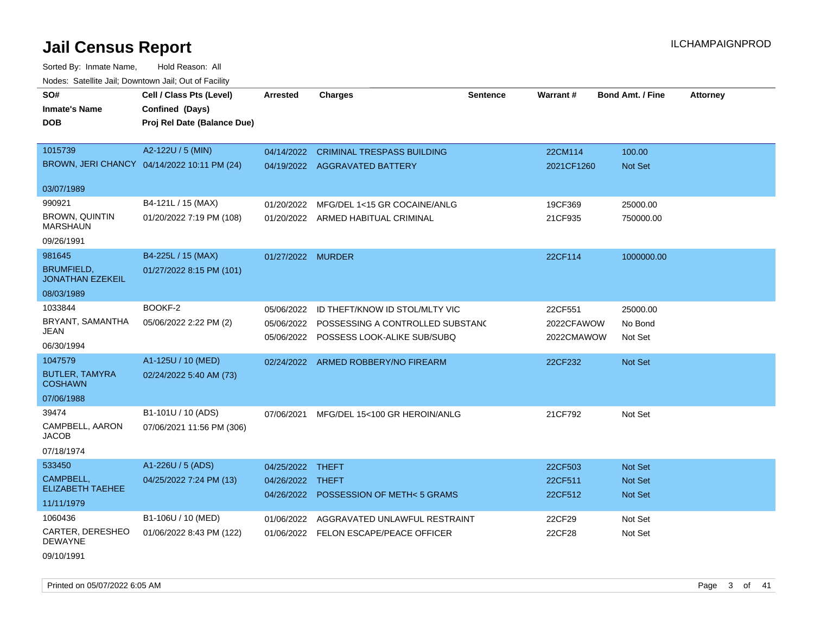Sorted By: Inmate Name, Hold Reason: All Nodes: Satellite Jail; Downtown Jail; Out of Facility

| SO#<br><b>Inmate's Name</b><br><b>DOB</b>    | Cell / Class Pts (Level)<br>Confined (Days)<br>Proj Rel Date (Balance Due) | <b>Arrested</b>   | <b>Charges</b>                                                     | <b>Sentence</b> | <b>Warrant#</b>       | <b>Bond Amt. / Fine</b>   | <b>Attorney</b> |
|----------------------------------------------|----------------------------------------------------------------------------|-------------------|--------------------------------------------------------------------|-----------------|-----------------------|---------------------------|-----------------|
| 1015739                                      | A2-122U / 5 (MIN)<br>BROWN, JERI CHANCY 04/14/2022 10:11 PM (24)           | 04/14/2022        | <b>CRIMINAL TRESPASS BUILDING</b><br>04/19/2022 AGGRAVATED BATTERY |                 | 22CM114<br>2021CF1260 | 100.00<br><b>Not Set</b>  |                 |
| 03/07/1989                                   |                                                                            |                   |                                                                    |                 |                       |                           |                 |
| 990921                                       | B4-121L / 15 (MAX)                                                         | 01/20/2022        | MFG/DEL 1<15 GR COCAINE/ANLG                                       |                 | 19CF369               | 25000.00                  |                 |
| <b>BROWN, QUINTIN</b><br><b>MARSHAUN</b>     | 01/20/2022 7:19 PM (108)                                                   |                   | 01/20/2022 ARMED HABITUAL CRIMINAL                                 |                 | 21CF935               | 750000.00                 |                 |
| 09/26/1991                                   |                                                                            |                   |                                                                    |                 |                       |                           |                 |
| 981645                                       | B4-225L / 15 (MAX)                                                         | 01/27/2022 MURDER |                                                                    |                 | 22CF114               | 1000000.00                |                 |
| <b>BRUMFIELD,</b><br><b>JONATHAN EZEKEIL</b> | 01/27/2022 8:15 PM (101)                                                   |                   |                                                                    |                 |                       |                           |                 |
| 08/03/1989                                   |                                                                            |                   |                                                                    |                 |                       |                           |                 |
| 1033844                                      | BOOKF-2                                                                    | 05/06/2022        | ID THEFT/KNOW ID STOL/MLTY VIC                                     |                 | 22CF551               | 25000.00                  |                 |
| BRYANT, SAMANTHA<br>JEAN                     | 05/06/2022 2:22 PM (2)                                                     | 05/06/2022        | POSSESSING A CONTROLLED SUBSTANO                                   |                 | 2022CFAWOW            | No Bond                   |                 |
| 06/30/1994                                   |                                                                            |                   | 05/06/2022 POSSESS LOOK-ALIKE SUB/SUBQ                             |                 | 2022CMAWOW            | Not Set                   |                 |
| 1047579                                      | A1-125U / 10 (MED)                                                         | 02/24/2022        | ARMED ROBBERY/NO FIREARM                                           |                 | 22CF232               | Not Set                   |                 |
| <b>BUTLER, TAMYRA</b><br><b>COSHAWN</b>      | 02/24/2022 5:40 AM (73)                                                    |                   |                                                                    |                 |                       |                           |                 |
| 07/06/1988                                   |                                                                            |                   |                                                                    |                 |                       |                           |                 |
| 39474                                        | B1-101U / 10 (ADS)                                                         | 07/06/2021        | MFG/DEL 15<100 GR HEROIN/ANLG                                      |                 | 21CF792               | Not Set                   |                 |
| CAMPBELL, AARON<br><b>JACOB</b>              | 07/06/2021 11:56 PM (306)                                                  |                   |                                                                    |                 |                       |                           |                 |
| 07/18/1974                                   |                                                                            |                   |                                                                    |                 |                       |                           |                 |
| 533450                                       | A1-226U / 5 (ADS)                                                          | 04/25/2022 THEFT  |                                                                    |                 | 22CF503               | <b>Not Set</b>            |                 |
| CAMPBELL,<br><b>ELIZABETH TAEHEE</b>         | 04/25/2022 7:24 PM (13)                                                    | 04/26/2022 THEFT  | 04/26/2022 POSSESSION OF METH< 5 GRAMS                             |                 | 22CF511<br>22CF512    | Not Set<br><b>Not Set</b> |                 |
| 11/11/1979                                   |                                                                            |                   |                                                                    |                 |                       |                           |                 |
| 1060436                                      | B1-106U / 10 (MED)                                                         | 01/06/2022        | AGGRAVATED UNLAWFUL RESTRAINT                                      |                 | 22CF29                | Not Set                   |                 |
| CARTER, DERESHEO<br><b>DEWAYNE</b>           | 01/06/2022 8:43 PM (122)                                                   |                   | 01/06/2022 FELON ESCAPE/PEACE OFFICER                              |                 | 22CF28                | Not Set                   |                 |
|                                              |                                                                            |                   |                                                                    |                 |                       |                           |                 |

09/10/1991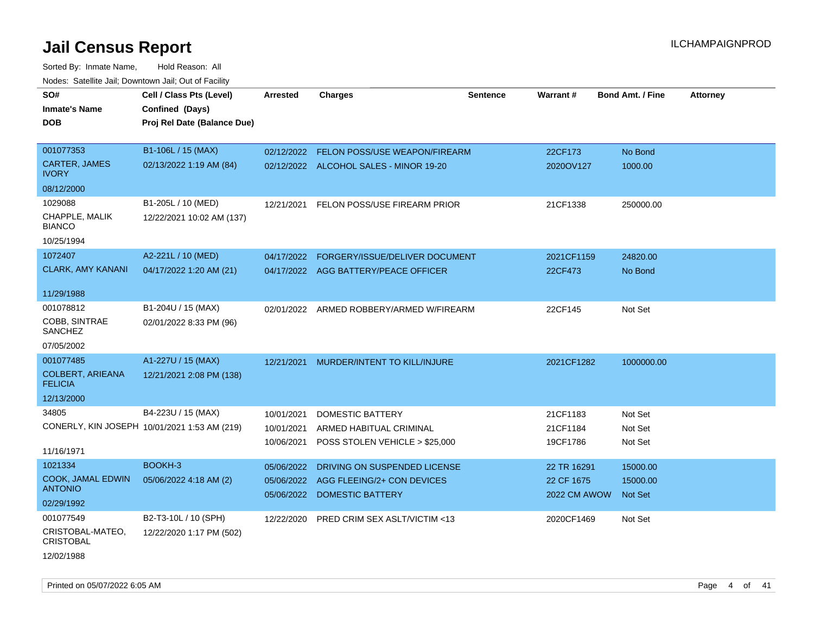Sorted By: Inmate Name, Hold Reason: All Nodes: Satellite Jail; Downtown Jail; Out of Facility

| SO#                                        | Cell / Class Pts (Level)                     | <b>Arrested</b>          | <b>Charges</b>                                 | <b>Sentence</b> | Warrant#                   | <b>Bond Amt. / Fine</b>    | <b>Attorney</b> |
|--------------------------------------------|----------------------------------------------|--------------------------|------------------------------------------------|-----------------|----------------------------|----------------------------|-----------------|
| <b>Inmate's Name</b>                       | Confined (Days)                              |                          |                                                |                 |                            |                            |                 |
| DOB                                        | Proj Rel Date (Balance Due)                  |                          |                                                |                 |                            |                            |                 |
|                                            |                                              |                          |                                                |                 |                            |                            |                 |
| 001077353                                  | B1-106L / 15 (MAX)                           | 02/12/2022               | FELON POSS/USE WEAPON/FIREARM                  |                 | 22CF173                    | No Bond                    |                 |
| <b>CARTER, JAMES</b><br><b>IVORY</b>       | 02/13/2022 1:19 AM (84)                      |                          | 02/12/2022 ALCOHOL SALES - MINOR 19-20         |                 | 2020OV127                  | 1000.00                    |                 |
| 08/12/2000                                 |                                              |                          |                                                |                 |                            |                            |                 |
| 1029088                                    | B1-205L / 10 (MED)                           |                          | 12/21/2021 FELON POSS/USE FIREARM PRIOR        |                 | 21CF1338                   | 250000.00                  |                 |
| CHAPPLE, MALIK<br><b>BIANCO</b>            | 12/22/2021 10:02 AM (137)                    |                          |                                                |                 |                            |                            |                 |
| 10/25/1994                                 |                                              |                          |                                                |                 |                            |                            |                 |
| 1072407                                    | A2-221L / 10 (MED)                           | 04/17/2022               | FORGERY/ISSUE/DELIVER DOCUMENT                 |                 | 2021CF1159                 | 24820.00                   |                 |
| <b>CLARK, AMY KANANI</b>                   | 04/17/2022 1:20 AM (21)                      |                          | 04/17/2022 AGG BATTERY/PEACE OFFICER           |                 | 22CF473                    | No Bond                    |                 |
|                                            |                                              |                          |                                                |                 |                            |                            |                 |
| 11/29/1988                                 |                                              |                          |                                                |                 |                            |                            |                 |
| 001078812                                  | B1-204U / 15 (MAX)                           |                          | 02/01/2022 ARMED ROBBERY/ARMED W/FIREARM       |                 | 22CF145                    | Not Set                    |                 |
| COBB, SINTRAE<br><b>SANCHEZ</b>            | 02/01/2022 8:33 PM (96)                      |                          |                                                |                 |                            |                            |                 |
| 07/05/2002                                 |                                              |                          |                                                |                 |                            |                            |                 |
| 001077485                                  | A1-227U / 15 (MAX)                           | 12/21/2021               | MURDER/INTENT TO KILL/INJURE                   |                 | 2021CF1282                 | 1000000.00                 |                 |
| <b>COLBERT, ARIEANA</b><br><b>FELICIA</b>  | 12/21/2021 2:08 PM (138)                     |                          |                                                |                 |                            |                            |                 |
| 12/13/2000                                 |                                              |                          |                                                |                 |                            |                            |                 |
| 34805                                      | B4-223U / 15 (MAX)                           | 10/01/2021               | <b>DOMESTIC BATTERY</b>                        |                 | 21CF1183                   | Not Set                    |                 |
|                                            | CONERLY, KIN JOSEPH 10/01/2021 1:53 AM (219) | 10/01/2021               | ARMED HABITUAL CRIMINAL                        |                 | 21CF1184                   | Not Set                    |                 |
|                                            |                                              | 10/06/2021               | POSS STOLEN VEHICLE > \$25,000                 |                 | 19CF1786                   | Not Set                    |                 |
| 11/16/1971                                 |                                              |                          |                                                |                 |                            |                            |                 |
| 1021334                                    | BOOKH-3                                      | 05/06/2022               | DRIVING ON SUSPENDED LICENSE                   |                 | 22 TR 16291                | 15000.00                   |                 |
| <b>COOK, JAMAL EDWIN</b><br><b>ANTONIO</b> | 05/06/2022 4:18 AM (2)                       | 05/06/2022<br>05/06/2022 | AGG FLEEING/2+ CON DEVICES<br>DOMESTIC BATTERY |                 | 22 CF 1675<br>2022 CM AWOW | 15000.00<br><b>Not Set</b> |                 |
| 02/29/1992                                 |                                              |                          |                                                |                 |                            |                            |                 |
| 001077549                                  | B2-T3-10L / 10 (SPH)                         | 12/22/2020               | PRED CRIM SEX ASLT/VICTIM <13                  |                 | 2020CF1469                 | Not Set                    |                 |
| CRISTOBAL-MATEO,<br><b>CRISTOBAL</b>       | 12/22/2020 1:17 PM (502)                     |                          |                                                |                 |                            |                            |                 |

12/02/1988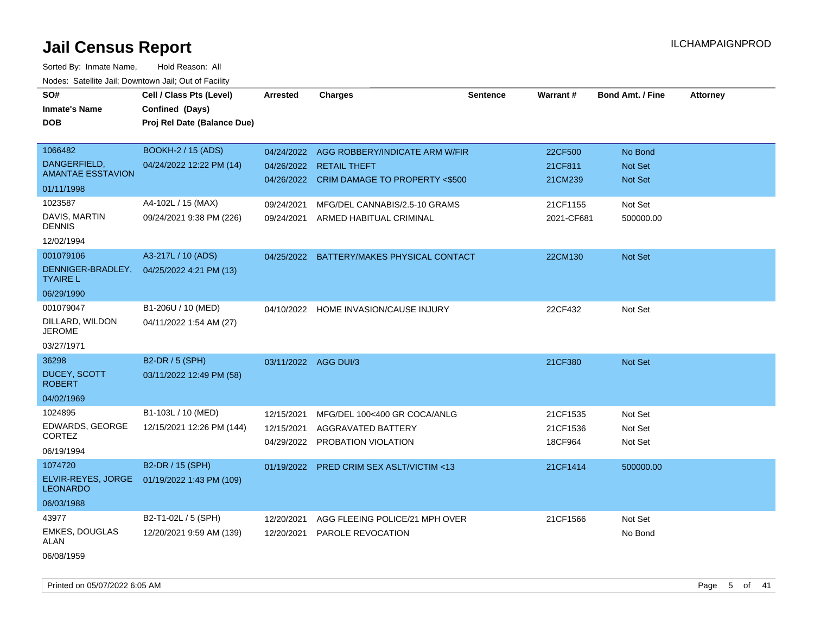Sorted By: Inmate Name, Hold Reason: All Nodes: Satellite Jail; Downtown Jail; Out of Facility

| SO#<br><b>Inmate's Name</b><br><b>DOB</b>                                    | Cell / Class Pts (Level)<br>Confined (Days)<br>Proj Rel Date (Balance Due)  | <b>Arrested</b>                        | <b>Charges</b>                                                                                                                                     | <b>Sentence</b> | <b>Warrant#</b>                           | <b>Bond Amt. / Fine</b>                         | <b>Attorney</b> |
|------------------------------------------------------------------------------|-----------------------------------------------------------------------------|----------------------------------------|----------------------------------------------------------------------------------------------------------------------------------------------------|-----------------|-------------------------------------------|-------------------------------------------------|-----------------|
| 1066482<br>DANGERFIELD,<br><b>AMANTAE ESSTAVION</b><br>01/11/1998<br>1023587 | <b>BOOKH-2 / 15 (ADS)</b><br>04/24/2022 12:22 PM (14)<br>A4-102L / 15 (MAX) | 09/24/2021                             | 04/24/2022 AGG ROBBERY/INDICATE ARM W/FIR<br>04/26/2022 RETAIL THEFT<br>04/26/2022 CRIM DAMAGE TO PROPERTY <\$500<br>MFG/DEL CANNABIS/2.5-10 GRAMS |                 | 22CF500<br>21CF811<br>21CM239<br>21CF1155 | No Bond<br><b>Not Set</b><br>Not Set<br>Not Set |                 |
| DAVIS, MARTIN<br><b>DENNIS</b><br>12/02/1994                                 | 09/24/2021 9:38 PM (226)                                                    | 09/24/2021                             | ARMED HABITUAL CRIMINAL                                                                                                                            |                 | 2021-CF681                                | 500000.00                                       |                 |
| 001079106<br>DENNIGER-BRADLEY,<br><b>TYAIRE L</b><br>06/29/1990              | A3-217L / 10 (ADS)<br>04/25/2022 4:21 PM (13)                               | 04/25/2022                             | BATTERY/MAKES PHYSICAL CONTACT                                                                                                                     |                 | 22CM130                                   | Not Set                                         |                 |
| 001079047<br>DILLARD, WILDON<br><b>JEROME</b><br>03/27/1971                  | B1-206U / 10 (MED)<br>04/11/2022 1:54 AM (27)                               | 04/10/2022                             | HOME INVASION/CAUSE INJURY                                                                                                                         |                 | 22CF432                                   | Not Set                                         |                 |
| 36298<br><b>DUCEY, SCOTT</b><br><b>ROBERT</b><br>04/02/1969                  | <b>B2-DR / 5 (SPH)</b><br>03/11/2022 12:49 PM (58)                          | 03/11/2022 AGG DUI/3                   |                                                                                                                                                    |                 | 21CF380                                   | <b>Not Set</b>                                  |                 |
| 1024895<br>EDWARDS, GEORGE<br><b>CORTEZ</b><br>06/19/1994                    | B1-103L / 10 (MED)<br>12/15/2021 12:26 PM (144)                             | 12/15/2021<br>12/15/2021<br>04/29/2022 | MFG/DEL 100<400 GR COCA/ANLG<br>AGGRAVATED BATTERY<br>PROBATION VIOLATION                                                                          |                 | 21CF1535<br>21CF1536<br>18CF964           | Not Set<br>Not Set<br>Not Set                   |                 |
| 1074720<br>ELVIR-REYES, JORGE<br><b>LEONARDO</b><br>06/03/1988               | B2-DR / 15 (SPH)<br>01/19/2022 1:43 PM (109)                                | 01/19/2022                             | <b>PRED CRIM SEX ASLT/VICTIM &lt;13</b>                                                                                                            |                 | 21CF1414                                  | 500000.00                                       |                 |
| 43977<br><b>EMKES, DOUGLAS</b><br>ALAN                                       | B2-T1-02L / 5 (SPH)<br>12/20/2021 9:59 AM (139)                             | 12/20/2021<br>12/20/2021               | AGG FLEEING POLICE/21 MPH OVER<br>PAROLE REVOCATION                                                                                                |                 | 21CF1566                                  | Not Set<br>No Bond                              |                 |

06/08/1959

Printed on 05/07/2022 6:05 AM Page 5 of 41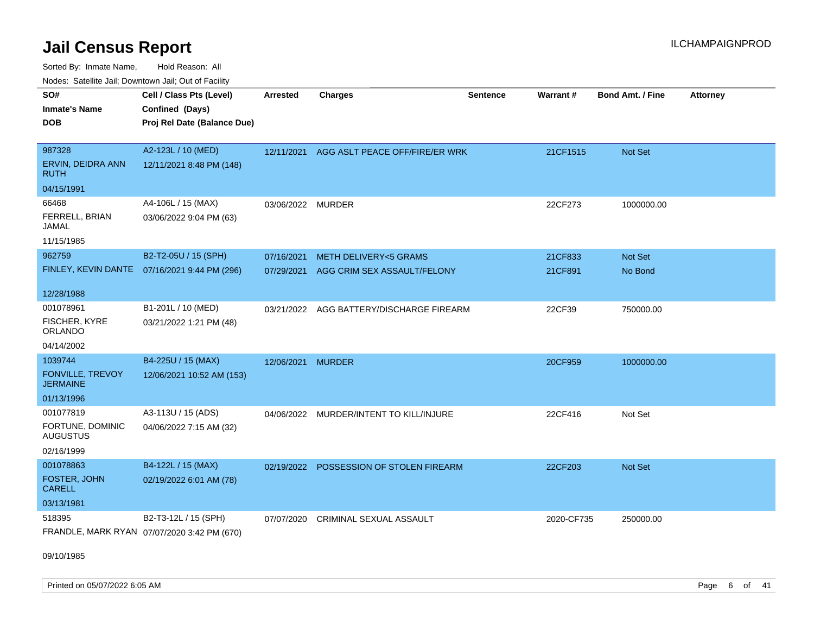Sorted By: Inmate Name, Hold Reason: All Nodes: Satellite Jail; Downtown Jail; Out of Facility

| vouss. Salente Jan, Downtown Jan, Out of Facility |                                              |                   |                                          |                 |            |                         |                 |
|---------------------------------------------------|----------------------------------------------|-------------------|------------------------------------------|-----------------|------------|-------------------------|-----------------|
| SO#                                               | Cell / Class Pts (Level)                     | <b>Arrested</b>   | <b>Charges</b>                           | <b>Sentence</b> | Warrant#   | <b>Bond Amt. / Fine</b> | <b>Attorney</b> |
| <b>Inmate's Name</b>                              | Confined (Days)                              |                   |                                          |                 |            |                         |                 |
| <b>DOB</b>                                        | Proj Rel Date (Balance Due)                  |                   |                                          |                 |            |                         |                 |
|                                                   |                                              |                   |                                          |                 |            |                         |                 |
| 987328                                            | A2-123L / 10 (MED)                           | 12/11/2021        | AGG ASLT PEACE OFF/FIRE/ER WRK           |                 | 21CF1515   | Not Set                 |                 |
| ERVIN, DEIDRA ANN<br><b>RUTH</b>                  | 12/11/2021 8:48 PM (148)                     |                   |                                          |                 |            |                         |                 |
| 04/15/1991                                        |                                              |                   |                                          |                 |            |                         |                 |
| 66468                                             | A4-106L / 15 (MAX)                           | 03/06/2022 MURDER |                                          |                 | 22CF273    | 1000000.00              |                 |
| FERRELL, BRIAN<br>JAMAL                           | 03/06/2022 9:04 PM (63)                      |                   |                                          |                 |            |                         |                 |
| 11/15/1985                                        |                                              |                   |                                          |                 |            |                         |                 |
| 962759                                            | B2-T2-05U / 15 (SPH)                         | 07/16/2021        | <b>METH DELIVERY&lt;5 GRAMS</b>          |                 | 21CF833    | Not Set                 |                 |
|                                                   | FINLEY, KEVIN DANTE 07/16/2021 9:44 PM (296) | 07/29/2021        | AGG CRIM SEX ASSAULT/FELONY              |                 | 21CF891    | No Bond                 |                 |
|                                                   |                                              |                   |                                          |                 |            |                         |                 |
| 12/28/1988                                        |                                              |                   |                                          |                 |            |                         |                 |
| 001078961                                         | B1-201L / 10 (MED)                           |                   | 03/21/2022 AGG BATTERY/DISCHARGE FIREARM |                 | 22CF39     | 750000.00               |                 |
| FISCHER, KYRE<br><b>ORLANDO</b>                   | 03/21/2022 1:21 PM (48)                      |                   |                                          |                 |            |                         |                 |
| 04/14/2002                                        |                                              |                   |                                          |                 |            |                         |                 |
| 1039744                                           | B4-225U / 15 (MAX)                           | 12/06/2021        | <b>MURDER</b>                            |                 | 20CF959    | 1000000.00              |                 |
| FONVILLE, TREVOY<br><b>JERMAINE</b>               | 12/06/2021 10:52 AM (153)                    |                   |                                          |                 |            |                         |                 |
| 01/13/1996                                        |                                              |                   |                                          |                 |            |                         |                 |
| 001077819                                         | A3-113U / 15 (ADS)                           |                   | 04/06/2022 MURDER/INTENT TO KILL/INJURE  |                 | 22CF416    | Not Set                 |                 |
| FORTUNE, DOMINIC<br><b>AUGUSTUS</b>               | 04/06/2022 7:15 AM (32)                      |                   |                                          |                 |            |                         |                 |
| 02/16/1999                                        |                                              |                   |                                          |                 |            |                         |                 |
| 001078863                                         | B4-122L / 15 (MAX)                           | 02/19/2022        | POSSESSION OF STOLEN FIREARM             |                 | 22CF203    | <b>Not Set</b>          |                 |
| <b>FOSTER, JOHN</b><br><b>CARELL</b>              | 02/19/2022 6:01 AM (78)                      |                   |                                          |                 |            |                         |                 |
| 03/13/1981                                        |                                              |                   |                                          |                 |            |                         |                 |
| 518395                                            | B2-T3-12L / 15 (SPH)                         | 07/07/2020        | <b>CRIMINAL SEXUAL ASSAULT</b>           |                 | 2020-CF735 | 250000.00               |                 |
|                                                   | FRANDLE, MARK RYAN 07/07/2020 3:42 PM (670)  |                   |                                          |                 |            |                         |                 |

09/10/1985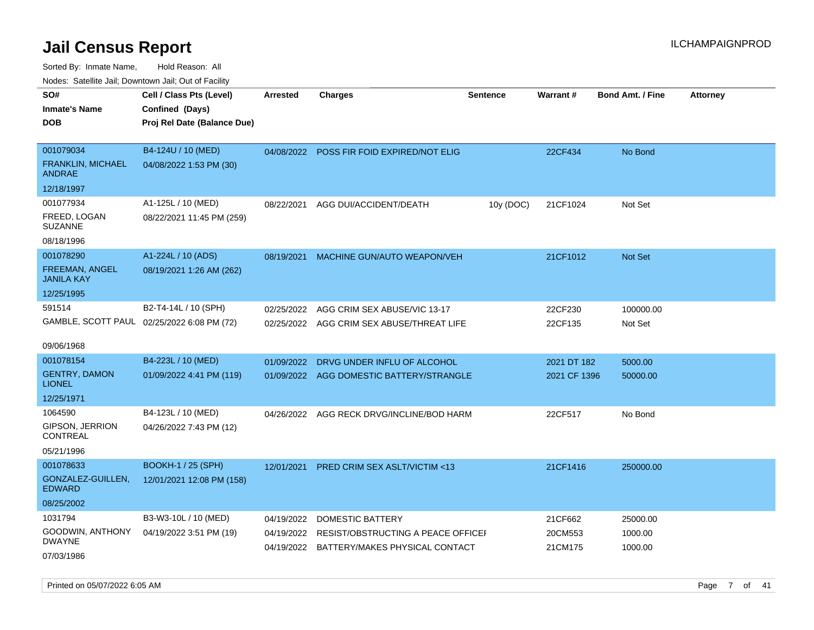Sorted By: Inmate Name, Hold Reason: All Nodes: Satellite Jail; Downtown Jail; Out of Facility

| soupois catomic can, Dominomii can, Cat or Faomt<br>SO#<br>Inmate's Name<br>DOB | Cell / Class Pts (Level)<br>Confined (Days)<br>Proj Rel Date (Balance Due) | <b>Arrested</b>          | <b>Charges</b>                                                 | <b>Sentence</b> | Warrant#           | <b>Bond Amt. / Fine</b> | <b>Attorney</b> |
|---------------------------------------------------------------------------------|----------------------------------------------------------------------------|--------------------------|----------------------------------------------------------------|-----------------|--------------------|-------------------------|-----------------|
| 001079034<br><b>FRANKLIN, MICHAEL</b><br>ANDRAE                                 | B4-124U / 10 (MED)<br>04/08/2022 1:53 PM (30)                              | 04/08/2022               | POSS FIR FOID EXPIRED/NOT ELIG                                 |                 | 22CF434            | No Bond                 |                 |
| 12/18/1997                                                                      |                                                                            |                          |                                                                |                 |                    |                         |                 |
| 001077934<br>FREED, LOGAN<br>SUZANNE                                            | A1-125L / 10 (MED)<br>08/22/2021 11:45 PM (259)                            | 08/22/2021               | AGG DUI/ACCIDENT/DEATH                                         | 10y (DOC)       | 21CF1024           | Not Set                 |                 |
| 08/18/1996                                                                      |                                                                            |                          |                                                                |                 |                    |                         |                 |
| 001078290<br>FREEMAN, ANGEL<br>JANILA KAY                                       | A1-224L / 10 (ADS)<br>08/19/2021 1:26 AM (262)                             | 08/19/2021               | MACHINE GUN/AUTO WEAPON/VEH                                    |                 | 21CF1012           | <b>Not Set</b>          |                 |
| 12/25/1995                                                                      |                                                                            |                          |                                                                |                 |                    |                         |                 |
| 591514<br>09/06/1968                                                            | B2-T4-14L / 10 (SPH)<br>GAMBLE, SCOTT PAUL 02/25/2022 6:08 PM (72)         | 02/25/2022<br>02/25/2022 | AGG CRIM SEX ABUSE/VIC 13-17<br>AGG CRIM SEX ABUSE/THREAT LIFE |                 | 22CF230<br>22CF135 | 100000.00<br>Not Set    |                 |
| 001078154                                                                       | B4-223L / 10 (MED)                                                         | 01/09/2022               | DRVG UNDER INFLU OF ALCOHOL                                    |                 | 2021 DT 182        | 5000.00                 |                 |
| <b>GENTRY, DAMON</b><br>LIONEL                                                  | 01/09/2022 4:41 PM (119)                                                   | 01/09/2022               | AGG DOMESTIC BATTERY/STRANGLE                                  |                 | 2021 CF 1396       | 50000.00                |                 |
| 12/25/1971                                                                      |                                                                            |                          |                                                                |                 |                    |                         |                 |
| 1064590<br><b>GIPSON, JERRION</b><br>CONTREAL<br>05/21/1996                     | B4-123L / 10 (MED)<br>04/26/2022 7:43 PM (12)                              | 04/26/2022               | AGG RECK DRVG/INCLINE/BOD HARM                                 |                 | 22CF517            | No Bond                 |                 |
| 001078633                                                                       | <b>BOOKH-1 / 25 (SPH)</b>                                                  | 12/01/2021               | <b>PRED CRIM SEX ASLT/VICTIM &lt;13</b>                        |                 | 21CF1416           | 250000.00               |                 |
| GONZALEZ-GUILLEN.<br>EDWARD                                                     | 12/01/2021 12:08 PM (158)                                                  |                          |                                                                |                 |                    |                         |                 |
| 08/25/2002                                                                      |                                                                            |                          |                                                                |                 |                    |                         |                 |
| 1031794                                                                         | B3-W3-10L / 10 (MED)                                                       | 04/19/2022               | DOMESTIC BATTERY                                               |                 | 21CF662            | 25000.00                |                 |
| GOODWIN, ANTHONY<br><b>DWAYNE</b>                                               | 04/19/2022 3:51 PM (19)                                                    | 04/19/2022               | RESIST/OBSTRUCTING A PEACE OFFICEF                             |                 | 20CM553            | 1000.00                 |                 |
| 07/03/1986                                                                      |                                                                            | 04/19/2022               | BATTERY/MAKES PHYSICAL CONTACT                                 |                 | 21CM175            | 1000.00                 |                 |

Printed on 05/07/2022 6:05 AM Page 7 of 41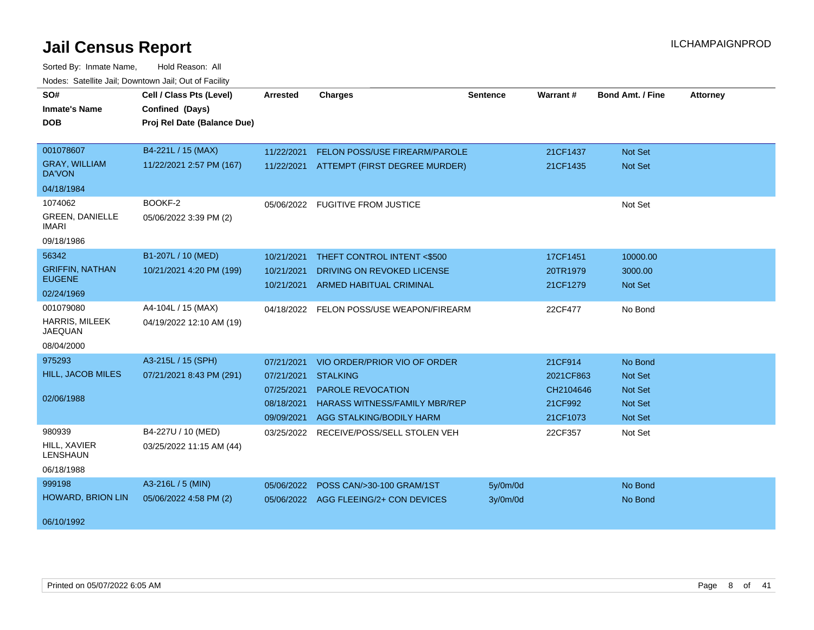| SO#<br><b>Inmate's Name</b><br><b>DOB</b>                          | Cell / Class Pts (Level)<br>Confined (Days)<br>Proj Rel Date (Balance Due) | <b>Arrested</b>                                                    | <b>Charges</b>                                                                                                                                  | Sentence             | <b>Warrant#</b>                                          | <b>Bond Amt. / Fine</b>                                           | <b>Attorney</b> |
|--------------------------------------------------------------------|----------------------------------------------------------------------------|--------------------------------------------------------------------|-------------------------------------------------------------------------------------------------------------------------------------------------|----------------------|----------------------------------------------------------|-------------------------------------------------------------------|-----------------|
| 001078607<br><b>GRAY, WILLIAM</b><br><b>DA'VON</b><br>04/18/1984   | B4-221L / 15 (MAX)<br>11/22/2021 2:57 PM (167)                             | 11/22/2021<br>11/22/2021                                           | FELON POSS/USE FIREARM/PAROLE<br>ATTEMPT (FIRST DEGREE MURDER)                                                                                  |                      | 21CF1437<br>21CF1435                                     | <b>Not Set</b><br>Not Set                                         |                 |
| 1074062<br><b>GREEN, DANIELLE</b><br><b>IMARI</b><br>09/18/1986    | BOOKF-2<br>05/06/2022 3:39 PM (2)                                          |                                                                    | 05/06/2022 FUGITIVE FROM JUSTICE                                                                                                                |                      |                                                          | Not Set                                                           |                 |
| 56342<br><b>GRIFFIN, NATHAN</b><br><b>EUGENE</b><br>02/24/1969     | B1-207L / 10 (MED)<br>10/21/2021 4:20 PM (199)                             | 10/21/2021<br>10/21/2021<br>10/21/2021                             | THEFT CONTROL INTENT <\$500<br>DRIVING ON REVOKED LICENSE<br><b>ARMED HABITUAL CRIMINAL</b>                                                     |                      | 17CF1451<br>20TR1979<br>21CF1279                         | 10000.00<br>3000.00<br><b>Not Set</b>                             |                 |
| 001079080<br><b>HARRIS, MILEEK</b><br><b>JAEQUAN</b><br>08/04/2000 | A4-104L / 15 (MAX)<br>04/19/2022 12:10 AM (19)                             | 04/18/2022                                                         | FELON POSS/USE WEAPON/FIREARM                                                                                                                   |                      | 22CF477                                                  | No Bond                                                           |                 |
| 975293<br>HILL, JACOB MILES<br>02/06/1988                          | A3-215L / 15 (SPH)<br>07/21/2021 8:43 PM (291)                             | 07/21/2021<br>07/21/2021<br>07/25/2021<br>08/18/2021<br>09/09/2021 | VIO ORDER/PRIOR VIO OF ORDER<br><b>STALKING</b><br><b>PAROLE REVOCATION</b><br><b>HARASS WITNESS/FAMILY MBR/REP</b><br>AGG STALKING/BODILY HARM |                      | 21CF914<br>2021CF863<br>CH2104646<br>21CF992<br>21CF1073 | No Bond<br>Not Set<br>Not Set<br><b>Not Set</b><br><b>Not Set</b> |                 |
| 980939<br>HILL, XAVIER<br><b>LENSHAUN</b><br>06/18/1988            | B4-227U / 10 (MED)<br>03/25/2022 11:15 AM (44)                             | 03/25/2022                                                         | RECEIVE/POSS/SELL STOLEN VEH                                                                                                                    |                      | 22CF357                                                  | Not Set                                                           |                 |
| 999198<br><b>HOWARD, BRION LIN</b><br>06/10/1992                   | A3-216L / 5 (MIN)<br>05/06/2022 4:58 PM (2)                                | 05/06/2022                                                         | POSS CAN/>30-100 GRAM/1ST<br>05/06/2022 AGG FLEEING/2+ CON DEVICES                                                                              | 5y/0m/0d<br>3y/0m/0d |                                                          | No Bond<br>No Bond                                                |                 |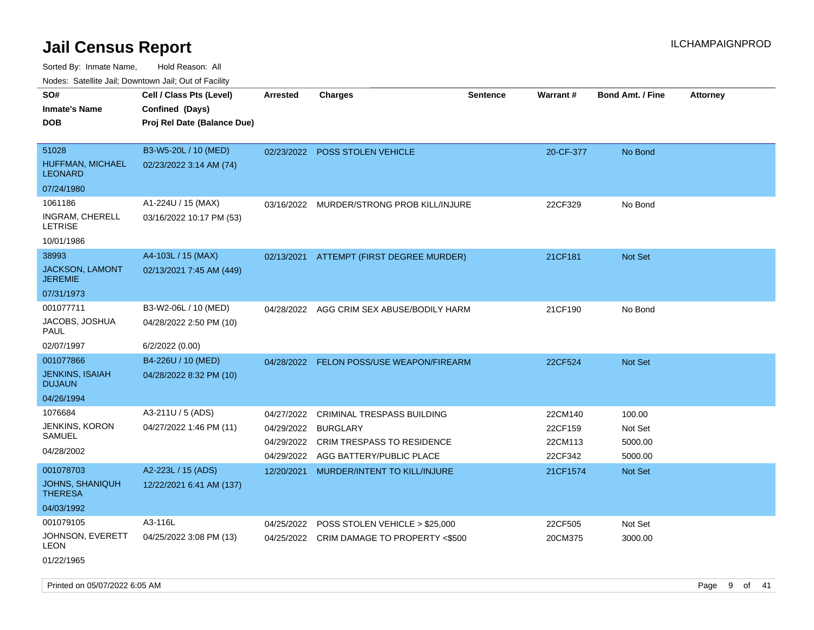| roaco. Oatomto dan, Downtown dan, Oat or Fability |                             |                 |                                           |                 |           |                         |                 |
|---------------------------------------------------|-----------------------------|-----------------|-------------------------------------------|-----------------|-----------|-------------------------|-----------------|
| SO#                                               | Cell / Class Pts (Level)    | <b>Arrested</b> | <b>Charges</b>                            | <b>Sentence</b> | Warrant#  | <b>Bond Amt. / Fine</b> | <b>Attorney</b> |
| <b>Inmate's Name</b>                              | Confined (Days)             |                 |                                           |                 |           |                         |                 |
| <b>DOB</b>                                        | Proj Rel Date (Balance Due) |                 |                                           |                 |           |                         |                 |
|                                                   |                             |                 |                                           |                 |           |                         |                 |
| 51028                                             | B3-W5-20L / 10 (MED)        |                 | 02/23/2022 POSS STOLEN VEHICLE            |                 | 20-CF-377 | No Bond                 |                 |
| HUFFMAN, MICHAEL<br><b>LEONARD</b>                | 02/23/2022 3:14 AM (74)     |                 |                                           |                 |           |                         |                 |
| 07/24/1980                                        |                             |                 |                                           |                 |           |                         |                 |
| 1061186                                           | A1-224U / 15 (MAX)          | 03/16/2022      | MURDER/STRONG PROB KILL/INJURE            |                 | 22CF329   | No Bond                 |                 |
| INGRAM, CHERELL<br><b>LETRISE</b>                 | 03/16/2022 10:17 PM (53)    |                 |                                           |                 |           |                         |                 |
| 10/01/1986                                        |                             |                 |                                           |                 |           |                         |                 |
| 38993                                             | A4-103L / 15 (MAX)          | 02/13/2021      | ATTEMPT (FIRST DEGREE MURDER)             |                 | 21CF181   | Not Set                 |                 |
| JACKSON, LAMONT<br><b>JEREMIE</b>                 | 02/13/2021 7:45 AM (449)    |                 |                                           |                 |           |                         |                 |
| 07/31/1973                                        |                             |                 |                                           |                 |           |                         |                 |
| 001077711                                         | B3-W2-06L / 10 (MED)        | 04/28/2022      | AGG CRIM SEX ABUSE/BODILY HARM            |                 | 21CF190   | No Bond                 |                 |
| JACOBS, JOSHUA<br>PAUL                            | 04/28/2022 2:50 PM (10)     |                 |                                           |                 |           |                         |                 |
| 02/07/1997                                        | 6/2/2022 (0.00)             |                 |                                           |                 |           |                         |                 |
| 001077866                                         | B4-226U / 10 (MED)          |                 | 04/28/2022 FELON POSS/USE WEAPON/FIREARM  |                 | 22CF524   | <b>Not Set</b>          |                 |
| <b>JENKINS, ISAIAH</b><br><b>DUJAUN</b>           | 04/28/2022 8:32 PM (10)     |                 |                                           |                 |           |                         |                 |
| 04/26/1994                                        |                             |                 |                                           |                 |           |                         |                 |
| 1076684                                           | A3-211U / 5 (ADS)           | 04/27/2022      | CRIMINAL TRESPASS BUILDING                |                 | 22CM140   | 100.00                  |                 |
| JENKINS, KORON                                    | 04/27/2022 1:46 PM (11)     | 04/29/2022      | <b>BURGLARY</b>                           |                 | 22CF159   | Not Set                 |                 |
| SAMUEL                                            |                             | 04/29/2022      | <b>CRIM TRESPASS TO RESIDENCE</b>         |                 | 22CM113   | 5000.00                 |                 |
| 04/28/2002                                        |                             | 04/29/2022      | AGG BATTERY/PUBLIC PLACE                  |                 | 22CF342   | 5000.00                 |                 |
| 001078703                                         | A2-223L / 15 (ADS)          | 12/20/2021      | MURDER/INTENT TO KILL/INJURE              |                 | 21CF1574  | <b>Not Set</b>          |                 |
| <b>JOHNS, SHANIQUH</b><br><b>THERESA</b>          | 12/22/2021 6:41 AM (137)    |                 |                                           |                 |           |                         |                 |
| 04/03/1992                                        |                             |                 |                                           |                 |           |                         |                 |
| 001079105                                         | A3-116L                     | 04/25/2022      | POSS STOLEN VEHICLE > \$25,000            |                 | 22CF505   | Not Set                 |                 |
| JOHNSON, EVERETT<br>LEON                          | 04/25/2022 3:08 PM (13)     |                 | 04/25/2022 CRIM DAMAGE TO PROPERTY <\$500 |                 | 20CM375   | 3000.00                 |                 |
| 01/22/1965                                        |                             |                 |                                           |                 |           |                         |                 |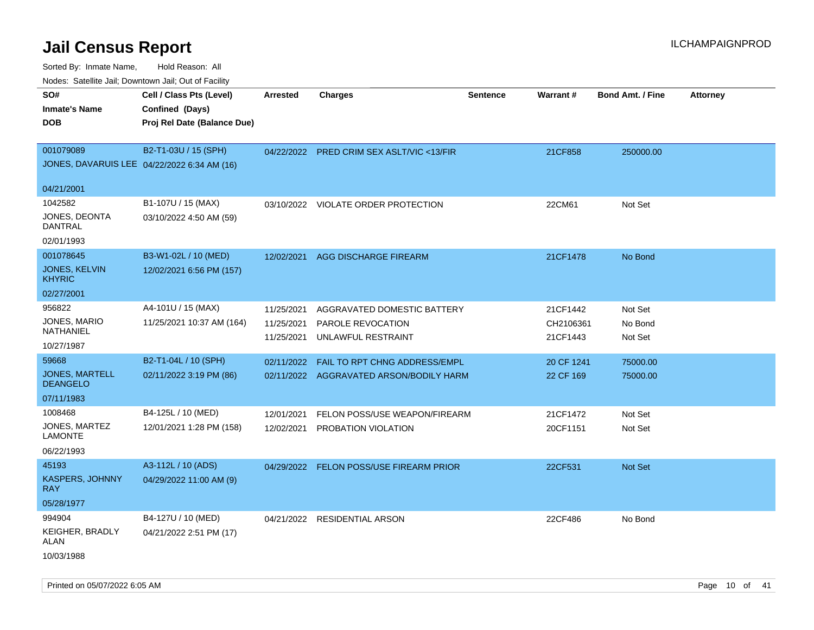| Noues. Sateme Jan, Downtown Jan, Out of Facility |                             |            |                                           |                 |            |                         |                 |
|--------------------------------------------------|-----------------------------|------------|-------------------------------------------|-----------------|------------|-------------------------|-----------------|
| SO#                                              | Cell / Class Pts (Level)    | Arrested   | <b>Charges</b>                            | <b>Sentence</b> | Warrant#   | <b>Bond Amt. / Fine</b> | <b>Attorney</b> |
| <b>Inmate's Name</b>                             | Confined (Days)             |            |                                           |                 |            |                         |                 |
| <b>DOB</b>                                       | Proj Rel Date (Balance Due) |            |                                           |                 |            |                         |                 |
|                                                  |                             |            |                                           |                 |            |                         |                 |
| 001079089                                        | B2-T1-03U / 15 (SPH)        |            | 04/22/2022 PRED CRIM SEX ASLT/VIC <13/FIR |                 | 21CF858    | 250000.00               |                 |
| JONES, DAVARUIS LEE 04/22/2022 6:34 AM (16)      |                             |            |                                           |                 |            |                         |                 |
|                                                  |                             |            |                                           |                 |            |                         |                 |
| 04/21/2001                                       |                             |            |                                           |                 |            |                         |                 |
| 1042582                                          | B1-107U / 15 (MAX)          |            | 03/10/2022 VIOLATE ORDER PROTECTION       |                 | 22CM61     | Not Set                 |                 |
| JONES, DEONTA<br>DANTRAL                         | 03/10/2022 4:50 AM (59)     |            |                                           |                 |            |                         |                 |
| 02/01/1993                                       |                             |            |                                           |                 |            |                         |                 |
| 001078645                                        | B3-W1-02L / 10 (MED)        | 12/02/2021 | AGG DISCHARGE FIREARM                     |                 | 21CF1478   | No Bond                 |                 |
| JONES, KELVIN<br><b>KHYRIC</b>                   | 12/02/2021 6:56 PM (157)    |            |                                           |                 |            |                         |                 |
| 02/27/2001                                       |                             |            |                                           |                 |            |                         |                 |
| 956822                                           | A4-101U / 15 (MAX)          | 11/25/2021 | AGGRAVATED DOMESTIC BATTERY               |                 | 21CF1442   | Not Set                 |                 |
| JONES, MARIO                                     | 11/25/2021 10:37 AM (164)   | 11/25/2021 | PAROLE REVOCATION                         |                 | CH2106361  | No Bond                 |                 |
| NATHANIEL                                        |                             | 11/25/2021 | UNLAWFUL RESTRAINT                        |                 | 21CF1443   | Not Set                 |                 |
| 10/27/1987                                       |                             |            |                                           |                 |            |                         |                 |
| 59668                                            | B2-T1-04L / 10 (SPH)        | 02/11/2022 | FAIL TO RPT CHNG ADDRESS/EMPL             |                 | 20 CF 1241 | 75000.00                |                 |
| <b>JONES, MARTELL</b><br><b>DEANGELO</b>         | 02/11/2022 3:19 PM (86)     |            | 02/11/2022 AGGRAVATED ARSON/BODILY HARM   |                 | 22 CF 169  | 75000.00                |                 |
| 07/11/1983                                       |                             |            |                                           |                 |            |                         |                 |
| 1008468                                          | B4-125L / 10 (MED)          | 12/01/2021 | FELON POSS/USE WEAPON/FIREARM             |                 | 21CF1472   | Not Set                 |                 |
| JONES, MARTEZ                                    | 12/01/2021 1:28 PM (158)    | 12/02/2021 | PROBATION VIOLATION                       |                 | 20CF1151   | Not Set                 |                 |
| <b>LAMONTE</b>                                   |                             |            |                                           |                 |            |                         |                 |
| 06/22/1993                                       |                             |            |                                           |                 |            |                         |                 |
| 45193                                            | A3-112L / 10 (ADS)          |            | 04/29/2022 FELON POSS/USE FIREARM PRIOR   |                 | 22CF531    | <b>Not Set</b>          |                 |
| KASPERS, JOHNNY<br><b>RAY</b>                    | 04/29/2022 11:00 AM (9)     |            |                                           |                 |            |                         |                 |
| 05/28/1977                                       |                             |            |                                           |                 |            |                         |                 |
| 994904                                           | B4-127U / 10 (MED)          | 04/21/2022 | <b>RESIDENTIAL ARSON</b>                  |                 | 22CF486    | No Bond                 |                 |
| KEIGHER, BRADLY<br>ALAN                          | 04/21/2022 2:51 PM (17)     |            |                                           |                 |            |                         |                 |
| 10/03/1988                                       |                             |            |                                           |                 |            |                         |                 |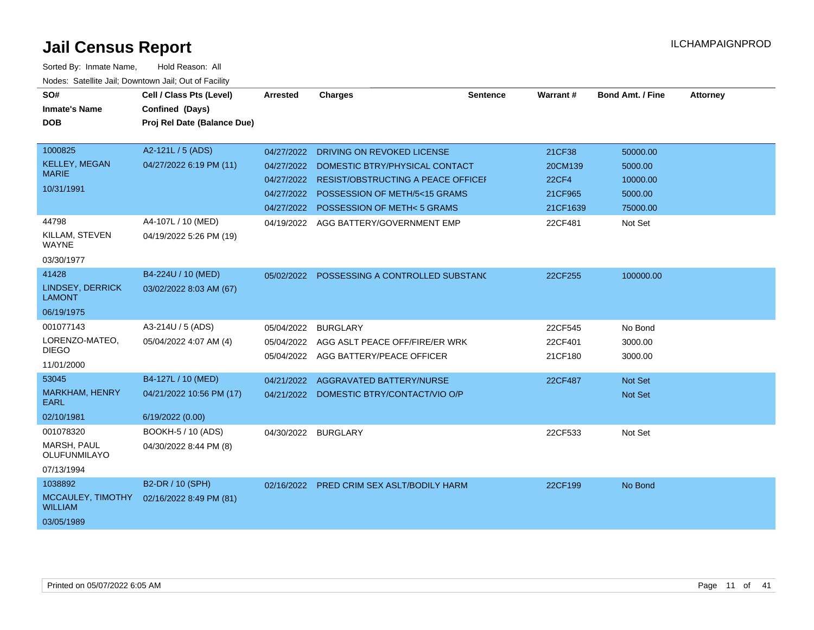| SO#                                      | Cell / Class Pts (Level)    | Arrested   | <b>Charges</b>                            | Sentence | <b>Warrant#</b> | <b>Bond Amt. / Fine</b> | <b>Attorney</b> |
|------------------------------------------|-----------------------------|------------|-------------------------------------------|----------|-----------------|-------------------------|-----------------|
| <b>Inmate's Name</b>                     | Confined (Days)             |            |                                           |          |                 |                         |                 |
| <b>DOB</b>                               | Proj Rel Date (Balance Due) |            |                                           |          |                 |                         |                 |
|                                          |                             |            |                                           |          |                 |                         |                 |
| 1000825                                  | A2-121L / 5 (ADS)           | 04/27/2022 | DRIVING ON REVOKED LICENSE                |          | 21CF38          | 50000.00                |                 |
| <b>KELLEY, MEGAN</b>                     | 04/27/2022 6:19 PM (11)     | 04/27/2022 | DOMESTIC BTRY/PHYSICAL CONTACT            |          | 20CM139         | 5000.00                 |                 |
| <b>MARIE</b>                             |                             | 04/27/2022 | RESIST/OBSTRUCTING A PEACE OFFICEI        |          | <b>22CF4</b>    | 10000.00                |                 |
| 10/31/1991                               |                             | 04/27/2022 | POSSESSION OF METH/5<15 GRAMS             |          | 21CF965         | 5000.00                 |                 |
|                                          |                             |            | 04/27/2022 POSSESSION OF METH< 5 GRAMS    |          | 21CF1639        | 75000.00                |                 |
| 44798                                    | A4-107L / 10 (MED)          |            | 04/19/2022 AGG BATTERY/GOVERNMENT EMP     |          | 22CF481         | Not Set                 |                 |
| KILLAM, STEVEN<br><b>WAYNE</b>           | 04/19/2022 5:26 PM (19)     |            |                                           |          |                 |                         |                 |
| 03/30/1977                               |                             |            |                                           |          |                 |                         |                 |
| 41428                                    | B4-224U / 10 (MED)          | 05/02/2022 | POSSESSING A CONTROLLED SUBSTANC          |          | 22CF255         | 100000.00               |                 |
| <b>LINDSEY, DERRICK</b><br><b>LAMONT</b> | 03/02/2022 8:03 AM (67)     |            |                                           |          |                 |                         |                 |
| 06/19/1975                               |                             |            |                                           |          |                 |                         |                 |
| 001077143                                | A3-214U / 5 (ADS)           | 05/04/2022 | <b>BURGLARY</b>                           |          | 22CF545         | No Bond                 |                 |
| LORENZO-MATEO,                           | 05/04/2022 4:07 AM (4)      | 05/04/2022 | AGG ASLT PEACE OFF/FIRE/ER WRK            |          | 22CF401         | 3000.00                 |                 |
| <b>DIEGO</b>                             |                             |            | 05/04/2022 AGG BATTERY/PEACE OFFICER      |          | 21CF180         | 3000.00                 |                 |
| 11/01/2000                               |                             |            |                                           |          |                 |                         |                 |
| 53045                                    | B4-127L / 10 (MED)          | 04/21/2022 | AGGRAVATED BATTERY/NURSE                  |          | 22CF487         | Not Set                 |                 |
| <b>MARKHAM, HENRY</b><br>EARL            | 04/21/2022 10:56 PM (17)    | 04/21/2022 | DOMESTIC BTRY/CONTACT/VIO O/P             |          |                 | Not Set                 |                 |
| 02/10/1981                               | 6/19/2022 (0.00)            |            |                                           |          |                 |                         |                 |
| 001078320                                | BOOKH-5 / 10 (ADS)          | 04/30/2022 | <b>BURGLARY</b>                           |          | 22CF533         | Not Set                 |                 |
| MARSH, PAUL<br>OLUFUNMILAYO              | 04/30/2022 8:44 PM (8)      |            |                                           |          |                 |                         |                 |
| 07/13/1994                               |                             |            |                                           |          |                 |                         |                 |
| 1038892                                  | B2-DR / 10 (SPH)            |            | 02/16/2022 PRED CRIM SEX ASLT/BODILY HARM |          | 22CF199         | No Bond                 |                 |
| MCCAULEY, TIMOTHY<br><b>WILLIAM</b>      | 02/16/2022 8:49 PM (81)     |            |                                           |          |                 |                         |                 |
| 03/05/1989                               |                             |            |                                           |          |                 |                         |                 |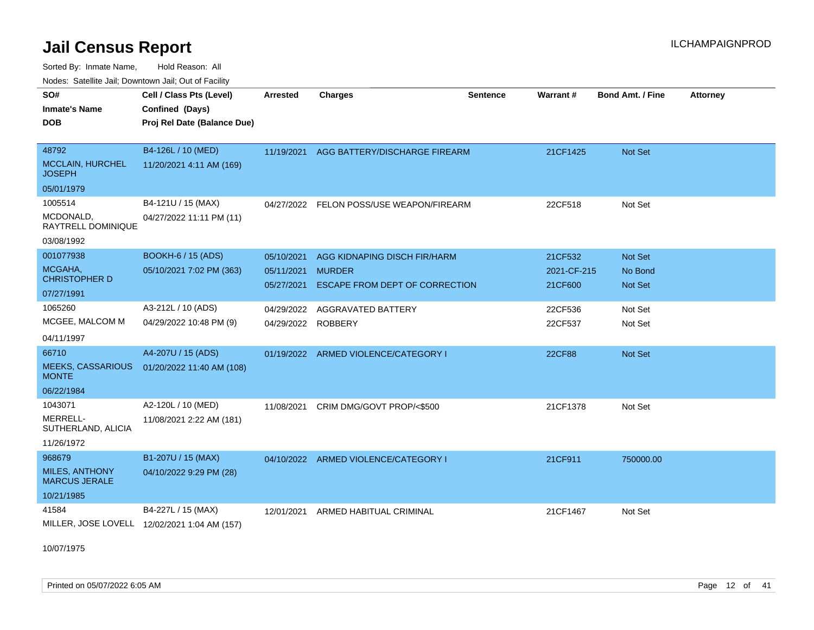Sorted By: Inmate Name, Hold Reason: All

| Nodes: Satellite Jail; Downtown Jail; Out of Facility |  |
|-------------------------------------------------------|--|
|                                                       |  |

| SO#<br><b>Inmate's Name</b><br><b>DOB</b>                             | Cell / Class Pts (Level)<br>Confined (Days)<br>Proj Rel Date (Balance Due) | <b>Arrested</b>                        | <b>Charges</b>                                                                         | <b>Sentence</b> | Warrant #                         | <b>Bond Amt. / Fine</b>              | <b>Attorney</b> |
|-----------------------------------------------------------------------|----------------------------------------------------------------------------|----------------------------------------|----------------------------------------------------------------------------------------|-----------------|-----------------------------------|--------------------------------------|-----------------|
| 48792<br><b>MCCLAIN, HURCHEL</b><br><b>JOSEPH</b><br>05/01/1979       | B4-126L / 10 (MED)<br>11/20/2021 4:11 AM (169)                             |                                        | 11/19/2021 AGG BATTERY/DISCHARGE FIREARM                                               |                 | 21CF1425                          | Not Set                              |                 |
| 1005514<br>MCDONALD,<br>RAYTRELL DOMINIQUE<br>03/08/1992              | B4-121U / 15 (MAX)<br>04/27/2022 11:11 PM (11)                             |                                        | 04/27/2022 FELON POSS/USE WEAPON/FIREARM                                               |                 | 22CF518                           | Not Set                              |                 |
| 001077938<br>MCGAHA.<br><b>CHRISTOPHER D</b><br>07/27/1991            | <b>BOOKH-6 / 15 (ADS)</b><br>05/10/2021 7:02 PM (363)                      | 05/10/2021<br>05/11/2021<br>05/27/2021 | AGG KIDNAPING DISCH FIR/HARM<br><b>MURDER</b><br><b>ESCAPE FROM DEPT OF CORRECTION</b> |                 | 21CF532<br>2021-CF-215<br>21CF600 | Not Set<br>No Bond<br><b>Not Set</b> |                 |
| 1065260<br>MCGEE, MALCOM M<br>04/11/1997                              | A3-212L / 10 (ADS)<br>04/29/2022 10:48 PM (9)                              | 04/29/2022                             | <b>AGGRAVATED BATTERY</b><br>04/29/2022 ROBBERY                                        |                 | 22CF536<br>22CF537                | Not Set<br>Not Set                   |                 |
| 66710<br><b>MEEKS, CASSARIOUS</b><br><b>MONTE</b><br>06/22/1984       | A4-207U / 15 (ADS)<br>01/20/2022 11:40 AM (108)                            |                                        | 01/19/2022 ARMED VIOLENCE/CATEGORY I                                                   |                 | <b>22CF88</b>                     | Not Set                              |                 |
| 1043071<br>MERRELL-<br>SUTHERLAND, ALICIA<br>11/26/1972               | A2-120L / 10 (MED)<br>11/08/2021 2:22 AM (181)                             | 11/08/2021                             | CRIM DMG/GOVT PROP/<\$500                                                              |                 | 21CF1378                          | Not Set                              |                 |
| 968679<br><b>MILES, ANTHONY</b><br><b>MARCUS JERALE</b><br>10/21/1985 | B1-207U / 15 (MAX)<br>04/10/2022 9:29 PM (28)                              | 04/10/2022                             | ARMED VIOLENCE/CATEGORY I                                                              |                 | 21CF911                           | 750000.00                            |                 |
| 41584                                                                 | B4-227L / 15 (MAX)<br>MILLER, JOSE LOVELL 12/02/2021 1:04 AM (157)         | 12/01/2021                             | ARMED HABITUAL CRIMINAL                                                                |                 | 21CF1467                          | Not Set                              |                 |

10/07/1975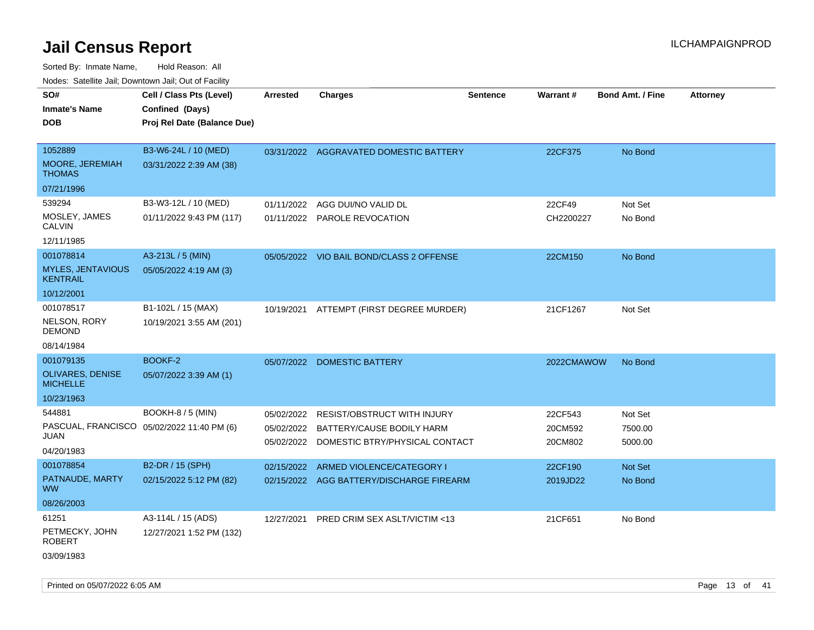Sorted By: Inmate Name, Hold Reason: All Nodes: Satellite Jail; Downtown Jail; Out of Facility

| roaco. Catolino cali, Domntonn cali, Out of Facility |                                            |                 |                                           |                 |            |                         |                 |
|------------------------------------------------------|--------------------------------------------|-----------------|-------------------------------------------|-----------------|------------|-------------------------|-----------------|
| SO#                                                  | Cell / Class Pts (Level)                   | <b>Arrested</b> | <b>Charges</b>                            | <b>Sentence</b> | Warrant#   | <b>Bond Amt. / Fine</b> | <b>Attorney</b> |
| <b>Inmate's Name</b>                                 | Confined (Days)                            |                 |                                           |                 |            |                         |                 |
| <b>DOB</b>                                           | Proj Rel Date (Balance Due)                |                 |                                           |                 |            |                         |                 |
|                                                      |                                            |                 |                                           |                 |            |                         |                 |
| 1052889                                              | B3-W6-24L / 10 (MED)                       |                 | 03/31/2022 AGGRAVATED DOMESTIC BATTERY    |                 | 22CF375    | No Bond                 |                 |
| MOORE, JEREMIAH<br><b>THOMAS</b>                     | 03/31/2022 2:39 AM (38)                    |                 |                                           |                 |            |                         |                 |
| 07/21/1996                                           |                                            |                 |                                           |                 |            |                         |                 |
| 539294                                               | B3-W3-12L / 10 (MED)                       | 01/11/2022      | AGG DUI/NO VALID DL                       |                 | 22CF49     | Not Set                 |                 |
| MOSLEY, JAMES<br><b>CALVIN</b>                       | 01/11/2022 9:43 PM (117)                   |                 | 01/11/2022 PAROLE REVOCATION              |                 | CH2200227  | No Bond                 |                 |
| 12/11/1985                                           |                                            |                 |                                           |                 |            |                         |                 |
| 001078814                                            | A3-213L / 5 (MIN)                          |                 | 05/05/2022 VIO BAIL BOND/CLASS 2 OFFENSE  |                 | 22CM150    | No Bond                 |                 |
| <b>MYLES, JENTAVIOUS</b><br><b>KENTRAIL</b>          | 05/05/2022 4:19 AM (3)                     |                 |                                           |                 |            |                         |                 |
| 10/12/2001                                           |                                            |                 |                                           |                 |            |                         |                 |
| 001078517                                            | B1-102L / 15 (MAX)                         | 10/19/2021      | ATTEMPT (FIRST DEGREE MURDER)             |                 | 21CF1267   | Not Set                 |                 |
| NELSON, RORY<br><b>DEMOND</b>                        | 10/19/2021 3:55 AM (201)                   |                 |                                           |                 |            |                         |                 |
| 08/14/1984                                           |                                            |                 |                                           |                 |            |                         |                 |
| 001079135                                            | BOOKF-2                                    |                 | 05/07/2022 DOMESTIC BATTERY               |                 | 2022CMAWOW | No Bond                 |                 |
| OLIVARES, DENISE<br><b>MICHELLE</b>                  | 05/07/2022 3:39 AM (1)                     |                 |                                           |                 |            |                         |                 |
| 10/23/1963                                           |                                            |                 |                                           |                 |            |                         |                 |
| 544881                                               | <b>BOOKH-8 / 5 (MIN)</b>                   | 05/02/2022      | <b>RESIST/OBSTRUCT WITH INJURY</b>        |                 | 22CF543    | Not Set                 |                 |
|                                                      | PASCUAL, FRANCISCO 05/02/2022 11:40 PM (6) |                 | 05/02/2022 BATTERY/CAUSE BODILY HARM      |                 | 20CM592    | 7500.00                 |                 |
| JUAN                                                 |                                            |                 | 05/02/2022 DOMESTIC BTRY/PHYSICAL CONTACT |                 | 20CM802    | 5000.00                 |                 |
| 04/20/1983                                           |                                            |                 |                                           |                 |            |                         |                 |
| 001078854                                            | B2-DR / 15 (SPH)                           |                 | 02/15/2022 ARMED VIOLENCE/CATEGORY I      |                 | 22CF190    | Not Set                 |                 |
| PATNAUDE, MARTY<br><b>WW</b>                         | 02/15/2022 5:12 PM (82)                    |                 | 02/15/2022 AGG BATTERY/DISCHARGE FIREARM  |                 | 2019JD22   | No Bond                 |                 |
| 08/26/2003                                           |                                            |                 |                                           |                 |            |                         |                 |
| 61251                                                | A3-114L / 15 (ADS)                         | 12/27/2021      | PRED CRIM SEX ASLT/VICTIM <13             |                 | 21CF651    | No Bond                 |                 |
| PETMECKY, JOHN<br><b>ROBERT</b>                      | 12/27/2021 1:52 PM (132)                   |                 |                                           |                 |            |                         |                 |
| 03/09/1983                                           |                                            |                 |                                           |                 |            |                         |                 |

Printed on 05/07/2022 6:05 AM **Page 13** of 41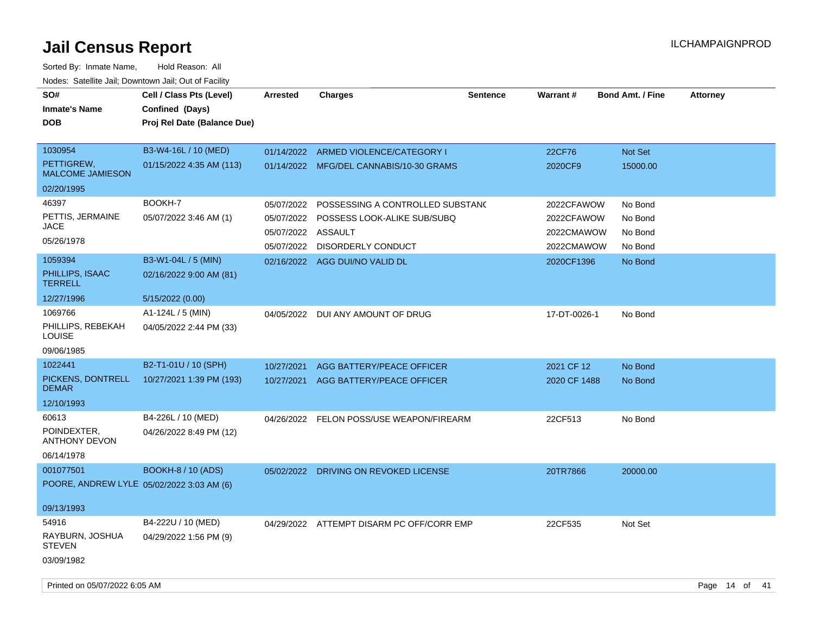| SO#<br><b>Inmate's Name</b><br><b>DOB</b> | Cell / Class Pts (Level)<br>Confined (Days)<br>Proj Rel Date (Balance Due) | <b>Arrested</b>    | <b>Charges</b>                                                                  | <b>Sentence</b> | <b>Warrant#</b>          | <b>Bond Amt. / Fine</b> | <b>Attorney</b>    |
|-------------------------------------------|----------------------------------------------------------------------------|--------------------|---------------------------------------------------------------------------------|-----------------|--------------------------|-------------------------|--------------------|
| 1030954<br>PETTIGREW,                     | B3-W4-16L / 10 (MED)<br>01/15/2022 4:35 AM (113)                           |                    | 01/14/2022 ARMED VIOLENCE/CATEGORY I<br>01/14/2022 MFG/DEL CANNABIS/10-30 GRAMS |                 | 22CF76<br>2020CF9        | Not Set<br>15000.00     |                    |
| <b>MALCOME JAMIESON</b><br>02/20/1995     |                                                                            |                    |                                                                                 |                 |                          |                         |                    |
| 46397                                     | BOOKH-7                                                                    | 05/07/2022         | POSSESSING A CONTROLLED SUBSTANC                                                |                 | 2022CFAWOW               | No Bond                 |                    |
| PETTIS, JERMAINE<br>JACE                  | 05/07/2022 3:46 AM (1)                                                     | 05/07/2022         | POSSESS LOOK-ALIKE SUB/SUBQ                                                     |                 | 2022CFAWOW               | No Bond                 |                    |
| 05/26/1978                                |                                                                            | 05/07/2022 ASSAULT | 05/07/2022 DISORDERLY CONDUCT                                                   |                 | 2022CMAWOW<br>2022CMAWOW | No Bond<br>No Bond      |                    |
| 1059394                                   | B3-W1-04L / 5 (MIN)                                                        |                    | 02/16/2022 AGG DUI/NO VALID DL                                                  |                 | 2020CF1396               | No Bond                 |                    |
| PHILLIPS, ISAAC<br><b>TERRELL</b>         | 02/16/2022 9:00 AM (81)                                                    |                    |                                                                                 |                 |                          |                         |                    |
| 12/27/1996                                | 5/15/2022 (0.00)                                                           |                    |                                                                                 |                 |                          |                         |                    |
| 1069766                                   | A1-124L / 5 (MIN)                                                          |                    | 04/05/2022 DUI ANY AMOUNT OF DRUG                                               |                 | 17-DT-0026-1             | No Bond                 |                    |
| PHILLIPS, REBEKAH<br><b>LOUISE</b>        | 04/05/2022 2:44 PM (33)                                                    |                    |                                                                                 |                 |                          |                         |                    |
| 09/06/1985                                |                                                                            |                    |                                                                                 |                 |                          |                         |                    |
| 1022441                                   | B2-T1-01U / 10 (SPH)                                                       | 10/27/2021         | AGG BATTERY/PEACE OFFICER                                                       |                 | 2021 CF 12               | No Bond                 |                    |
| PICKENS, DONTRELL<br><b>DEMAR</b>         | 10/27/2021 1:39 PM (193)                                                   |                    | 10/27/2021 AGG BATTERY/PEACE OFFICER                                            |                 | 2020 CF 1488             | No Bond                 |                    |
| 12/10/1993                                |                                                                            |                    |                                                                                 |                 |                          |                         |                    |
| 60613                                     | B4-226L / 10 (MED)                                                         |                    | 04/26/2022 FELON POSS/USE WEAPON/FIREARM                                        |                 | 22CF513                  | No Bond                 |                    |
| POINDEXTER,<br><b>ANTHONY DEVON</b>       | 04/26/2022 8:49 PM (12)                                                    |                    |                                                                                 |                 |                          |                         |                    |
| 06/14/1978                                |                                                                            |                    |                                                                                 |                 |                          |                         |                    |
| 001077501                                 | <b>BOOKH-8 / 10 (ADS)</b>                                                  |                    | 05/02/2022 DRIVING ON REVOKED LICENSE                                           |                 | 20TR7866                 | 20000.00                |                    |
|                                           | POORE, ANDREW LYLE 05/02/2022 3:03 AM (6)                                  |                    |                                                                                 |                 |                          |                         |                    |
| 09/13/1993                                |                                                                            |                    |                                                                                 |                 |                          |                         |                    |
| 54916                                     | B4-222U / 10 (MED)                                                         |                    | 04/29/2022 ATTEMPT DISARM PC OFF/CORR EMP                                       |                 | 22CF535                  | Not Set                 |                    |
| RAYBURN, JOSHUA<br><b>STEVEN</b>          | 04/29/2022 1:56 PM (9)                                                     |                    |                                                                                 |                 |                          |                         |                    |
| 03/09/1982                                |                                                                            |                    |                                                                                 |                 |                          |                         |                    |
| Printed on 05/07/2022 6:05 AM             |                                                                            |                    |                                                                                 |                 |                          |                         | Page 14 of<br>- 41 |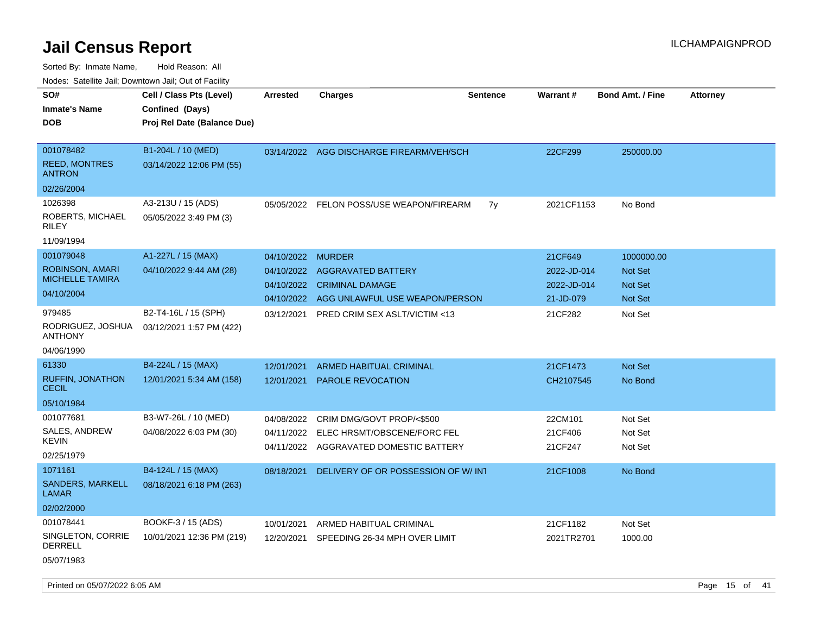| rouco. Calcinic Jan, Downtown Jan, Out of Facility                          |                                                                            |                                                      |                                                                                                        |                 |                                                    |                                                           |                 |
|-----------------------------------------------------------------------------|----------------------------------------------------------------------------|------------------------------------------------------|--------------------------------------------------------------------------------------------------------|-----------------|----------------------------------------------------|-----------------------------------------------------------|-----------------|
| SO#<br>Inmate's Name<br>DOB                                                 | Cell / Class Pts (Level)<br>Confined (Days)<br>Proj Rel Date (Balance Due) | <b>Arrested</b>                                      | <b>Charges</b>                                                                                         | <b>Sentence</b> | Warrant#                                           | <b>Bond Amt. / Fine</b>                                   | <b>Attorney</b> |
| 001078482<br><b>REED, MONTRES</b><br>ANTRON                                 | B1-204L / 10 (MED)<br>03/14/2022 12:06 PM (55)                             | 03/14/2022                                           | AGG DISCHARGE FIREARM/VEH/SCH                                                                          |                 | 22CF299                                            | 250000.00                                                 |                 |
| 02/26/2004<br>1026398<br>ROBERTS, MICHAEL<br>RILEY<br>11/09/1994            | A3-213U / 15 (ADS)<br>05/05/2022 3:49 PM (3)                               | 05/05/2022                                           | FELON POSS/USE WEAPON/FIREARM                                                                          | 7y              | 2021CF1153                                         | No Bond                                                   |                 |
| 001079048<br><b>ROBINSON, AMARI</b><br><b>MICHELLE TAMIRA</b><br>04/10/2004 | A1-227L / 15 (MAX)<br>04/10/2022 9:44 AM (28)                              | 04/10/2022<br>04/10/2022<br>04/10/2022<br>04/10/2022 | <b>MURDER</b><br><b>AGGRAVATED BATTERY</b><br><b>CRIMINAL DAMAGE</b><br>AGG UNLAWFUL USE WEAPON/PERSON |                 | 21CF649<br>2022-JD-014<br>2022-JD-014<br>21-JD-079 | 1000000.00<br>Not Set<br><b>Not Set</b><br><b>Not Set</b> |                 |
| 979485<br>RODRIGUEZ, JOSHUA<br>ANTHONY<br>04/06/1990                        | B2-T4-16L / 15 (SPH)<br>03/12/2021 1:57 PM (422)                           | 03/12/2021                                           | <b>PRED CRIM SEX ASLT/VICTIM &lt;13</b>                                                                |                 | 21CF282                                            | Not Set                                                   |                 |
| 61330<br><b>RUFFIN, JONATHON</b><br><b>CECIL</b><br>05/10/1984              | B4-224L / 15 (MAX)<br>12/01/2021 5:34 AM (158)                             | 12/01/2021<br>12/01/2021                             | <b>ARMED HABITUAL CRIMINAL</b><br><b>PAROLE REVOCATION</b>                                             |                 | 21CF1473<br>CH2107545                              | <b>Not Set</b><br>No Bond                                 |                 |
| 001077681<br><b>SALES, ANDREW</b><br>KEVIN<br>02/25/1979                    | B3-W7-26L / 10 (MED)<br>04/08/2022 6:03 PM (30)                            | 04/08/2022<br>04/11/2022<br>04/11/2022               | CRIM DMG/GOVT PROP/<\$500<br>ELEC HRSMT/OBSCENE/FORC FEL<br>AGGRAVATED DOMESTIC BATTERY                |                 | 22CM101<br>21CF406<br>21CF247                      | Not Set<br>Not Set<br>Not Set                             |                 |
| 1071161<br><b>SANDERS, MARKELL</b><br>LAMAR<br>02/02/2000                   | B4-124L / 15 (MAX)<br>08/18/2021 6:18 PM (263)                             | 08/18/2021                                           | DELIVERY OF OR POSSESSION OF W/INT                                                                     |                 | 21CF1008                                           | No Bond                                                   |                 |
| 001078441<br>SINGLETON, CORRIE<br>DERRELL<br>05/07/1983                     | BOOKF-3 / 15 (ADS)<br>10/01/2021 12:36 PM (219)                            | 10/01/2021<br>12/20/2021                             | ARMED HABITUAL CRIMINAL<br>SPEEDING 26-34 MPH OVER LIMIT                                               |                 | 21CF1182<br>2021TR2701                             | Not Set<br>1000.00                                        |                 |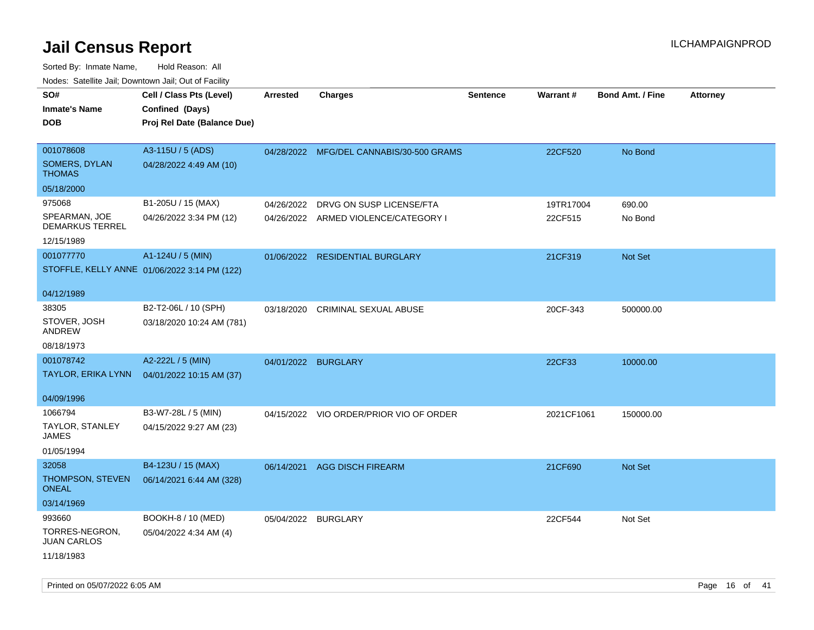| roaco. Odichile Jan, Downtown Jan, Out of Facility |                                              |                     |                                          |                 |            |                         |                 |
|----------------------------------------------------|----------------------------------------------|---------------------|------------------------------------------|-----------------|------------|-------------------------|-----------------|
| SO#<br><b>Inmate's Name</b>                        | Cell / Class Pts (Level)<br>Confined (Days)  | <b>Arrested</b>     | <b>Charges</b>                           | <b>Sentence</b> | Warrant#   | <b>Bond Amt. / Fine</b> | <b>Attorney</b> |
| <b>DOB</b>                                         | Proj Rel Date (Balance Due)                  |                     |                                          |                 |            |                         |                 |
| 001078608                                          | A3-115U / 5 (ADS)                            |                     | 04/28/2022 MFG/DEL CANNABIS/30-500 GRAMS |                 | 22CF520    | No Bond                 |                 |
| SOMERS, DYLAN<br><b>THOMAS</b>                     | 04/28/2022 4:49 AM (10)                      |                     |                                          |                 |            |                         |                 |
| 05/18/2000                                         |                                              |                     |                                          |                 |            |                         |                 |
| 975068                                             | B1-205U / 15 (MAX)                           | 04/26/2022          | DRVG ON SUSP LICENSE/FTA                 |                 | 19TR17004  | 690.00                  |                 |
| SPEARMAN, JOE<br><b>DEMARKUS TERREL</b>            | 04/26/2022 3:34 PM (12)                      |                     | 04/26/2022 ARMED VIOLENCE/CATEGORY I     |                 | 22CF515    | No Bond                 |                 |
| 12/15/1989                                         |                                              |                     |                                          |                 |            |                         |                 |
| 001077770                                          | A1-124U / 5 (MIN)                            |                     | 01/06/2022 RESIDENTIAL BURGLARY          |                 | 21CF319    | Not Set                 |                 |
|                                                    | STOFFLE, KELLY ANNE 01/06/2022 3:14 PM (122) |                     |                                          |                 |            |                         |                 |
| 04/12/1989                                         |                                              |                     |                                          |                 |            |                         |                 |
| 38305                                              | B2-T2-06L / 10 (SPH)                         | 03/18/2020          | CRIMINAL SEXUAL ABUSE                    |                 | 20CF-343   | 500000.00               |                 |
| STOVER, JOSH<br>ANDREW                             | 03/18/2020 10:24 AM (781)                    |                     |                                          |                 |            |                         |                 |
| 08/18/1973                                         |                                              |                     |                                          |                 |            |                         |                 |
| 001078742                                          | A2-222L / 5 (MIN)                            | 04/01/2022 BURGLARY |                                          |                 | 22CF33     | 10000.00                |                 |
| TAYLOR, ERIKA LYNN                                 | 04/01/2022 10:15 AM (37)                     |                     |                                          |                 |            |                         |                 |
| 04/09/1996                                         |                                              |                     |                                          |                 |            |                         |                 |
| 1066794                                            | B3-W7-28L / 5 (MIN)                          |                     | 04/15/2022 VIO ORDER/PRIOR VIO OF ORDER  |                 | 2021CF1061 | 150000.00               |                 |
| <b>TAYLOR, STANLEY</b><br>JAMES                    | 04/15/2022 9:27 AM (23)                      |                     |                                          |                 |            |                         |                 |
| 01/05/1994                                         |                                              |                     |                                          |                 |            |                         |                 |
| 32058                                              | B4-123U / 15 (MAX)                           | 06/14/2021          | <b>AGG DISCH FIREARM</b>                 |                 | 21CF690    | Not Set                 |                 |
| THOMPSON, STEVEN<br><b>ONEAL</b>                   | 06/14/2021 6:44 AM (328)                     |                     |                                          |                 |            |                         |                 |
| 03/14/1969                                         |                                              |                     |                                          |                 |            |                         |                 |
| 993660                                             | BOOKH-8 / 10 (MED)                           | 05/04/2022 BURGLARY |                                          |                 | 22CF544    | Not Set                 |                 |
| TORRES-NEGRON,<br><b>JUAN CARLOS</b>               | 05/04/2022 4:34 AM (4)                       |                     |                                          |                 |            |                         |                 |
| 11/18/1983                                         |                                              |                     |                                          |                 |            |                         |                 |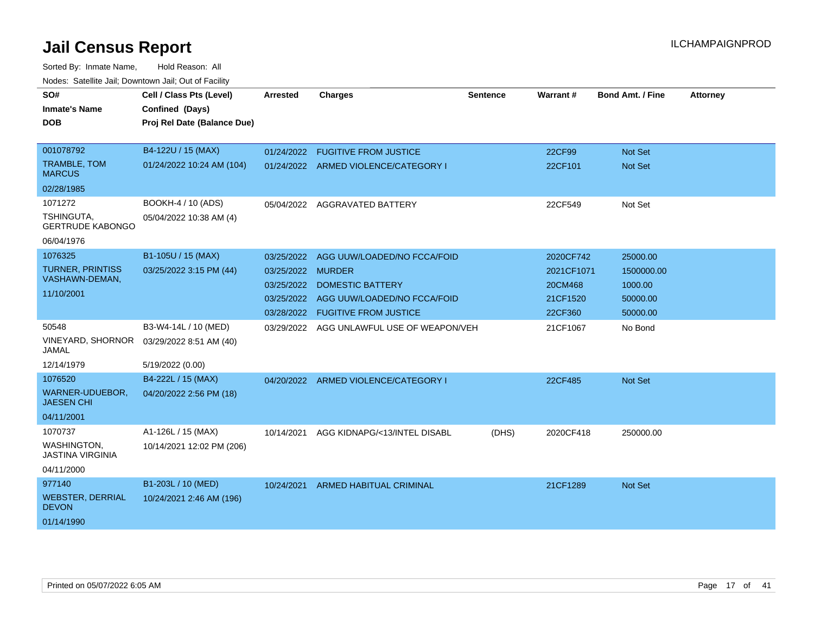| SO#<br><b>Inmate's Name</b><br>DOB                                     | Cell / Class Pts (Level)<br>Confined (Days)<br>Proj Rel Date (Balance Due) | <b>Arrested</b>                                                    | <b>Charges</b>                                                                                                                         | <b>Sentence</b> | <b>Warrant#</b>                                           | <b>Bond Amt. / Fine</b>                                   | <b>Attorney</b> |
|------------------------------------------------------------------------|----------------------------------------------------------------------------|--------------------------------------------------------------------|----------------------------------------------------------------------------------------------------------------------------------------|-----------------|-----------------------------------------------------------|-----------------------------------------------------------|-----------------|
| 001078792<br>TRAMBLE, TOM<br><b>MARCUS</b><br>02/28/1985               | B4-122U / 15 (MAX)<br>01/24/2022 10:24 AM (104)                            | 01/24/2022                                                         | <b>FUGITIVE FROM JUSTICE</b><br>01/24/2022 ARMED VIOLENCE/CATEGORY I                                                                   |                 | 22CF99<br>22CF101                                         | <b>Not Set</b><br><b>Not Set</b>                          |                 |
| 1071272<br>TSHINGUTA,<br><b>GERTRUDE KABONGO</b><br>06/04/1976         | BOOKH-4 / 10 (ADS)<br>05/04/2022 10:38 AM (4)                              |                                                                    | 05/04/2022 AGGRAVATED BATTERY                                                                                                          |                 | 22CF549                                                   | Not Set                                                   |                 |
| 1076325<br><b>TURNER, PRINTISS</b><br>VASHAWN-DEMAN,<br>11/10/2001     | B1-105U / 15 (MAX)<br>03/25/2022 3:15 PM (44)                              | 03/25/2022<br>03/25/2022<br>03/25/2022<br>03/25/2022<br>03/28/2022 | AGG UUW/LOADED/NO FCCA/FOID<br><b>MURDER</b><br><b>DOMESTIC BATTERY</b><br>AGG UUW/LOADED/NO FCCA/FOID<br><b>FUGITIVE FROM JUSTICE</b> |                 | 2020CF742<br>2021CF1071<br>20CM468<br>21CF1520<br>22CF360 | 25000.00<br>1500000.00<br>1000.00<br>50000.00<br>50000.00 |                 |
| 50548<br><b>VINEYARD, SHORNOR</b><br>JAMAL<br>12/14/1979               | B3-W4-14L / 10 (MED)<br>03/29/2022 8:51 AM (40)<br>5/19/2022 (0.00)        | 03/29/2022                                                         | AGG UNLAWFUL USE OF WEAPON/VEH                                                                                                         |                 | 21CF1067                                                  | No Bond                                                   |                 |
| 1076520<br>WARNER-UDUEBOR,<br><b>JAESEN CHI</b><br>04/11/2001          | B4-222L / 15 (MAX)<br>04/20/2022 2:56 PM (18)                              |                                                                    | 04/20/2022 ARMED VIOLENCE/CATEGORY I                                                                                                   |                 | 22CF485                                                   | <b>Not Set</b>                                            |                 |
| 1070737<br><b>WASHINGTON,</b><br><b>JASTINA VIRGINIA</b><br>04/11/2000 | A1-126L / 15 (MAX)<br>10/14/2021 12:02 PM (206)                            | 10/14/2021                                                         | AGG KIDNAPG/<13/INTEL DISABL                                                                                                           | (DHS)           | 2020CF418                                                 | 250000.00                                                 |                 |
| 977140<br><b>WEBSTER, DERRIAL</b><br><b>DEVON</b><br>01/14/1990        | B1-203L / 10 (MED)<br>10/24/2021 2:46 AM (196)                             | 10/24/2021                                                         | <b>ARMED HABITUAL CRIMINAL</b>                                                                                                         |                 | 21CF1289                                                  | <b>Not Set</b>                                            |                 |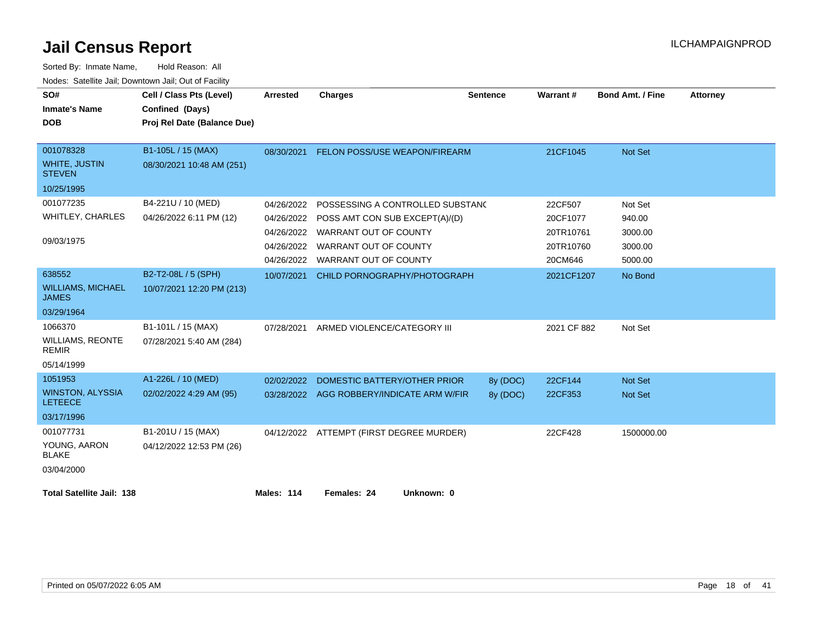| SO#<br><b>Inmate's Name</b><br><b>DOB</b> | Cell / Class Pts (Level)<br>Confined (Days)<br>Proj Rel Date (Balance Due) | <b>Arrested</b>   | <b>Charges</b>                            | <b>Sentence</b> | Warrant#    | <b>Bond Amt. / Fine</b> | <b>Attorney</b> |
|-------------------------------------------|----------------------------------------------------------------------------|-------------------|-------------------------------------------|-----------------|-------------|-------------------------|-----------------|
|                                           |                                                                            |                   |                                           |                 |             |                         |                 |
| 001078328                                 | B1-105L / 15 (MAX)                                                         |                   | 08/30/2021 FELON POSS/USE WEAPON/FIREARM  |                 | 21CF1045    | <b>Not Set</b>          |                 |
| <b>WHITE, JUSTIN</b><br><b>STEVEN</b>     | 08/30/2021 10:48 AM (251)                                                  |                   |                                           |                 |             |                         |                 |
| 10/25/1995                                |                                                                            |                   |                                           |                 |             |                         |                 |
| 001077235                                 | B4-221U / 10 (MED)                                                         | 04/26/2022        | POSSESSING A CONTROLLED SUBSTAND          |                 | 22CF507     | Not Set                 |                 |
| <b>WHITLEY, CHARLES</b>                   | 04/26/2022 6:11 PM (12)                                                    | 04/26/2022        | POSS AMT CON SUB EXCEPT(A)/(D)            |                 | 20CF1077    | 940.00                  |                 |
|                                           |                                                                            |                   | 04/26/2022 WARRANT OUT OF COUNTY          |                 | 20TR10761   | 3000.00                 |                 |
| 09/03/1975                                |                                                                            | 04/26/2022        | WARRANT OUT OF COUNTY                     |                 | 20TR10760   | 3000.00                 |                 |
|                                           |                                                                            | 04/26/2022        | WARRANT OUT OF COUNTY                     |                 | 20CM646     | 5000.00                 |                 |
| 638552                                    | B2-T2-08L / 5 (SPH)                                                        | 10/07/2021        | CHILD PORNOGRAPHY/PHOTOGRAPH              |                 | 2021CF1207  | No Bond                 |                 |
| <b>WILLIAMS, MICHAEL</b><br><b>JAMES</b>  | 10/07/2021 12:20 PM (213)                                                  |                   |                                           |                 |             |                         |                 |
| 03/29/1964                                |                                                                            |                   |                                           |                 |             |                         |                 |
| 1066370                                   | B1-101L / 15 (MAX)                                                         | 07/28/2021        | ARMED VIOLENCE/CATEGORY III               |                 | 2021 CF 882 | Not Set                 |                 |
| <b>WILLIAMS, REONTE</b><br><b>REMIR</b>   | 07/28/2021 5:40 AM (284)                                                   |                   |                                           |                 |             |                         |                 |
| 05/14/1999                                |                                                                            |                   |                                           |                 |             |                         |                 |
| 1051953                                   | A1-226L / 10 (MED)                                                         | 02/02/2022        | DOMESTIC BATTERY/OTHER PRIOR              | 8y (DOC)        | 22CF144     | <b>Not Set</b>          |                 |
| <b>WINSTON, ALYSSIA</b><br><b>LETEECE</b> | 02/02/2022 4:29 AM (95)                                                    |                   | 03/28/2022 AGG ROBBERY/INDICATE ARM W/FIR | 8y (DOC)        | 22CF353     | <b>Not Set</b>          |                 |
| 03/17/1996                                |                                                                            |                   |                                           |                 |             |                         |                 |
| 001077731                                 | B1-201U / 15 (MAX)                                                         |                   | 04/12/2022 ATTEMPT (FIRST DEGREE MURDER)  |                 | 22CF428     | 1500000.00              |                 |
| YOUNG, AARON<br><b>BLAKE</b>              | 04/12/2022 12:53 PM (26)                                                   |                   |                                           |                 |             |                         |                 |
| 03/04/2000                                |                                                                            |                   |                                           |                 |             |                         |                 |
| <b>Total Satellite Jail: 138</b>          |                                                                            | <b>Males: 114</b> | Females: 24<br>Unknown: 0                 |                 |             |                         |                 |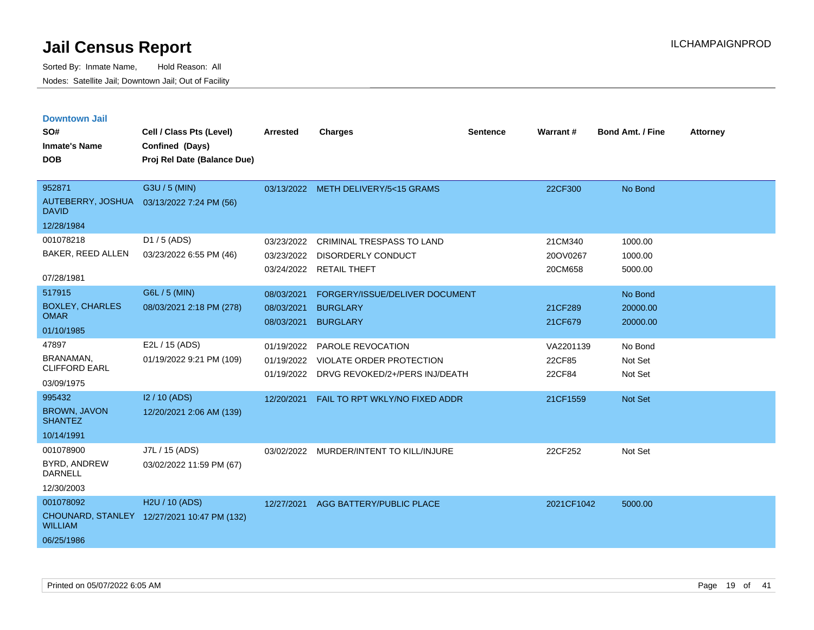| <b>Downtown Jail</b>                  |                                             |                 |                                           |                 |            |                         |                 |
|---------------------------------------|---------------------------------------------|-----------------|-------------------------------------------|-----------------|------------|-------------------------|-----------------|
| SO#                                   | Cell / Class Pts (Level)                    | <b>Arrested</b> | <b>Charges</b>                            | <b>Sentence</b> | Warrant#   | <b>Bond Amt. / Fine</b> | <b>Attorney</b> |
| <b>Inmate's Name</b>                  | Confined (Days)                             |                 |                                           |                 |            |                         |                 |
| <b>DOB</b>                            | Proj Rel Date (Balance Due)                 |                 |                                           |                 |            |                         |                 |
|                                       |                                             |                 |                                           |                 |            |                         |                 |
| 952871                                | G3U / 5 (MIN)                               |                 | 03/13/2022 METH DELIVERY/5<15 GRAMS       |                 | 22CF300    | No Bond                 |                 |
| <b>DAVID</b>                          | AUTEBERRY, JOSHUA 03/13/2022 7:24 PM (56)   |                 |                                           |                 |            |                         |                 |
| 12/28/1984                            |                                             |                 |                                           |                 |            |                         |                 |
| 001078218                             | D1 / 5 (ADS)                                | 03/23/2022      | <b>CRIMINAL TRESPASS TO LAND</b>          |                 | 21CM340    | 1000.00                 |                 |
| BAKER, REED ALLEN                     | 03/23/2022 6:55 PM (46)                     | 03/23/2022      | <b>DISORDERLY CONDUCT</b>                 |                 | 20OV0267   | 1000.00                 |                 |
| 07/28/1981                            |                                             |                 | 03/24/2022 RETAIL THEFT                   |                 | 20CM658    | 5000.00                 |                 |
| 517915                                | G6L / 5 (MIN)                               | 08/03/2021      | FORGERY/ISSUE/DELIVER DOCUMENT            |                 |            | No Bond                 |                 |
| <b>BOXLEY, CHARLES</b>                | 08/03/2021 2:18 PM (278)                    | 08/03/2021      | <b>BURGLARY</b>                           |                 | 21CF289    | 20000.00                |                 |
| <b>OMAR</b>                           |                                             | 08/03/2021      | <b>BURGLARY</b>                           |                 | 21CF679    | 20000.00                |                 |
| 01/10/1985                            |                                             |                 |                                           |                 |            |                         |                 |
| 47897                                 | E2L / 15 (ADS)                              | 01/19/2022      | PAROLE REVOCATION                         |                 | VA2201139  | No Bond                 |                 |
| BRANAMAN,                             | 01/19/2022 9:21 PM (109)                    | 01/19/2022      | VIOLATE ORDER PROTECTION                  |                 | 22CF85     | Not Set                 |                 |
| <b>CLIFFORD EARL</b>                  |                                             |                 | 01/19/2022 DRVG REVOKED/2+/PERS INJ/DEATH |                 | 22CF84     | Not Set                 |                 |
| 03/09/1975                            |                                             |                 |                                           |                 |            |                         |                 |
| 995432                                | I2 / 10 (ADS)                               | 12/20/2021      | FAIL TO RPT WKLY/NO FIXED ADDR            |                 | 21CF1559   | <b>Not Set</b>          |                 |
| <b>BROWN, JAVON</b><br><b>SHANTEZ</b> | 12/20/2021 2:06 AM (139)                    |                 |                                           |                 |            |                         |                 |
| 10/14/1991                            |                                             |                 |                                           |                 |            |                         |                 |
| 001078900                             | J7L / 15 (ADS)                              |                 | 03/02/2022 MURDER/INTENT TO KILL/INJURE   |                 | 22CF252    | Not Set                 |                 |
| <b>BYRD, ANDREW</b><br><b>DARNELL</b> | 03/02/2022 11:59 PM (67)                    |                 |                                           |                 |            |                         |                 |
| 12/30/2003                            |                                             |                 |                                           |                 |            |                         |                 |
| 001078092                             | H <sub>2</sub> U / 10 (ADS)                 |                 | 12/27/2021 AGG BATTERY/PUBLIC PLACE       |                 | 2021CF1042 | 5000.00                 |                 |
| <b>WILLIAM</b>                        | CHOUNARD, STANLEY 12/27/2021 10:47 PM (132) |                 |                                           |                 |            |                         |                 |
| 06/25/1986                            |                                             |                 |                                           |                 |            |                         |                 |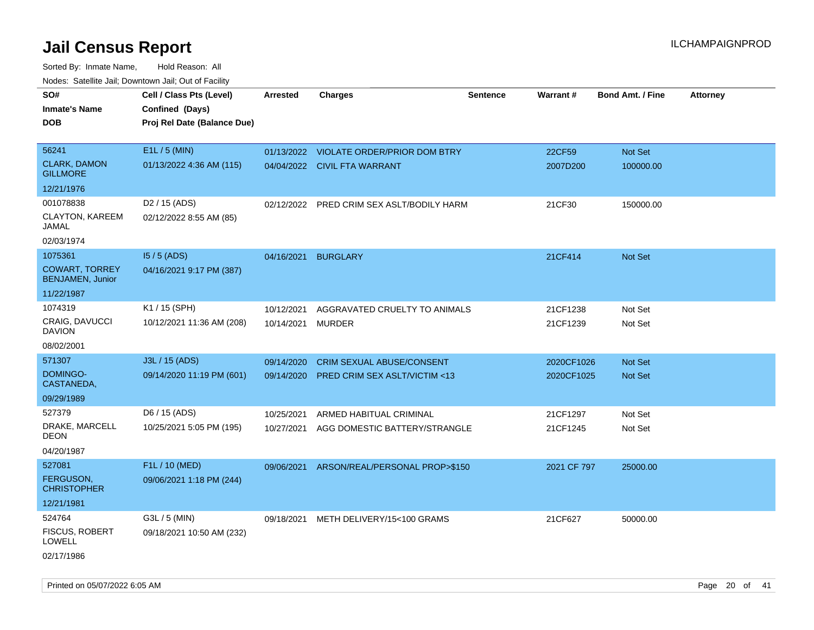| SO#<br><b>Inmate's Name</b><br><b>DOB</b>        | Cell / Class Pts (Level)<br>Confined (Days)<br>Proj Rel Date (Balance Due) | <b>Arrested</b> | <b>Charges</b>                            | <b>Sentence</b> | Warrant#    | <b>Bond Amt. / Fine</b> | <b>Attorney</b> |
|--------------------------------------------------|----------------------------------------------------------------------------|-----------------|-------------------------------------------|-----------------|-------------|-------------------------|-----------------|
| 56241                                            | E1L / 5 (MIN)                                                              |                 | 01/13/2022 VIOLATE ORDER/PRIOR DOM BTRY   |                 | 22CF59      | Not Set                 |                 |
| <b>CLARK, DAMON</b><br><b>GILLMORE</b>           | 01/13/2022 4:36 AM (115)                                                   |                 | 04/04/2022 CIVIL FTA WARRANT              |                 | 2007D200    | 100000.00               |                 |
| 12/21/1976                                       |                                                                            |                 |                                           |                 |             |                         |                 |
| 001078838                                        | D <sub>2</sub> / 15 (ADS)                                                  |                 | 02/12/2022 PRED CRIM SEX ASLT/BODILY HARM |                 | 21CF30      | 150000.00               |                 |
| CLAYTON, KAREEM<br>JAMAL                         | 02/12/2022 8:55 AM (85)                                                    |                 |                                           |                 |             |                         |                 |
| 02/03/1974                                       |                                                                            |                 |                                           |                 |             |                         |                 |
| 1075361                                          | $15/5$ (ADS)                                                               | 04/16/2021      | <b>BURGLARY</b>                           |                 | 21CF414     | Not Set                 |                 |
| <b>COWART, TORREY</b><br><b>BENJAMEN, Junior</b> | 04/16/2021 9:17 PM (387)                                                   |                 |                                           |                 |             |                         |                 |
| 11/22/1987                                       |                                                                            |                 |                                           |                 |             |                         |                 |
| 1074319                                          | K1 / 15 (SPH)                                                              | 10/12/2021      | AGGRAVATED CRUELTY TO ANIMALS             |                 | 21CF1238    | Not Set                 |                 |
| CRAIG, DAVUCCI<br><b>DAVION</b>                  | 10/12/2021 11:36 AM (208)                                                  | 10/14/2021      | <b>MURDER</b>                             |                 | 21CF1239    | Not Set                 |                 |
| 08/02/2001                                       |                                                                            |                 |                                           |                 |             |                         |                 |
| 571307                                           | J3L / 15 (ADS)                                                             | 09/14/2020      | <b>CRIM SEXUAL ABUSE/CONSENT</b>          |                 | 2020CF1026  | <b>Not Set</b>          |                 |
| DOMINGO-<br>CASTANEDA,                           | 09/14/2020 11:19 PM (601)                                                  | 09/14/2020      | <b>PRED CRIM SEX ASLT/VICTIM &lt;13</b>   |                 | 2020CF1025  | <b>Not Set</b>          |                 |
| 09/29/1989                                       |                                                                            |                 |                                           |                 |             |                         |                 |
| 527379                                           | D6 / 15 (ADS)                                                              | 10/25/2021      | ARMED HABITUAL CRIMINAL                   |                 | 21CF1297    | Not Set                 |                 |
| DRAKE, MARCELL<br><b>DEON</b>                    | 10/25/2021 5:05 PM (195)                                                   | 10/27/2021      | AGG DOMESTIC BATTERY/STRANGLE             |                 | 21CF1245    | Not Set                 |                 |
| 04/20/1987                                       |                                                                            |                 |                                           |                 |             |                         |                 |
| 527081                                           | F1L / 10 (MED)                                                             | 09/06/2021      | ARSON/REAL/PERSONAL PROP>\$150            |                 | 2021 CF 797 | 25000.00                |                 |
| <b>FERGUSON,</b><br><b>CHRISTOPHER</b>           | 09/06/2021 1:18 PM (244)                                                   |                 |                                           |                 |             |                         |                 |
| 12/21/1981                                       |                                                                            |                 |                                           |                 |             |                         |                 |
| 524764                                           | G3L / 5 (MIN)                                                              |                 | 09/18/2021 METH DELIVERY/15<100 GRAMS     |                 | 21CF627     | 50000.00                |                 |
| <b>FISCUS, ROBERT</b><br><b>LOWELL</b>           | 09/18/2021 10:50 AM (232)                                                  |                 |                                           |                 |             |                         |                 |
| 02/17/1986                                       |                                                                            |                 |                                           |                 |             |                         |                 |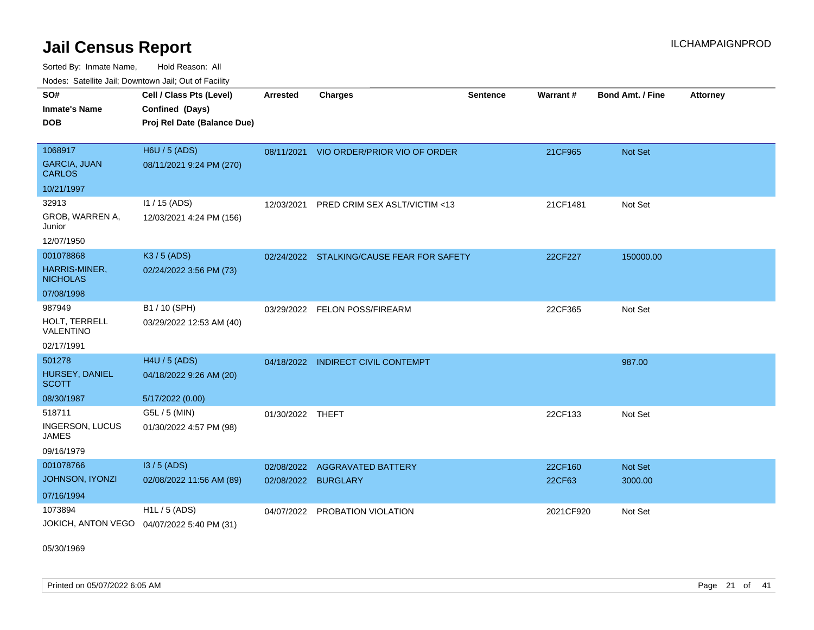Sorted By: Inmate Name, Hold Reason: All Nodes: Satellite Jail; Downtown Jail; Out of Facility

| 110000. 001011110 0011, Dominomi odli, Odi ol I dollit |                                            |                  |                                           |                 |                 |                         |                 |
|--------------------------------------------------------|--------------------------------------------|------------------|-------------------------------------------|-----------------|-----------------|-------------------------|-----------------|
| SO#                                                    | Cell / Class Pts (Level)                   | <b>Arrested</b>  | <b>Charges</b>                            | <b>Sentence</b> | <b>Warrant#</b> | <b>Bond Amt. / Fine</b> | <b>Attorney</b> |
| <b>Inmate's Name</b>                                   | Confined (Days)                            |                  |                                           |                 |                 |                         |                 |
| <b>DOB</b>                                             | Proj Rel Date (Balance Due)                |                  |                                           |                 |                 |                         |                 |
|                                                        |                                            |                  |                                           |                 |                 |                         |                 |
| 1068917                                                | <b>H6U / 5 (ADS)</b>                       | 08/11/2021       | VIO ORDER/PRIOR VIO OF ORDER              |                 | 21CF965         | <b>Not Set</b>          |                 |
| <b>GARCIA, JUAN</b><br><b>CARLOS</b>                   | 08/11/2021 9:24 PM (270)                   |                  |                                           |                 |                 |                         |                 |
| 10/21/1997                                             |                                            |                  |                                           |                 |                 |                         |                 |
| 32913                                                  | 11 / 15 (ADS)                              | 12/03/2021       | PRED CRIM SEX ASLT/VICTIM <13             |                 | 21CF1481        | Not Set                 |                 |
| GROB, WARREN A,<br>Junior                              | 12/03/2021 4:24 PM (156)                   |                  |                                           |                 |                 |                         |                 |
| 12/07/1950                                             |                                            |                  |                                           |                 |                 |                         |                 |
| 001078868                                              | K3 / 5 (ADS)                               |                  | 02/24/2022 STALKING/CAUSE FEAR FOR SAFETY |                 | 22CF227         | 150000.00               |                 |
| <b>HARRIS-MINER,</b><br><b>NICHOLAS</b>                | 02/24/2022 3:56 PM (73)                    |                  |                                           |                 |                 |                         |                 |
| 07/08/1998                                             |                                            |                  |                                           |                 |                 |                         |                 |
| 987949                                                 | B1 / 10 (SPH)                              | 03/29/2022       | <b>FELON POSS/FIREARM</b>                 |                 | 22CF365         | Not Set                 |                 |
| HOLT, TERRELL<br>VALENTINO                             | 03/29/2022 12:53 AM (40)                   |                  |                                           |                 |                 |                         |                 |
| 02/17/1991                                             |                                            |                  |                                           |                 |                 |                         |                 |
| 501278                                                 | H4U / 5 (ADS)                              | 04/18/2022       | <b>INDIRECT CIVIL CONTEMPT</b>            |                 |                 | 987.00                  |                 |
| HURSEY, DANIEL<br><b>SCOTT</b>                         | 04/18/2022 9:26 AM (20)                    |                  |                                           |                 |                 |                         |                 |
| 08/30/1987                                             | 5/17/2022 (0.00)                           |                  |                                           |                 |                 |                         |                 |
| 518711                                                 | G5L / 5 (MIN)                              | 01/30/2022 THEFT |                                           |                 | 22CF133         | Not Set                 |                 |
| <b>INGERSON, LUCUS</b><br>JAMES                        | 01/30/2022 4:57 PM (98)                    |                  |                                           |                 |                 |                         |                 |
| 09/16/1979                                             |                                            |                  |                                           |                 |                 |                         |                 |
| 001078766                                              | $13/5$ (ADS)                               | 02/08/2022       | <b>AGGRAVATED BATTERY</b>                 |                 | 22CF160         | <b>Not Set</b>          |                 |
| JOHNSON, IYONZI                                        | 02/08/2022 11:56 AM (89)                   | 02/08/2022       | <b>BURGLARY</b>                           |                 | 22CF63          | 3000.00                 |                 |
| 07/16/1994                                             |                                            |                  |                                           |                 |                 |                         |                 |
| 1073894                                                | $H1L / 5$ (ADS)                            | 04/07/2022       | PROBATION VIOLATION                       |                 | 2021CF920       | Not Set                 |                 |
|                                                        | JOKICH, ANTON VEGO 04/07/2022 5:40 PM (31) |                  |                                           |                 |                 |                         |                 |

05/30/1969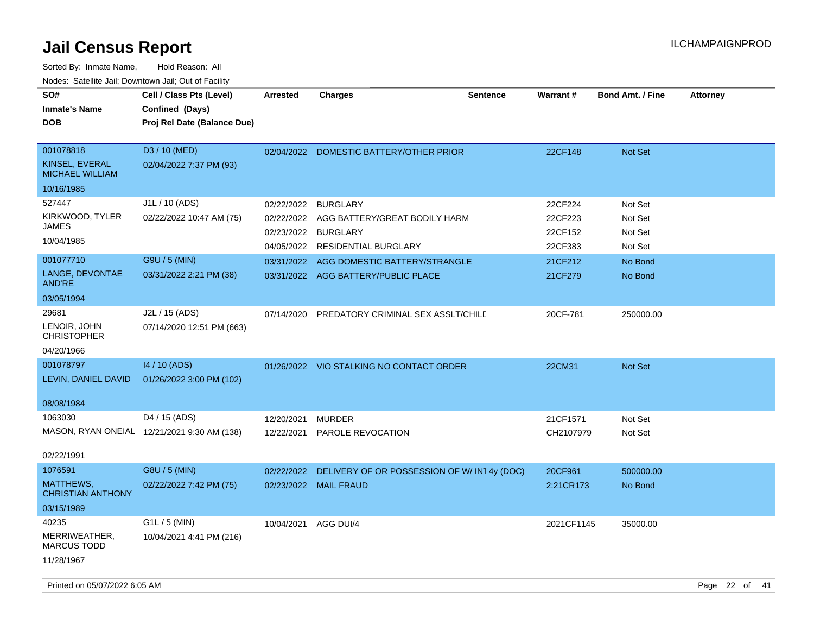| SO#<br><b>Inmate's Name</b><br><b>DOB</b>                                                                | Cell / Class Pts (Level)<br>Confined (Days)<br>Proj Rel Date (Balance Due)             | <b>Arrested</b>                                                    | <b>Charges</b>                                                                                                                                                      | <b>Sentence</b> | Warrant#                                                       | <b>Bond Amt. / Fine</b>                                        | <b>Attorney</b> |
|----------------------------------------------------------------------------------------------------------|----------------------------------------------------------------------------------------|--------------------------------------------------------------------|---------------------------------------------------------------------------------------------------------------------------------------------------------------------|-----------------|----------------------------------------------------------------|----------------------------------------------------------------|-----------------|
| 001078818<br>KINSEL, EVERAL<br><b>MICHAEL WILLIAM</b><br>10/16/1985                                      | D3 / 10 (MED)<br>02/04/2022 7:37 PM (93)                                               |                                                                    | 02/04/2022 DOMESTIC BATTERY/OTHER PRIOR                                                                                                                             |                 | 22CF148                                                        | Not Set                                                        |                 |
| 527447<br>KIRKWOOD, TYLER<br><b>JAMES</b><br>10/04/1985<br>001077710<br>LANGE, DEVONTAE<br><b>AND'RE</b> | J1L / 10 (ADS)<br>02/22/2022 10:47 AM (75)<br>G9U / 5 (MIN)<br>03/31/2022 2:21 PM (38) | 02/22/2022<br>02/22/2022<br>02/23/2022<br>04/05/2022<br>03/31/2022 | <b>BURGLARY</b><br>AGG BATTERY/GREAT BODILY HARM<br><b>BURGLARY</b><br>RESIDENTIAL BURGLARY<br>AGG DOMESTIC BATTERY/STRANGLE<br>03/31/2022 AGG BATTERY/PUBLIC PLACE |                 | 22CF224<br>22CF223<br>22CF152<br>22CF383<br>21CF212<br>21CF279 | Not Set<br>Not Set<br>Not Set<br>Not Set<br>No Bond<br>No Bond |                 |
| 03/05/1994<br>29681<br>LENOIR, JOHN<br><b>CHRISTOPHER</b><br>04/20/1966                                  | J2L / 15 (ADS)<br>07/14/2020 12:51 PM (663)                                            | 07/14/2020                                                         | PREDATORY CRIMINAL SEX ASSLT/CHILE                                                                                                                                  |                 | 20CF-781                                                       | 250000.00                                                      |                 |
| 001078797<br>LEVIN, DANIEL DAVID<br>08/08/1984                                                           | 14 / 10 (ADS)<br>01/26/2022 3:00 PM (102)                                              |                                                                    | 01/26/2022 VIO STALKING NO CONTACT ORDER                                                                                                                            |                 | 22CM31                                                         | <b>Not Set</b>                                                 |                 |
| 1063030<br>02/22/1991                                                                                    | D4 / 15 (ADS)<br>MASON, RYAN ONEIAL 12/21/2021 9:30 AM (138)                           | 12/20/2021<br>12/22/2021                                           | <b>MURDER</b><br>PAROLE REVOCATION                                                                                                                                  |                 | 21CF1571<br>CH2107979                                          | Not Set<br>Not Set                                             |                 |
| 1076591<br>MATTHEWS,<br><b>CHRISTIAN ANTHONY</b><br>03/15/1989                                           | G8U / 5 (MIN)<br>02/22/2022 7:42 PM (75)                                               | 02/22/2022<br>02/23/2022                                           | DELIVERY OF OR POSSESSION OF W/IN14y (DOC)<br><b>MAIL FRAUD</b>                                                                                                     |                 | 20CF961<br>2:21CR173                                           | 500000.00<br>No Bond                                           |                 |
| 40235<br>MERRIWEATHER,<br><b>MARCUS TODD</b><br>11/28/1967                                               | G1L / 5 (MIN)<br>10/04/2021 4:41 PM (216)                                              | 10/04/2021                                                         | AGG DUI/4                                                                                                                                                           |                 | 2021CF1145                                                     | 35000.00                                                       |                 |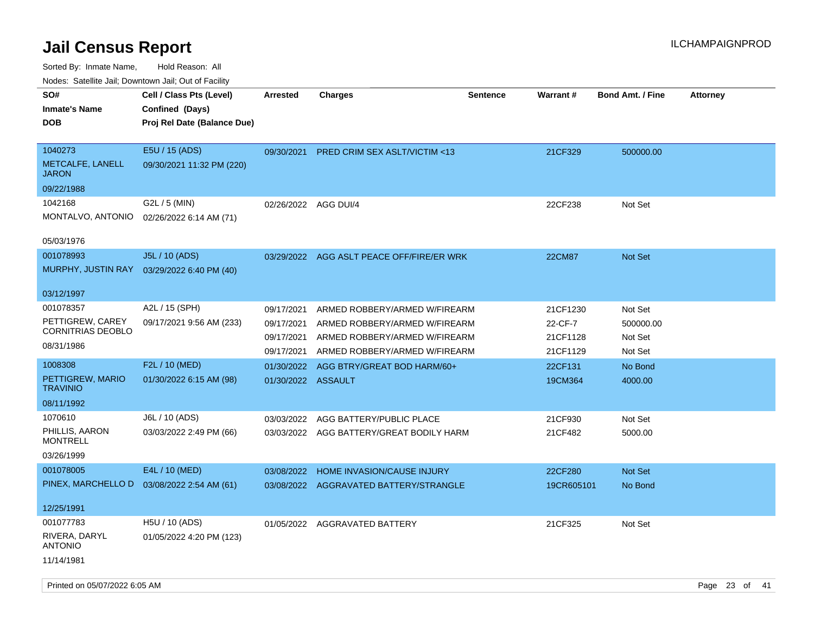| roaco. Odichile Jan, Downtown Jan, Out of Facility |                                             |                      |                                           |                 |               |                         |                 |
|----------------------------------------------------|---------------------------------------------|----------------------|-------------------------------------------|-----------------|---------------|-------------------------|-----------------|
| SO#                                                | Cell / Class Pts (Level)                    | Arrested             | <b>Charges</b>                            | <b>Sentence</b> | Warrant#      | <b>Bond Amt. / Fine</b> | <b>Attorney</b> |
| <b>Inmate's Name</b>                               | Confined (Days)                             |                      |                                           |                 |               |                         |                 |
| <b>DOB</b>                                         | Proj Rel Date (Balance Due)                 |                      |                                           |                 |               |                         |                 |
|                                                    |                                             |                      |                                           |                 |               |                         |                 |
| 1040273                                            | E5U / 15 (ADS)                              | 09/30/2021           | <b>PRED CRIM SEX ASLT/VICTIM &lt;13</b>   |                 | 21CF329       | 500000.00               |                 |
| METCALFE, LANELL<br><b>JARON</b>                   | 09/30/2021 11:32 PM (220)                   |                      |                                           |                 |               |                         |                 |
| 09/22/1988                                         |                                             |                      |                                           |                 |               |                         |                 |
| 1042168                                            | G2L / 5 (MIN)                               | 02/26/2022 AGG DUI/4 |                                           |                 | 22CF238       | Not Set                 |                 |
| MONTALVO, ANTONIO                                  | 02/26/2022 6:14 AM (71)                     |                      |                                           |                 |               |                         |                 |
|                                                    |                                             |                      |                                           |                 |               |                         |                 |
| 05/03/1976                                         |                                             |                      |                                           |                 |               |                         |                 |
| 001078993                                          | J5L / 10 (ADS)                              |                      | 03/29/2022 AGG ASLT PEACE OFF/FIRE/ER WRK |                 | <b>22CM87</b> | <b>Not Set</b>          |                 |
| MURPHY, JUSTIN RAY                                 | 03/29/2022 6:40 PM (40)                     |                      |                                           |                 |               |                         |                 |
|                                                    |                                             |                      |                                           |                 |               |                         |                 |
| 03/12/1997                                         |                                             |                      |                                           |                 |               |                         |                 |
| 001078357                                          | A2L / 15 (SPH)                              | 09/17/2021           | ARMED ROBBERY/ARMED W/FIREARM             |                 | 21CF1230      | Not Set                 |                 |
| PETTIGREW, CAREY                                   | 09/17/2021 9:56 AM (233)                    | 09/17/2021           | ARMED ROBBERY/ARMED W/FIREARM             |                 | 22-CF-7       | 500000.00               |                 |
| <b>CORNITRIAS DEOBLO</b>                           |                                             | 09/17/2021           | ARMED ROBBERY/ARMED W/FIREARM             |                 | 21CF1128      | Not Set                 |                 |
| 08/31/1986                                         |                                             | 09/17/2021           | ARMED ROBBERY/ARMED W/FIREARM             |                 | 21CF1129      | Not Set                 |                 |
| 1008308                                            | F2L / 10 (MED)                              | 01/30/2022           | AGG BTRY/GREAT BOD HARM/60+               |                 | 22CF131       | No Bond                 |                 |
| PETTIGREW, MARIO                                   | 01/30/2022 6:15 AM (98)                     | 01/30/2022 ASSAULT   |                                           |                 | 19CM364       | 4000.00                 |                 |
| <b>TRAVINIO</b>                                    |                                             |                      |                                           |                 |               |                         |                 |
| 08/11/1992                                         |                                             |                      |                                           |                 |               |                         |                 |
| 1070610                                            | J6L / 10 (ADS)                              | 03/03/2022           | AGG BATTERY/PUBLIC PLACE                  |                 | 21CF930       | Not Set                 |                 |
| PHILLIS, AARON                                     | 03/03/2022 2:49 PM (66)                     |                      | 03/03/2022 AGG BATTERY/GREAT BODILY HARM  |                 | 21CF482       | 5000.00                 |                 |
| <b>MONTRELL</b>                                    |                                             |                      |                                           |                 |               |                         |                 |
| 03/26/1999                                         |                                             |                      |                                           |                 |               |                         |                 |
| 001078005                                          | E4L / 10 (MED)                              | 03/08/2022           | HOME INVASION/CAUSE INJURY                |                 | 22CF280       | <b>Not Set</b>          |                 |
|                                                    | PINEX, MARCHELLO D  03/08/2022 2:54 AM (61) |                      | 03/08/2022 AGGRAVATED BATTERY/STRANGLE    |                 | 19CR605101    | No Bond                 |                 |
|                                                    |                                             |                      |                                           |                 |               |                         |                 |
| 12/25/1991                                         |                                             |                      |                                           |                 |               |                         |                 |
| 001077783                                          | H5U / 10 (ADS)                              |                      | 01/05/2022 AGGRAVATED BATTERY             |                 | 21CF325       | Not Set                 |                 |
| RIVERA, DARYL<br><b>ANTONIO</b>                    | 01/05/2022 4:20 PM (123)                    |                      |                                           |                 |               |                         |                 |
| 11/14/1981                                         |                                             |                      |                                           |                 |               |                         |                 |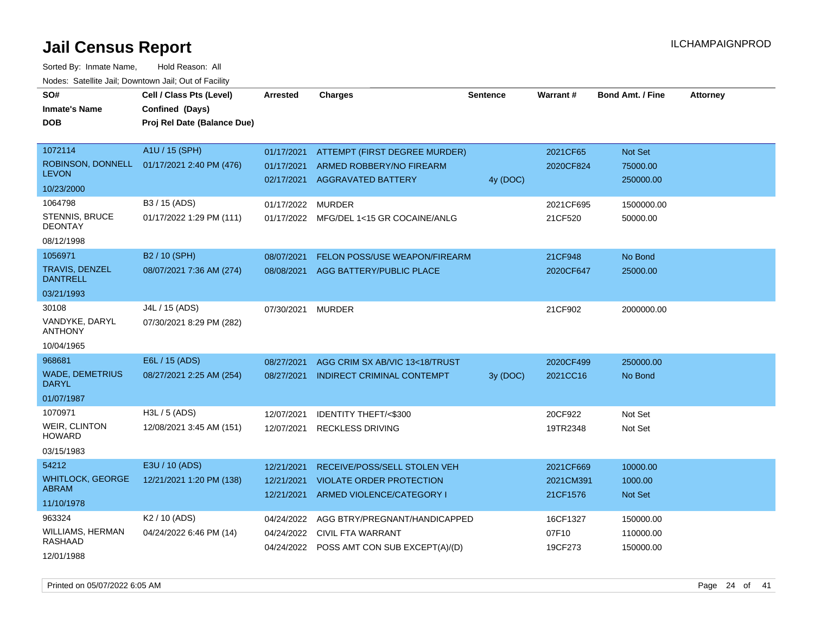Sorted By: Inmate Name, Hold Reason: All Nodes: Satellite Jail; Downtown Jail; Out of Facility

| SO#<br><b>Inmate's Name</b><br><b>DOB</b>                         | Cell / Class Pts (Level)<br>Confined (Days)<br>Proj Rel Date (Balance Due) | <b>Arrested</b>                        | <b>Charges</b>                                                                                         | <b>Sentence</b> | Warrant#                           | <b>Bond Amt. / Fine</b>               | <b>Attorney</b> |
|-------------------------------------------------------------------|----------------------------------------------------------------------------|----------------------------------------|--------------------------------------------------------------------------------------------------------|-----------------|------------------------------------|---------------------------------------|-----------------|
| 1072114<br>ROBINSON, DONNELL<br><b>LEVON</b><br>10/23/2000        | A1U / 15 (SPH)<br>01/17/2021 2:40 PM (476)                                 | 01/17/2021<br>01/17/2021<br>02/17/2021 | ATTEMPT (FIRST DEGREE MURDER)<br>ARMED ROBBERY/NO FIREARM<br><b>AGGRAVATED BATTERY</b>                 | 4y (DOC)        | 2021CF65<br>2020CF824              | Not Set<br>75000.00<br>250000.00      |                 |
| 1064798<br><b>STENNIS, BRUCE</b><br><b>DEONTAY</b><br>08/12/1998  | B3 / 15 (ADS)<br>01/17/2022 1:29 PM (111)                                  | 01/17/2022                             | <b>MURDER</b><br>01/17/2022 MFG/DEL 1<15 GR COCAINE/ANLG                                               |                 | 2021CF695<br>21CF520               | 1500000.00<br>50000.00                |                 |
| 1056971<br><b>TRAVIS, DENZEL</b><br><b>DANTRELL</b><br>03/21/1993 | B <sub>2</sub> / 10 (SPH)<br>08/07/2021 7:36 AM (274)                      | 08/07/2021<br>08/08/2021               | <b>FELON POSS/USE WEAPON/FIREARM</b><br>AGG BATTERY/PUBLIC PLACE                                       |                 | 21CF948<br>2020CF647               | No Bond<br>25000.00                   |                 |
| 30108<br>VANDYKE, DARYL<br><b>ANTHONY</b><br>10/04/1965           | J4L / 15 (ADS)<br>07/30/2021 8:29 PM (282)                                 | 07/30/2021                             | <b>MURDER</b>                                                                                          |                 | 21CF902                            | 2000000.00                            |                 |
| 968681<br><b>WADE, DEMETRIUS</b><br><b>DARYL</b><br>01/07/1987    | E6L / 15 (ADS)<br>08/27/2021 2:25 AM (254)                                 | 08/27/2021<br>08/27/2021               | AGG CRIM SX AB/VIC 13<18/TRUST<br><b>INDIRECT CRIMINAL CONTEMPT</b>                                    | 3y (DOC)        | 2020CF499<br>2021CC16              | 250000.00<br>No Bond                  |                 |
| 1070971<br><b>WEIR, CLINTON</b><br><b>HOWARD</b><br>03/15/1983    | $H3L / 5$ (ADS)<br>12/08/2021 3:45 AM (151)                                | 12/07/2021<br>12/07/2021               | <b>IDENTITY THEFT/&lt;\$300</b><br><b>RECKLESS DRIVING</b>                                             |                 | 20CF922<br>19TR2348                | Not Set<br>Not Set                    |                 |
| 54212<br><b>WHITLOCK, GEORGE</b><br><b>ABRAM</b><br>11/10/1978    | E3U / 10 (ADS)<br>12/21/2021 1:20 PM (138)                                 | 12/21/2021<br>12/21/2021<br>12/21/2021 | RECEIVE/POSS/SELL STOLEN VEH<br><b>VIOLATE ORDER PROTECTION</b><br>ARMED VIOLENCE/CATEGORY I           |                 | 2021CF669<br>2021CM391<br>21CF1576 | 10000.00<br>1000.00<br><b>Not Set</b> |                 |
| 963324<br>WILLIAMS, HERMAN<br>RASHAAD<br>12/01/1988               | K <sub>2</sub> / 10 (ADS)<br>04/24/2022 6:46 PM (14)                       | 04/24/2022<br>04/24/2022               | AGG BTRY/PREGNANT/HANDICAPPED<br><b>CIVIL FTA WARRANT</b><br>04/24/2022 POSS AMT CON SUB EXCEPT(A)/(D) |                 | 16CF1327<br>07F10<br>19CF273       | 150000.00<br>110000.00<br>150000.00   |                 |

Printed on 05/07/2022 6:05 AM Page 24 of 41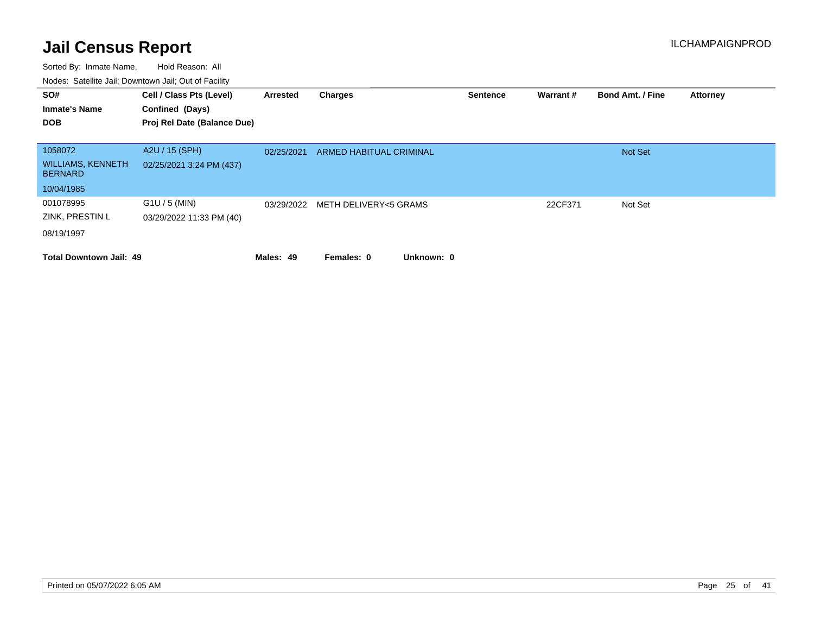| SO#<br><b>Inmate's Name</b><br><b>DOB</b>                           | Cell / Class Pts (Level)<br>Confined (Days)<br>Proj Rel Date (Balance Due) | Arrested   | Charges                        | <b>Sentence</b> | <b>Warrant#</b> | <b>Bond Amt. / Fine</b> | <b>Attorney</b> |
|---------------------------------------------------------------------|----------------------------------------------------------------------------|------------|--------------------------------|-----------------|-----------------|-------------------------|-----------------|
| 1058072<br><b>WILLIAMS, KENNETH</b><br><b>BERNARD</b><br>10/04/1985 | A2U / 15 (SPH)<br>02/25/2021 3:24 PM (437)                                 | 02/25/2021 | <b>ARMED HABITUAL CRIMINAL</b> |                 |                 | <b>Not Set</b>          |                 |
| 001078995<br>ZINK, PRESTIN L<br>08/19/1997                          | $G1U / 5$ (MIN)<br>03/29/2022 11:33 PM (40)                                | 03/29/2022 | METH DELIVERY<5 GRAMS          |                 | 22CF371         | Not Set                 |                 |
| <b>Total Downtown Jail: 49</b>                                      |                                                                            | Males: 49  | Unknown: 0<br>Females: 0       |                 |                 |                         |                 |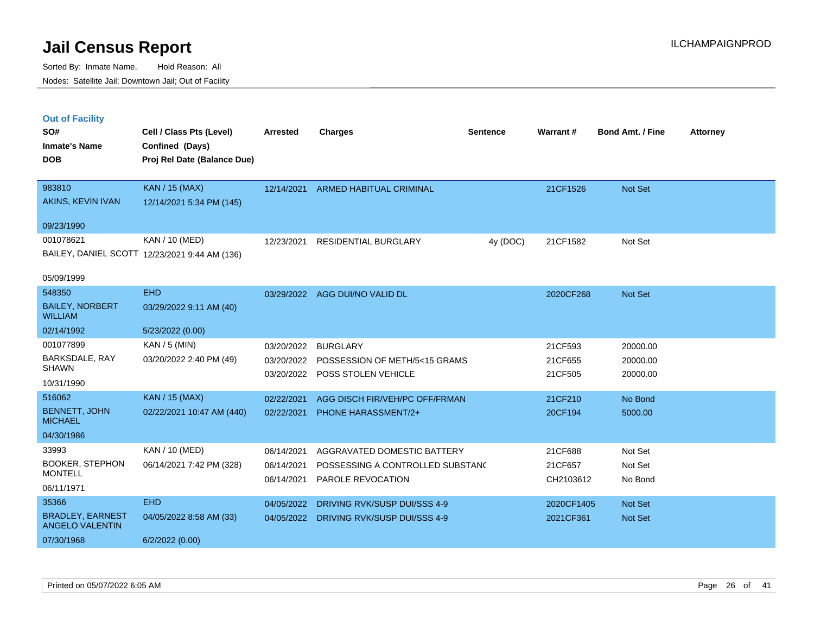|  | <b>Out of Facility</b> |  |
|--|------------------------|--|
|  |                        |  |
|  |                        |  |
|  |                        |  |

| SO#                                      | Cell / Class Pts (Level)                       | <b>Arrested</b> | <b>Charges</b>                          | <b>Sentence</b> | <b>Warrant#</b>         | <b>Bond Amt. / Fine</b> | <b>Attorney</b> |
|------------------------------------------|------------------------------------------------|-----------------|-----------------------------------------|-----------------|-------------------------|-------------------------|-----------------|
| <b>Inmate's Name</b><br><b>DOB</b>       | Confined (Days)<br>Proj Rel Date (Balance Due) |                 |                                         |                 |                         |                         |                 |
| 983810                                   | <b>KAN / 15 (MAX)</b>                          | 12/14/2021      | ARMED HABITUAL CRIMINAL                 |                 | 21CF1526                | Not Set                 |                 |
| AKINS, KEVIN IVAN                        | 12/14/2021 5:34 PM (145)                       |                 |                                         |                 |                         |                         |                 |
| 09/23/1990                               |                                                |                 |                                         |                 |                         |                         |                 |
| 001078621                                | KAN / 10 (MED)                                 | 12/23/2021      | <b>RESIDENTIAL BURGLARY</b>             | 4y (DOC)        | 21CF1582                | Not Set                 |                 |
|                                          | BAILEY, DANIEL SCOTT 12/23/2021 9:44 AM (136)  |                 |                                         |                 |                         |                         |                 |
| 05/09/1999                               |                                                |                 |                                         |                 |                         |                         |                 |
| 548350                                   | <b>EHD</b>                                     |                 | 03/29/2022 AGG DUI/NO VALID DL          |                 | 2020CF268               | Not Set                 |                 |
| <b>BAILEY, NORBERT</b><br><b>WILLIAM</b> | 03/29/2022 9:11 AM (40)                        |                 |                                         |                 |                         |                         |                 |
| 02/14/1992                               | 5/23/2022 (0.00)                               |                 |                                         |                 |                         |                         |                 |
| 001077899                                | KAN / 5 (MIN)                                  | 03/20/2022      | <b>BURGLARY</b>                         |                 | 21CF593                 | 20000.00                |                 |
| BARKSDALE, RAY<br><b>SHAWN</b>           | 03/20/2022 2:40 PM (49)                        | 03/20/2022      | POSSESSION OF METH/5<15 GRAMS           |                 | 21CF655                 | 20000.00                |                 |
| 10/31/1990                               |                                                | 03/20/2022      | <b>POSS STOLEN VEHICLE</b>              |                 | 21CF505                 | 20000.00                |                 |
| 516062                                   | <b>KAN / 15 (MAX)</b>                          | 02/22/2021      | AGG DISCH FIR/VEH/PC OFF/FRMAN          |                 | 21CF210                 | No Bond                 |                 |
| <b>BENNETT, JOHN</b><br><b>MICHAEL</b>   | 02/22/2021 10:47 AM (440)                      | 02/22/2021      | <b>PHONE HARASSMENT/2+</b>              |                 | 20CF194                 | 5000.00                 |                 |
| 04/30/1986                               |                                                |                 |                                         |                 |                         |                         |                 |
| 33993                                    | KAN / 10 (MED)                                 | 06/14/2021      | AGGRAVATED DOMESTIC BATTERY             |                 | 21CF688                 | Not Set                 |                 |
| <b>BOOKER, STEPHON</b><br><b>MONTELL</b> | 06/14/2021 7:42 PM (328)                       | 06/14/2021      | POSSESSING A CONTROLLED SUBSTANC        |                 | 21CF657                 | Not Set                 |                 |
| 06/11/1971                               |                                                | 06/14/2021      | PAROLE REVOCATION                       |                 | CH2103612               | No Bond                 |                 |
| 35366                                    | <b>EHD</b>                                     | 04/05/2022      | DRIVING RVK/SUSP DUI/SSS 4-9            |                 |                         |                         |                 |
| <b>BRADLEY, EARNEST</b>                  | 04/05/2022 8:58 AM (33)                        |                 | 04/05/2022 DRIVING RVK/SUSP DUI/SSS 4-9 |                 | 2020CF1405<br>2021CF361 | Not Set<br>Not Set      |                 |
| <b>ANGELO VALENTIN</b>                   |                                                |                 |                                         |                 |                         |                         |                 |
| 07/30/1968                               | 6/2/2022(0.00)                                 |                 |                                         |                 |                         |                         |                 |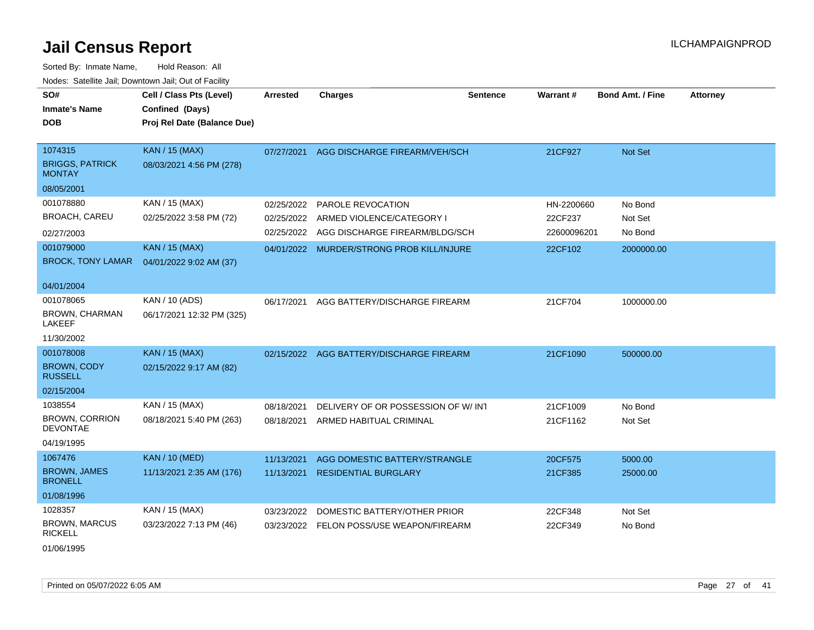Sorted By: Inmate Name, Hold Reason: All Nodes: Satellite Jail; Downtown Jail; Out of Facility

| SO#<br><b>Inmate's Name</b><br><b>DOB</b>           | Cell / Class Pts (Level)<br>Confined (Days)<br>Proj Rel Date (Balance Due) | <b>Arrested</b> | <b>Charges</b>                           | <b>Sentence</b> | Warrant#    | <b>Bond Amt. / Fine</b> | <b>Attorney</b> |
|-----------------------------------------------------|----------------------------------------------------------------------------|-----------------|------------------------------------------|-----------------|-------------|-------------------------|-----------------|
| 1074315<br><b>BRIGGS, PATRICK</b><br><b>MONTAY</b>  | <b>KAN / 15 (MAX)</b><br>08/03/2021 4:56 PM (278)                          | 07/27/2021      | AGG DISCHARGE FIREARM/VEH/SCH            |                 | 21CF927     | Not Set                 |                 |
| 08/05/2001                                          |                                                                            |                 |                                          |                 |             |                         |                 |
| 001078880                                           | KAN / 15 (MAX)                                                             | 02/25/2022      | PAROLE REVOCATION                        |                 | HN-2200660  | No Bond                 |                 |
| <b>BROACH, CAREU</b>                                | 02/25/2022 3:58 PM (72)                                                    | 02/25/2022      | ARMED VIOLENCE/CATEGORY I                |                 | 22CF237     | Not Set                 |                 |
| 02/27/2003                                          |                                                                            | 02/25/2022      | AGG DISCHARGE FIREARM/BLDG/SCH           |                 | 22600096201 | No Bond                 |                 |
| 001079000<br><b>BROCK, TONY LAMAR</b>               | <b>KAN / 15 (MAX)</b><br>04/01/2022 9:02 AM (37)                           | 04/01/2022      | MURDER/STRONG PROB KILL/INJURE           |                 | 22CF102     | 2000000.00              |                 |
| 04/01/2004                                          |                                                                            |                 |                                          |                 |             |                         |                 |
| 001078065<br><b>BROWN, CHARMAN</b><br><b>LAKEEF</b> | KAN / 10 (ADS)<br>06/17/2021 12:32 PM (325)                                | 06/17/2021      | AGG BATTERY/DISCHARGE FIREARM            |                 | 21CF704     | 1000000.00              |                 |
| 11/30/2002                                          |                                                                            |                 |                                          |                 |             |                         |                 |
| 001078008                                           | <b>KAN / 15 (MAX)</b>                                                      |                 | 02/15/2022 AGG BATTERY/DISCHARGE FIREARM |                 | 21CF1090    | 500000.00               |                 |
| <b>BROWN, CODY</b><br><b>RUSSELL</b>                | 02/15/2022 9:17 AM (82)                                                    |                 |                                          |                 |             |                         |                 |
| 02/15/2004                                          |                                                                            |                 |                                          |                 |             |                         |                 |
| 1038554                                             | KAN / 15 (MAX)                                                             | 08/18/2021      | DELIVERY OF OR POSSESSION OF W/INT       |                 | 21CF1009    | No Bond                 |                 |
| <b>BROWN, CORRION</b><br><b>DEVONTAE</b>            | 08/18/2021 5:40 PM (263)                                                   | 08/18/2021      | ARMED HABITUAL CRIMINAL                  |                 | 21CF1162    | Not Set                 |                 |
| 04/19/1995                                          |                                                                            |                 |                                          |                 |             |                         |                 |
| 1067476                                             | <b>KAN / 10 (MED)</b>                                                      | 11/13/2021      | AGG DOMESTIC BATTERY/STRANGLE            |                 | 20CF575     | 5000.00                 |                 |
| <b>BROWN, JAMES</b><br><b>BRONELL</b>               | 11/13/2021 2:35 AM (176)                                                   | 11/13/2021      | <b>RESIDENTIAL BURGLARY</b>              |                 | 21CF385     | 25000.00                |                 |
| 01/08/1996                                          |                                                                            |                 |                                          |                 |             |                         |                 |
| 1028357                                             | KAN / 15 (MAX)                                                             | 03/23/2022      | DOMESTIC BATTERY/OTHER PRIOR             |                 | 22CF348     | Not Set                 |                 |
| <b>BROWN, MARCUS</b><br><b>RICKELL</b>              | 03/23/2022 7:13 PM (46)                                                    | 03/23/2022      | FELON POSS/USE WEAPON/FIREARM            |                 | 22CF349     | No Bond                 |                 |
|                                                     |                                                                            |                 |                                          |                 |             |                         |                 |

01/06/1995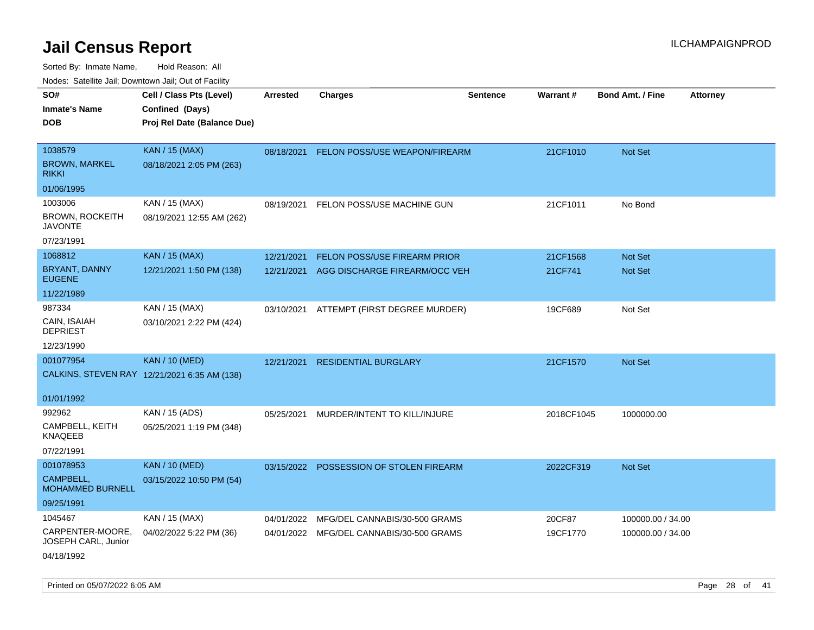| rouce. Calcinic Jan, Downtown Jan, Out or Facility |                                              |                 |                                          |                 |            |                         |                 |
|----------------------------------------------------|----------------------------------------------|-----------------|------------------------------------------|-----------------|------------|-------------------------|-----------------|
| SO#                                                | Cell / Class Pts (Level)                     | <b>Arrested</b> | <b>Charges</b>                           | <b>Sentence</b> | Warrant#   | <b>Bond Amt. / Fine</b> | <b>Attorney</b> |
| <b>Inmate's Name</b>                               | Confined (Days)                              |                 |                                          |                 |            |                         |                 |
| <b>DOB</b>                                         | Proj Rel Date (Balance Due)                  |                 |                                          |                 |            |                         |                 |
|                                                    |                                              |                 |                                          |                 |            |                         |                 |
| 1038579                                            | <b>KAN / 15 (MAX)</b>                        |                 | 08/18/2021 FELON POSS/USE WEAPON/FIREARM |                 | 21CF1010   | Not Set                 |                 |
| <b>BROWN, MARKEL</b><br><b>RIKKI</b>               | 08/18/2021 2:05 PM (263)                     |                 |                                          |                 |            |                         |                 |
| 01/06/1995                                         |                                              |                 |                                          |                 |            |                         |                 |
| 1003006                                            | KAN / 15 (MAX)                               | 08/19/2021      | FELON POSS/USE MACHINE GUN               |                 | 21CF1011   | No Bond                 |                 |
| <b>BROWN, ROCKEITH</b><br><b>JAVONTE</b>           | 08/19/2021 12:55 AM (262)                    |                 |                                          |                 |            |                         |                 |
| 07/23/1991                                         |                                              |                 |                                          |                 |            |                         |                 |
| 1068812                                            | <b>KAN / 15 (MAX)</b>                        | 12/21/2021      | FELON POSS/USE FIREARM PRIOR             |                 | 21CF1568   | Not Set                 |                 |
| BRYANT, DANNY<br><b>EUGENE</b>                     | 12/21/2021 1:50 PM (138)                     | 12/21/2021      | AGG DISCHARGE FIREARM/OCC VEH            |                 | 21CF741    | <b>Not Set</b>          |                 |
| 11/22/1989                                         |                                              |                 |                                          |                 |            |                         |                 |
| 987334                                             | KAN / 15 (MAX)                               | 03/10/2021      | ATTEMPT (FIRST DEGREE MURDER)            |                 | 19CF689    | Not Set                 |                 |
| CAIN, ISAIAH<br><b>DEPRIEST</b>                    | 03/10/2021 2:22 PM (424)                     |                 |                                          |                 |            |                         |                 |
| 12/23/1990                                         |                                              |                 |                                          |                 |            |                         |                 |
| 001077954                                          | <b>KAN / 10 (MED)</b>                        | 12/21/2021      | <b>RESIDENTIAL BURGLARY</b>              |                 | 21CF1570   | Not Set                 |                 |
|                                                    | CALKINS, STEVEN RAY 12/21/2021 6:35 AM (138) |                 |                                          |                 |            |                         |                 |
| 01/01/1992                                         |                                              |                 |                                          |                 |            |                         |                 |
| 992962                                             | KAN / 15 (ADS)                               | 05/25/2021      | MURDER/INTENT TO KILL/INJURE             |                 | 2018CF1045 | 1000000.00              |                 |
| CAMPBELL, KEITH<br><b>KNAQEEB</b>                  | 05/25/2021 1:19 PM (348)                     |                 |                                          |                 |            |                         |                 |
| 07/22/1991                                         |                                              |                 |                                          |                 |            |                         |                 |
| 001078953                                          | <b>KAN / 10 (MED)</b>                        |                 | 03/15/2022 POSSESSION OF STOLEN FIREARM  |                 | 2022CF319  | Not Set                 |                 |
| CAMPBELL,<br>MOHAMMED BURNELL                      | 03/15/2022 10:50 PM (54)                     |                 |                                          |                 |            |                         |                 |
| 09/25/1991                                         |                                              |                 |                                          |                 |            |                         |                 |
| 1045467                                            | KAN / 15 (MAX)                               | 04/01/2022      | MFG/DEL CANNABIS/30-500 GRAMS            |                 | 20CF87     | 100000.00 / 34.00       |                 |
| CARPENTER-MOORE,<br>JOSEPH CARL, Junior            | 04/02/2022 5:22 PM (36)                      |                 | 04/01/2022 MFG/DEL CANNABIS/30-500 GRAMS |                 | 19CF1770   | 100000.00 / 34.00       |                 |
| 04/18/1992                                         |                                              |                 |                                          |                 |            |                         |                 |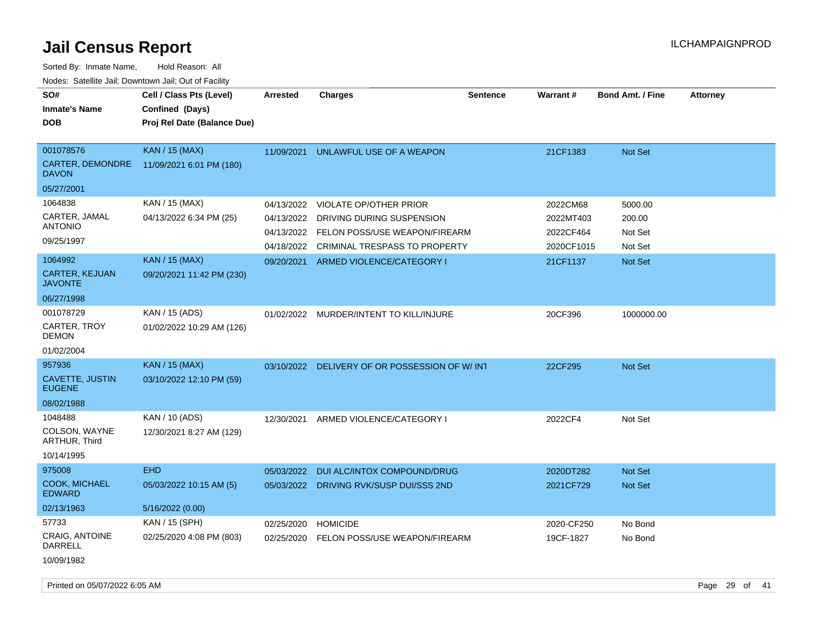| SO#<br><b>Inmate's Name</b><br>DOB                   | Cell / Class Pts (Level)<br>Confined (Days)<br>Proj Rel Date (Balance Due) | Arrested                 | Charges                                                    | <b>Sentence</b> | <b>Warrant#</b>        | <b>Bond Amt. / Fine</b> | <b>Attorney</b> |
|------------------------------------------------------|----------------------------------------------------------------------------|--------------------------|------------------------------------------------------------|-----------------|------------------------|-------------------------|-----------------|
| 001078576<br><b>CARTER, DEMONDRE</b><br><b>DAVON</b> | <b>KAN / 15 (MAX)</b><br>11/09/2021 6:01 PM (180)                          | 11/09/2021               | UNLAWFUL USE OF A WEAPON                                   |                 | 21CF1383               | <b>Not Set</b>          |                 |
| 05/27/2001                                           |                                                                            |                          |                                                            |                 |                        |                         |                 |
| 1064838                                              | KAN / 15 (MAX)                                                             | 04/13/2022               | <b>VIOLATE OP/OTHER PRIOR</b>                              |                 | 2022CM68               | 5000.00                 |                 |
| CARTER, JAMAL<br>ANTONIO                             | 04/13/2022 6:34 PM (25)                                                    | 04/13/2022<br>04/13/2022 | DRIVING DURING SUSPENSION<br>FELON POSS/USE WEAPON/FIREARM |                 | 2022MT403<br>2022CF464 | 200.00<br>Not Set       |                 |
| 09/25/1997                                           |                                                                            | 04/18/2022               | CRIMINAL TRESPASS TO PROPERTY                              |                 | 2020CF1015             | Not Set                 |                 |
| 1064992<br><b>CARTER, KEJUAN</b><br>JAVONTE          | <b>KAN / 15 (MAX)</b><br>09/20/2021 11:42 PM (230)                         | 09/20/2021               | ARMED VIOLENCE/CATEGORY I                                  |                 | 21CF1137               | <b>Not Set</b>          |                 |
| 06/27/1998                                           |                                                                            |                          |                                                            |                 |                        |                         |                 |
| 001078729<br>CARTER, TROY<br>DEMON                   | KAN / 15 (ADS)<br>01/02/2022 10:29 AM (126)                                |                          | 01/02/2022 MURDER/INTENT TO KILL/INJURE                    |                 | 20CF396                | 1000000.00              |                 |
| 01/02/2004                                           |                                                                            |                          |                                                            |                 |                        |                         |                 |
| 957936                                               | <b>KAN / 15 (MAX)</b>                                                      |                          | 03/10/2022 DELIVERY OF OR POSSESSION OF W/INT              |                 | 22CF295                | Not Set                 |                 |
| CAVETTE, JUSTIN<br><b>EUGENE</b>                     | 03/10/2022 12:10 PM (59)                                                   |                          |                                                            |                 |                        |                         |                 |
| 08/02/1988                                           |                                                                            |                          |                                                            |                 |                        |                         |                 |
| 1048488                                              | KAN / 10 (ADS)                                                             |                          | 12/30/2021 ARMED VIOLENCE/CATEGORY I                       |                 | 2022CF4                | Not Set                 |                 |
| COLSON, WAYNE<br>ARTHUR, Third                       | 12/30/2021 8:27 AM (129)                                                   |                          |                                                            |                 |                        |                         |                 |
| 10/14/1995                                           |                                                                            |                          |                                                            |                 |                        |                         |                 |
| 975008                                               | <b>EHD</b>                                                                 | 05/03/2022               | DUI ALC/INTOX COMPOUND/DRUG                                |                 | 2020DT282              | <b>Not Set</b>          |                 |
| <b>COOK, MICHAEL</b><br><b>EDWARD</b>                | 05/03/2022 10:15 AM (5)                                                    | 05/03/2022               | DRIVING RVK/SUSP DUI/SSS 2ND                               |                 | 2021CF729              | <b>Not Set</b>          |                 |
| 02/13/1963                                           | 5/16/2022 (0.00)                                                           |                          |                                                            |                 |                        |                         |                 |
| 57733                                                | KAN / 15 (SPH)                                                             | 02/25/2020               | <b>HOMICIDE</b>                                            |                 | 2020-CF250             | No Bond                 |                 |
| CRAIG, ANTOINE<br>DARRELL                            | 02/25/2020 4:08 PM (803)                                                   | 02/25/2020               | FELON POSS/USE WEAPON/FIREARM                              |                 | 19CF-1827              | No Bond                 |                 |
| 10/09/1982                                           |                                                                            |                          |                                                            |                 |                        |                         |                 |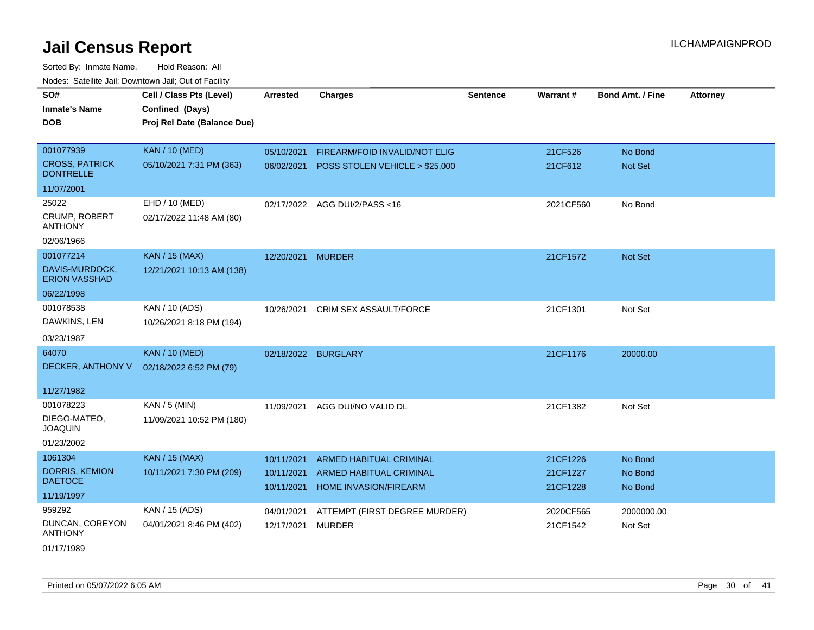| SO#<br><b>Inmate's Name</b><br><b>DOB</b> | Cell / Class Pts (Level)<br>Confined (Days)<br>Proj Rel Date (Balance Due) | <b>Arrested</b>          | <b>Charges</b>                                   | <b>Sentence</b> | Warrant#             | <b>Bond Amt. / Fine</b> | <b>Attorney</b> |
|-------------------------------------------|----------------------------------------------------------------------------|--------------------------|--------------------------------------------------|-----------------|----------------------|-------------------------|-----------------|
| 001077939                                 | <b>KAN / 10 (MED)</b>                                                      | 05/10/2021               | FIREARM/FOID INVALID/NOT ELIG                    |                 | 21CF526              | No Bond                 |                 |
| <b>CROSS, PATRICK</b><br><b>DONTRELLE</b> | 05/10/2021 7:31 PM (363)                                                   | 06/02/2021               | POSS STOLEN VEHICLE > \$25,000                   |                 | 21CF612              | Not Set                 |                 |
| 11/07/2001                                |                                                                            |                          |                                                  |                 |                      |                         |                 |
| 25022                                     | EHD / 10 (MED)                                                             |                          | 02/17/2022 AGG DUI/2/PASS<16                     |                 | 2021CF560            | No Bond                 |                 |
| <b>CRUMP, ROBERT</b><br>ANTHONY           | 02/17/2022 11:48 AM (80)                                                   |                          |                                                  |                 |                      |                         |                 |
| 02/06/1966                                |                                                                            |                          |                                                  |                 |                      |                         |                 |
| 001077214                                 | <b>KAN / 15 (MAX)</b>                                                      | 12/20/2021               | <b>MURDER</b>                                    |                 | 21CF1572             | <b>Not Set</b>          |                 |
| DAVIS-MURDOCK,<br><b>ERION VASSHAD</b>    | 12/21/2021 10:13 AM (138)                                                  |                          |                                                  |                 |                      |                         |                 |
| 06/22/1998                                |                                                                            |                          |                                                  |                 |                      |                         |                 |
| 001078538                                 | KAN / 10 (ADS)                                                             | 10/26/2021               | CRIM SEX ASSAULT/FORCE                           |                 | 21CF1301             | Not Set                 |                 |
| DAWKINS, LEN                              | 10/26/2021 8:18 PM (194)                                                   |                          |                                                  |                 |                      |                         |                 |
| 03/23/1987                                |                                                                            |                          |                                                  |                 |                      |                         |                 |
| 64070                                     | <b>KAN / 10 (MED)</b>                                                      | 02/18/2022 BURGLARY      |                                                  |                 | 21CF1176             | 20000.00                |                 |
| DECKER, ANTHONY V                         | 02/18/2022 6:52 PM (79)                                                    |                          |                                                  |                 |                      |                         |                 |
| 11/27/1982                                |                                                                            |                          |                                                  |                 |                      |                         |                 |
| 001078223                                 | KAN / 5 (MIN)                                                              | 11/09/2021               | AGG DUI/NO VALID DL                              |                 | 21CF1382             | Not Set                 |                 |
| DIEGO-MATEO,<br><b>JOAQUIN</b>            | 11/09/2021 10:52 PM (180)                                                  |                          |                                                  |                 |                      |                         |                 |
| 01/23/2002                                |                                                                            |                          |                                                  |                 |                      |                         |                 |
| 1061304                                   | <b>KAN / 15 (MAX)</b>                                                      | 10/11/2021               | ARMED HABITUAL CRIMINAL                          |                 | 21CF1226             | No Bond                 |                 |
| DORRIS, KEMION<br><b>DAETOCE</b>          | 10/11/2021 7:30 PM (209)                                                   | 10/11/2021<br>10/11/2021 | ARMED HABITUAL CRIMINAL<br>HOME INVASION/FIREARM |                 | 21CF1227<br>21CF1228 | No Bond<br>No Bond      |                 |
| 11/19/1997                                |                                                                            |                          |                                                  |                 |                      |                         |                 |
| 959292                                    | KAN / 15 (ADS)                                                             | 04/01/2021               | ATTEMPT (FIRST DEGREE MURDER)                    |                 | 2020CF565            | 2000000.00              |                 |
| DUNCAN, COREYON<br><b>ANTHONY</b>         | 04/01/2021 8:46 PM (402)                                                   | 12/17/2021               | <b>MURDER</b>                                    |                 | 21CF1542             | Not Set                 |                 |
| 01/17/1989                                |                                                                            |                          |                                                  |                 |                      |                         |                 |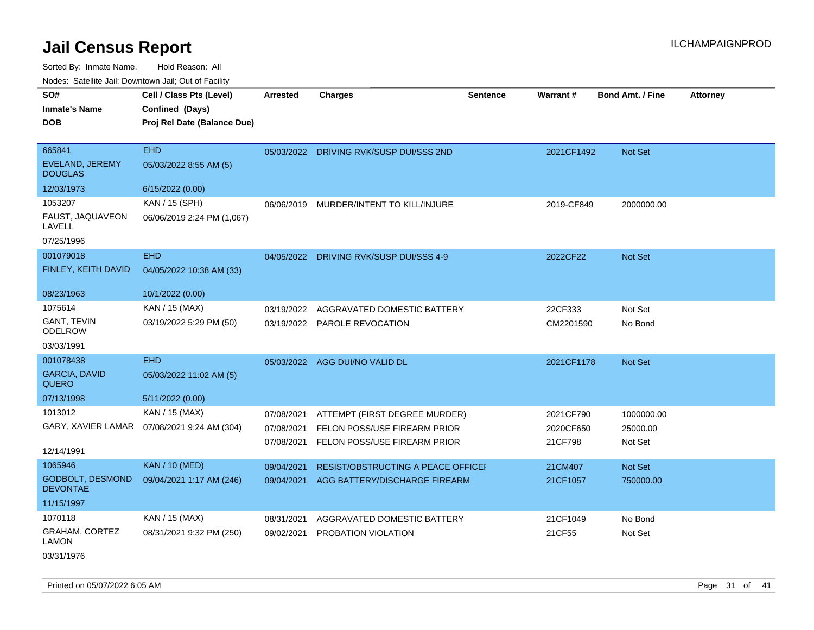Sorted By: Inmate Name, Hold Reason: All

Nodes: Satellite Jail; Downtown Jail; Out of Facility

| SO#<br><b>Inmate's Name</b><br><b>DOB</b>           | Cell / Class Pts (Level)<br>Confined (Days)<br>Proj Rel Date (Balance Due) | <b>Arrested</b> | <b>Charges</b>                          | <b>Sentence</b> | Warrant#   | <b>Bond Amt. / Fine</b> | <b>Attorney</b> |
|-----------------------------------------------------|----------------------------------------------------------------------------|-----------------|-----------------------------------------|-----------------|------------|-------------------------|-----------------|
| 665841<br><b>EVELAND, JEREMY</b><br><b>DOUGLAS</b>  | <b>EHD</b><br>05/03/2022 8:55 AM (5)                                       | 05/03/2022      | DRIVING RVK/SUSP DUI/SSS 2ND            |                 | 2021CF1492 | Not Set                 |                 |
| 12/03/1973                                          | 6/15/2022 (0.00)                                                           |                 |                                         |                 |            |                         |                 |
| 1053207<br>FAUST, JAQUAVEON<br>LAVELL<br>07/25/1996 | KAN / 15 (SPH)<br>06/06/2019 2:24 PM (1,067)                               | 06/06/2019      | MURDER/INTENT TO KILL/INJURE            |                 | 2019-CF849 | 2000000.00              |                 |
| 001079018                                           | <b>EHD</b>                                                                 |                 | 04/05/2022 DRIVING RVK/SUSP DUI/SSS 4-9 |                 | 2022CF22   | Not Set                 |                 |
| FINLEY, KEITH DAVID                                 | 04/05/2022 10:38 AM (33)                                                   |                 |                                         |                 |            |                         |                 |
| 08/23/1963                                          | 10/1/2022 (0.00)                                                           |                 |                                         |                 |            |                         |                 |
| 1075614                                             | KAN / 15 (MAX)                                                             | 03/19/2022      | AGGRAVATED DOMESTIC BATTERY             |                 | 22CF333    | Not Set                 |                 |
| GANT, TEVIN<br><b>ODELROW</b>                       | 03/19/2022 5:29 PM (50)                                                    |                 | 03/19/2022 PAROLE REVOCATION            |                 | CM2201590  | No Bond                 |                 |
| 03/03/1991                                          |                                                                            |                 |                                         |                 |            |                         |                 |
| 001078438                                           | <b>EHD</b>                                                                 |                 | 05/03/2022 AGG DUI/NO VALID DL          |                 | 2021CF1178 | Not Set                 |                 |
| <b>GARCIA, DAVID</b><br><b>QUERO</b>                | 05/03/2022 11:02 AM (5)                                                    |                 |                                         |                 |            |                         |                 |
| 07/13/1998                                          | 5/11/2022 (0.00)                                                           |                 |                                         |                 |            |                         |                 |
| 1013012                                             | KAN / 15 (MAX)                                                             | 07/08/2021      | ATTEMPT (FIRST DEGREE MURDER)           |                 | 2021CF790  | 1000000.00              |                 |
|                                                     | GARY, XAVIER LAMAR  07/08/2021 9:24 AM (304)                               | 07/08/2021      | FELON POSS/USE FIREARM PRIOR            |                 | 2020CF650  | 25000.00                |                 |
| 12/14/1991                                          |                                                                            | 07/08/2021      | FELON POSS/USE FIREARM PRIOR            |                 | 21CF798    | Not Set                 |                 |
| 1065946                                             | <b>KAN / 10 (MED)</b>                                                      | 09/04/2021      | RESIST/OBSTRUCTING A PEACE OFFICEI      |                 | 21CM407    | Not Set                 |                 |
| <b>GODBOLT, DESMOND</b><br><b>DEVONTAE</b>          | 09/04/2021 1:17 AM (246)                                                   | 09/04/2021      | AGG BATTERY/DISCHARGE FIREARM           |                 | 21CF1057   | 750000.00               |                 |
| 11/15/1997                                          |                                                                            |                 |                                         |                 |            |                         |                 |
| 1070118                                             | KAN / 15 (MAX)                                                             | 08/31/2021      | AGGRAVATED DOMESTIC BATTERY             |                 | 21CF1049   | No Bond                 |                 |
| GRAHAM, CORTEZ<br><b>LAMON</b>                      | 08/31/2021 9:32 PM (250)                                                   | 09/02/2021      | PROBATION VIOLATION                     |                 | 21CF55     | Not Set                 |                 |

03/31/1976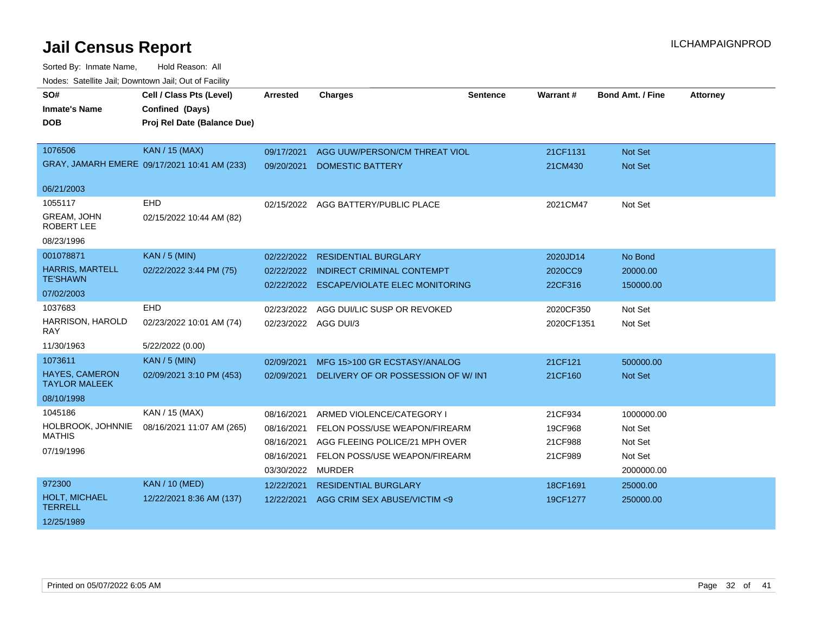| SO#                                           | Cell / Class Pts (Level)                     | <b>Arrested</b>      | <b>Charges</b>                        | <b>Sentence</b> | <b>Warrant#</b> | <b>Bond Amt. / Fine</b> | <b>Attorney</b> |
|-----------------------------------------------|----------------------------------------------|----------------------|---------------------------------------|-----------------|-----------------|-------------------------|-----------------|
| <b>Inmate's Name</b>                          | Confined (Days)                              |                      |                                       |                 |                 |                         |                 |
| <b>DOB</b>                                    | Proj Rel Date (Balance Due)                  |                      |                                       |                 |                 |                         |                 |
|                                               |                                              |                      |                                       |                 |                 |                         |                 |
| 1076506                                       | <b>KAN / 15 (MAX)</b>                        | 09/17/2021           | AGG UUW/PERSON/CM THREAT VIOL         |                 | 21CF1131        | <b>Not Set</b>          |                 |
|                                               | GRAY, JAMARH EMERE 09/17/2021 10:41 AM (233) | 09/20/2021           | <b>DOMESTIC BATTERY</b>               |                 | 21CM430         | Not Set                 |                 |
|                                               |                                              |                      |                                       |                 |                 |                         |                 |
| 06/21/2003                                    |                                              |                      |                                       |                 |                 |                         |                 |
| 1055117                                       | <b>EHD</b>                                   |                      | 02/15/2022 AGG BATTERY/PUBLIC PLACE   |                 | 2021CM47        | Not Set                 |                 |
| <b>GREAM, JOHN</b><br><b>ROBERT LEE</b>       | 02/15/2022 10:44 AM (82)                     |                      |                                       |                 |                 |                         |                 |
| 08/23/1996                                    |                                              |                      |                                       |                 |                 |                         |                 |
| 001078871                                     | <b>KAN / 5 (MIN)</b>                         | 02/22/2022           | <b>RESIDENTIAL BURGLARY</b>           |                 | 2020JD14        | No Bond                 |                 |
| <b>HARRIS, MARTELL</b>                        | 02/22/2022 3:44 PM (75)                      | 02/22/2022           | <b>INDIRECT CRIMINAL CONTEMPT</b>     |                 | 2020CC9         | 20000.00                |                 |
| <b>TE'SHAWN</b>                               |                                              | 02/22/2022           | <b>ESCAPE/VIOLATE ELEC MONITORING</b> |                 | 22CF316         | 150000.00               |                 |
| 07/02/2003                                    |                                              |                      |                                       |                 |                 |                         |                 |
| 1037683                                       | <b>EHD</b>                                   | 02/23/2022           | AGG DUI/LIC SUSP OR REVOKED           |                 | 2020CF350       | Not Set                 |                 |
| HARRISON, HAROLD<br>RAY                       | 02/23/2022 10:01 AM (74)                     | 02/23/2022 AGG DUI/3 |                                       |                 | 2020CF1351      | Not Set                 |                 |
| 11/30/1963                                    | 5/22/2022 (0.00)                             |                      |                                       |                 |                 |                         |                 |
| 1073611                                       | <b>KAN / 5 (MIN)</b>                         | 02/09/2021           | MFG 15>100 GR ECSTASY/ANALOG          |                 | 21CF121         | 500000.00               |                 |
| <b>HAYES, CAMERON</b><br><b>TAYLOR MALEEK</b> | 02/09/2021 3:10 PM (453)                     | 02/09/2021           | DELIVERY OF OR POSSESSION OF W/INT    |                 | 21CF160         | Not Set                 |                 |
| 08/10/1998                                    |                                              |                      |                                       |                 |                 |                         |                 |
| 1045186                                       | KAN / 15 (MAX)                               | 08/16/2021           | ARMED VIOLENCE/CATEGORY I             |                 | 21CF934         | 1000000.00              |                 |
| HOLBROOK, JOHNNIE                             | 08/16/2021 11:07 AM (265)                    | 08/16/2021           | FELON POSS/USE WEAPON/FIREARM         |                 | 19CF968         | Not Set                 |                 |
| <b>MATHIS</b>                                 |                                              | 08/16/2021           | AGG FLEEING POLICE/21 MPH OVER        |                 | 21CF988         | Not Set                 |                 |
| 07/19/1996                                    |                                              | 08/16/2021           | FELON POSS/USE WEAPON/FIREARM         |                 | 21CF989         | Not Set                 |                 |
|                                               |                                              | 03/30/2022           | <b>MURDER</b>                         |                 |                 | 2000000.00              |                 |
| 972300                                        | <b>KAN / 10 (MED)</b>                        | 12/22/2021           | <b>RESIDENTIAL BURGLARY</b>           |                 | 18CF1691        | 25000.00                |                 |
| HOLT, MICHAEL<br><b>TERRELL</b>               | 12/22/2021 8:36 AM (137)                     | 12/22/2021           | AGG CRIM SEX ABUSE/VICTIM <9          |                 | 19CF1277        | 250000.00               |                 |
| 12/25/1989                                    |                                              |                      |                                       |                 |                 |                         |                 |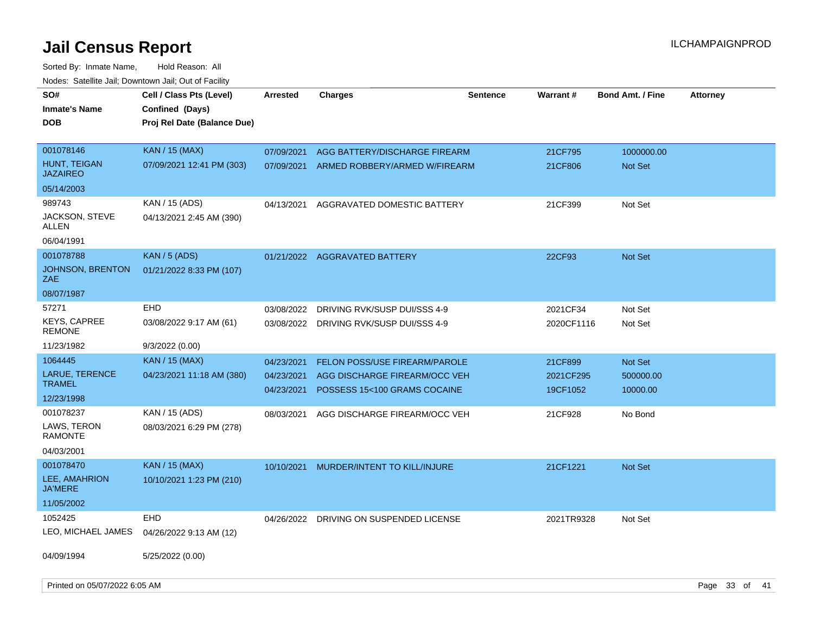| SO#<br><b>Inmate's Name</b><br>DOB                                     | Cell / Class Pts (Level)<br>Confined (Days)<br>Proj Rel Date (Balance Due) | <b>Arrested</b>                        | <b>Charges</b>                                                                                 | <b>Sentence</b> | <b>Warrant#</b>                  | <b>Bond Amt. / Fine</b>          | <b>Attorney</b> |  |
|------------------------------------------------------------------------|----------------------------------------------------------------------------|----------------------------------------|------------------------------------------------------------------------------------------------|-----------------|----------------------------------|----------------------------------|-----------------|--|
| 001078146<br>HUNT, TEIGAN<br><b>JAZAIREO</b><br>05/14/2003             | <b>KAN / 15 (MAX)</b><br>07/09/2021 12:41 PM (303)                         | 07/09/2021<br>07/09/2021               | AGG BATTERY/DISCHARGE FIREARM<br>ARMED ROBBERY/ARMED W/FIREARM                                 |                 | 21CF795<br>21CF806               | 1000000.00<br>Not Set            |                 |  |
| 989743<br>JACKSON, STEVE<br>ALLEN<br>06/04/1991                        | KAN / 15 (ADS)<br>04/13/2021 2:45 AM (390)                                 | 04/13/2021                             | AGGRAVATED DOMESTIC BATTERY                                                                    |                 | 21CF399                          | Not Set                          |                 |  |
| 001078788<br><b>JOHNSON, BRENTON</b><br>ZAE<br>08/07/1987              | <b>KAN / 5 (ADS)</b><br>01/21/2022 8:33 PM (107)                           |                                        | 01/21/2022 AGGRAVATED BATTERY                                                                  |                 | 22CF93                           | Not Set                          |                 |  |
| 57271<br><b>KEYS, CAPREE</b><br><b>REMONE</b>                          | <b>EHD</b><br>03/08/2022 9:17 AM (61)                                      | 03/08/2022                             | DRIVING RVK/SUSP DUI/SSS 4-9<br>03/08/2022 DRIVING RVK/SUSP DUI/SSS 4-9                        |                 | 2021CF34<br>2020CF1116           | Not Set<br>Not Set               |                 |  |
| 11/23/1982<br>1064445<br>LARUE, TERENCE<br><b>TRAMEL</b><br>12/23/1998 | 9/3/2022 (0.00)<br><b>KAN</b> / 15 (MAX)<br>04/23/2021 11:18 AM (380)      | 04/23/2021<br>04/23/2021<br>04/23/2021 | FELON POSS/USE FIREARM/PAROLE<br>AGG DISCHARGE FIREARM/OCC VEH<br>POSSESS 15<100 GRAMS COCAINE |                 | 21CF899<br>2021CF295<br>19CF1052 | Not Set<br>500000.00<br>10000.00 |                 |  |
| 001078237<br>LAWS, TERON<br><b>RAMONTE</b><br>04/03/2001               | KAN / 15 (ADS)<br>08/03/2021 6:29 PM (278)                                 | 08/03/2021                             | AGG DISCHARGE FIREARM/OCC VEH                                                                  |                 | 21CF928                          | No Bond                          |                 |  |
| 001078470<br>LEE, AMAHRION<br><b>JA'MERE</b><br>11/05/2002             | <b>KAN / 15 (MAX)</b><br>10/10/2021 1:23 PM (210)                          | 10/10/2021                             | MURDER/INTENT TO KILL/INJURE                                                                   |                 | 21CF1221                         | Not Set                          |                 |  |
| 1052425<br>LEO, MICHAEL JAMES                                          | <b>EHD</b><br>04/26/2022 9:13 AM (12)                                      | 04/26/2022                             | DRIVING ON SUSPENDED LICENSE                                                                   |                 | 2021TR9328                       | Not Set                          |                 |  |
| 04/09/1994<br>Printed on 05/07/2022 6:05 AM                            | 5/25/2022 (0.00)                                                           |                                        |                                                                                                |                 |                                  |                                  | Page 33 of 41   |  |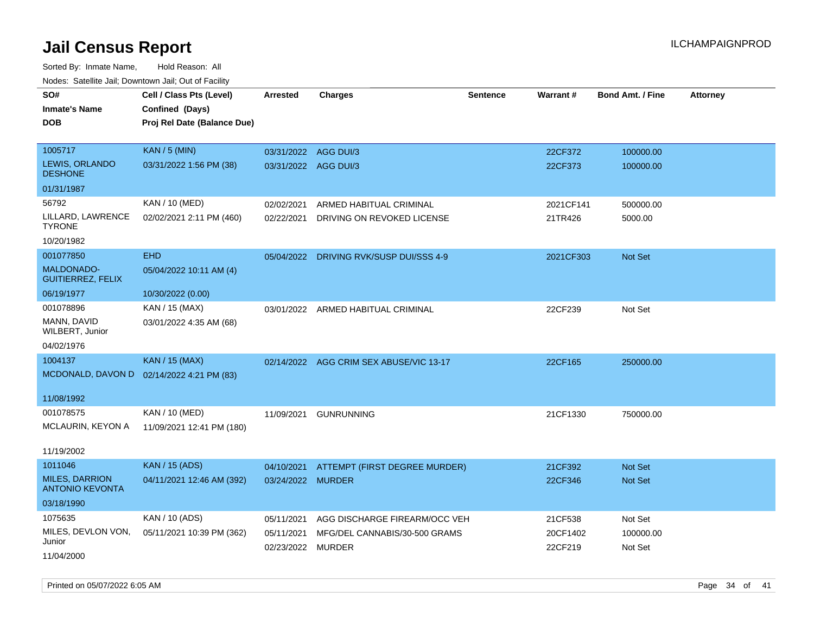| rougs. Calcing Jan, Downtown Jan, Out of Facility |                                           |                      |                                         |                 |           |                         |                 |
|---------------------------------------------------|-------------------------------------------|----------------------|-----------------------------------------|-----------------|-----------|-------------------------|-----------------|
| SO#                                               | Cell / Class Pts (Level)                  | <b>Arrested</b>      | <b>Charges</b>                          | <b>Sentence</b> | Warrant#  | <b>Bond Amt. / Fine</b> | <b>Attorney</b> |
| <b>Inmate's Name</b>                              | Confined (Days)                           |                      |                                         |                 |           |                         |                 |
| <b>DOB</b>                                        | Proj Rel Date (Balance Due)               |                      |                                         |                 |           |                         |                 |
|                                                   |                                           |                      |                                         |                 |           |                         |                 |
| 1005717                                           | <b>KAN / 5 (MIN)</b>                      | 03/31/2022 AGG DUI/3 |                                         |                 | 22CF372   | 100000.00               |                 |
| LEWIS, ORLANDO<br><b>DESHONE</b>                  | 03/31/2022 1:56 PM (38)                   | 03/31/2022 AGG DUI/3 |                                         |                 | 22CF373   | 100000.00               |                 |
| 01/31/1987                                        |                                           |                      |                                         |                 |           |                         |                 |
| 56792                                             | <b>KAN / 10 (MED)</b>                     | 02/02/2021           | ARMED HABITUAL CRIMINAL                 |                 | 2021CF141 | 500000.00               |                 |
| LILLARD, LAWRENCE<br><b>TYRONE</b>                | 02/02/2021 2:11 PM (460)                  | 02/22/2021           | DRIVING ON REVOKED LICENSE              |                 | 21TR426   | 5000.00                 |                 |
| 10/20/1982                                        |                                           |                      |                                         |                 |           |                         |                 |
| 001077850                                         | <b>EHD</b>                                |                      | 05/04/2022 DRIVING RVK/SUSP DUI/SSS 4-9 |                 | 2021CF303 | Not Set                 |                 |
| <b>MALDONADO-</b><br><b>GUITIERREZ, FELIX</b>     | 05/04/2022 10:11 AM (4)                   |                      |                                         |                 |           |                         |                 |
| 06/19/1977                                        | 10/30/2022 (0.00)                         |                      |                                         |                 |           |                         |                 |
| 001078896                                         | KAN / 15 (MAX)                            |                      | 03/01/2022 ARMED HABITUAL CRIMINAL      |                 | 22CF239   | Not Set                 |                 |
| MANN, DAVID<br>WILBERT, Junior                    | 03/01/2022 4:35 AM (68)                   |                      |                                         |                 |           |                         |                 |
| 04/02/1976                                        |                                           |                      |                                         |                 |           |                         |                 |
| 1004137                                           | <b>KAN / 15 (MAX)</b>                     |                      | 02/14/2022 AGG CRIM SEX ABUSE/VIC 13-17 |                 | 22CF165   | 250000.00               |                 |
|                                                   | MCDONALD, DAVON D 02/14/2022 4:21 PM (83) |                      |                                         |                 |           |                         |                 |
|                                                   |                                           |                      |                                         |                 |           |                         |                 |
| 11/08/1992                                        |                                           |                      |                                         |                 |           |                         |                 |
| 001078575                                         | KAN / 10 (MED)                            | 11/09/2021           | <b>GUNRUNNING</b>                       |                 | 21CF1330  | 750000.00               |                 |
| MCLAURIN, KEYON A                                 | 11/09/2021 12:41 PM (180)                 |                      |                                         |                 |           |                         |                 |
| 11/19/2002                                        |                                           |                      |                                         |                 |           |                         |                 |
| 1011046                                           | <b>KAN / 15 (ADS)</b>                     | 04/10/2021           | ATTEMPT (FIRST DEGREE MURDER)           |                 | 21CF392   | <b>Not Set</b>          |                 |
| <b>MILES, DARRION</b><br><b>ANTONIO KEVONTA</b>   | 04/11/2021 12:46 AM (392)                 | 03/24/2022 MURDER    |                                         |                 | 22CF346   | Not Set                 |                 |
| 03/18/1990                                        |                                           |                      |                                         |                 |           |                         |                 |
| 1075635                                           | KAN / 10 (ADS)                            | 05/11/2021           | AGG DISCHARGE FIREARM/OCC VEH           |                 | 21CF538   | Not Set                 |                 |
| MILES, DEVLON VON,                                | 05/11/2021 10:39 PM (362)                 | 05/11/2021           | MFG/DEL CANNABIS/30-500 GRAMS           |                 | 20CF1402  | 100000.00               |                 |
| Junior                                            |                                           | 02/23/2022 MURDER    |                                         |                 | 22CF219   | Not Set                 |                 |
| 11/04/2000                                        |                                           |                      |                                         |                 |           |                         |                 |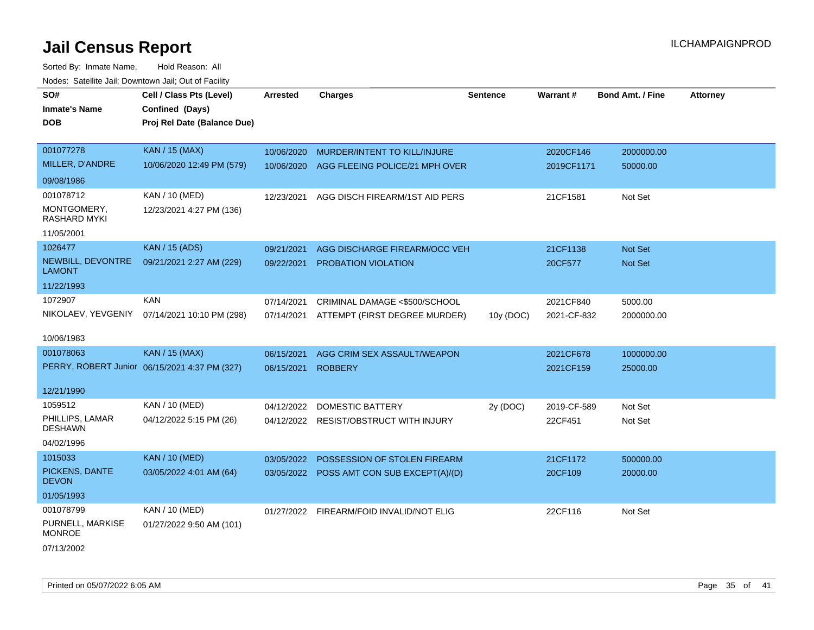Sorted By: Inmate Name, Hold Reason: All Nodes: Satellite Jail; Downtown Jail; Out of Facility

| rouce. Calcinic Jan, Downtown Jan, Out of Facility |                                               |                 |                                           |                 |             |                         |                 |
|----------------------------------------------------|-----------------------------------------------|-----------------|-------------------------------------------|-----------------|-------------|-------------------------|-----------------|
| SO#                                                | Cell / Class Pts (Level)                      | <b>Arrested</b> | <b>Charges</b>                            | <b>Sentence</b> | Warrant#    | <b>Bond Amt. / Fine</b> | <b>Attorney</b> |
| <b>Inmate's Name</b>                               | Confined (Days)                               |                 |                                           |                 |             |                         |                 |
| <b>DOB</b>                                         | Proj Rel Date (Balance Due)                   |                 |                                           |                 |             |                         |                 |
|                                                    |                                               |                 |                                           |                 |             |                         |                 |
| 001077278                                          | KAN / 15 (MAX)                                | 10/06/2020      | MURDER/INTENT TO KILL/INJURE              |                 | 2020CF146   | 2000000.00              |                 |
| MILLER, D'ANDRE                                    | 10/06/2020 12:49 PM (579)                     | 10/06/2020      | AGG FLEEING POLICE/21 MPH OVER            |                 | 2019CF1171  | 50000.00                |                 |
| 09/08/1986                                         |                                               |                 |                                           |                 |             |                         |                 |
| 001078712                                          | KAN / 10 (MED)                                | 12/23/2021      | AGG DISCH FIREARM/1ST AID PERS            |                 | 21CF1581    | Not Set                 |                 |
| MONTGOMERY,<br><b>RASHARD MYKI</b>                 | 12/23/2021 4:27 PM (136)                      |                 |                                           |                 |             |                         |                 |
| 11/05/2001                                         |                                               |                 |                                           |                 |             |                         |                 |
| 1026477                                            | <b>KAN / 15 (ADS)</b>                         | 09/21/2021      | AGG DISCHARGE FIREARM/OCC VEH             |                 | 21CF1138    | Not Set                 |                 |
| NEWBILL, DEVONTRE<br><b>LAMONT</b>                 | 09/21/2021 2:27 AM (229)                      | 09/22/2021      | <b>PROBATION VIOLATION</b>                |                 | 20CF577     | Not Set                 |                 |
| 11/22/1993                                         |                                               |                 |                                           |                 |             |                         |                 |
| 1072907                                            | <b>KAN</b>                                    | 07/14/2021      | CRIMINAL DAMAGE <\$500/SCHOOL             |                 | 2021CF840   | 5000.00                 |                 |
| NIKOLAEV, YEVGENIY                                 | 07/14/2021 10:10 PM (298)                     | 07/14/2021      | ATTEMPT (FIRST DEGREE MURDER)             | 10y (DOC)       | 2021-CF-832 | 2000000.00              |                 |
|                                                    |                                               |                 |                                           |                 |             |                         |                 |
| 10/06/1983                                         |                                               |                 |                                           |                 |             |                         |                 |
| 001078063                                          | <b>KAN / 15 (MAX)</b>                         | 06/15/2021      | AGG CRIM SEX ASSAULT/WEAPON               |                 | 2021CF678   | 1000000.00              |                 |
|                                                    | PERRY, ROBERT Junior 06/15/2021 4:37 PM (327) | 06/15/2021      | <b>ROBBERY</b>                            |                 | 2021CF159   | 25000.00                |                 |
| 12/21/1990                                         |                                               |                 |                                           |                 |             |                         |                 |
| 1059512                                            | KAN / 10 (MED)                                | 04/12/2022      | <b>DOMESTIC BATTERY</b>                   | 2y (DOC)        | 2019-CF-589 | Not Set                 |                 |
| PHILLIPS, LAMAR<br><b>DESHAWN</b>                  | 04/12/2022 5:15 PM (26)                       |                 | 04/12/2022 RESIST/OBSTRUCT WITH INJURY    |                 | 22CF451     | Not Set                 |                 |
| 04/02/1996                                         |                                               |                 |                                           |                 |             |                         |                 |
| 1015033                                            | <b>KAN / 10 (MED)</b>                         | 03/05/2022      | POSSESSION OF STOLEN FIREARM              |                 | 21CF1172    | 500000.00               |                 |
| PICKENS, DANTE<br><b>DEVON</b>                     | 03/05/2022 4:01 AM (64)                       |                 | 03/05/2022 POSS AMT CON SUB EXCEPT(A)/(D) |                 | 20CF109     | 20000.00                |                 |
| 01/05/1993                                         |                                               |                 |                                           |                 |             |                         |                 |
| 001078799                                          | KAN / 10 (MED)                                |                 | 01/27/2022 FIREARM/FOID INVALID/NOT ELIG  |                 | 22CF116     | Not Set                 |                 |
| PURNELL, MARKISE<br><b>MONROE</b>                  | 01/27/2022 9:50 AM (101)                      |                 |                                           |                 |             |                         |                 |

07/13/2002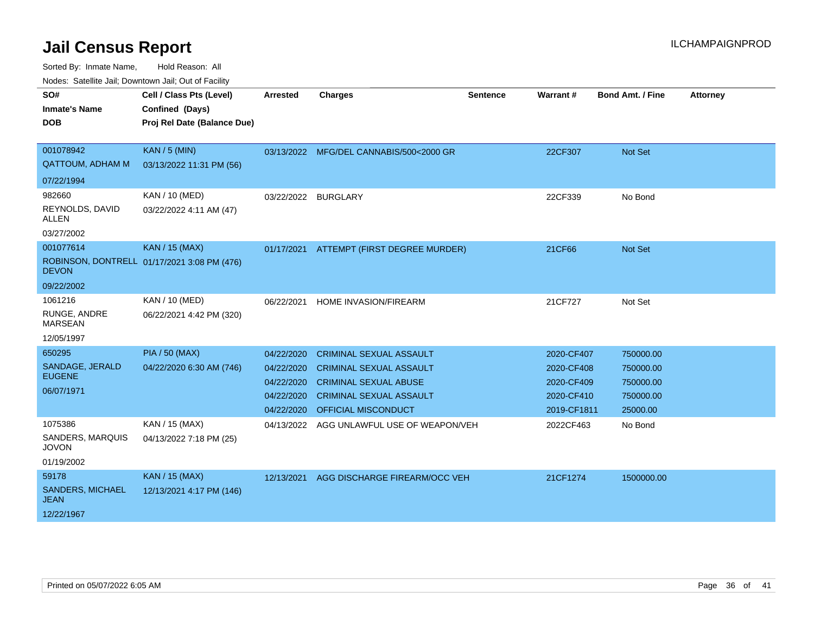| SO#<br><b>Inmate's Name</b><br><b>DOB</b>                     | Cell / Class Pts (Level)<br>Confined (Days)<br>Proj Rel Date (Balance Due) | <b>Arrested</b>                                                    | <b>Charges</b>                                                                                                                                            | <b>Sentence</b> | Warrant#                                                            | <b>Bond Amt. / Fine</b>                                      | <b>Attorney</b> |
|---------------------------------------------------------------|----------------------------------------------------------------------------|--------------------------------------------------------------------|-----------------------------------------------------------------------------------------------------------------------------------------------------------|-----------------|---------------------------------------------------------------------|--------------------------------------------------------------|-----------------|
| 001078942<br><b>QATTOUM, ADHAM M</b><br>07/22/1994            | <b>KAN / 5 (MIN)</b><br>03/13/2022 11:31 PM (56)                           |                                                                    | 03/13/2022 MFG/DEL CANNABIS/500<2000 GR                                                                                                                   |                 | 22CF307                                                             | Not Set                                                      |                 |
| 982660<br>REYNOLDS, DAVID<br>ALLEN<br>03/27/2002              | KAN / 10 (MED)<br>03/22/2022 4:11 AM (47)                                  | 03/22/2022 BURGLARY                                                |                                                                                                                                                           |                 | 22CF339                                                             | No Bond                                                      |                 |
| 001077614<br><b>DEVON</b><br>09/22/2002                       | <b>KAN / 15 (MAX)</b><br>ROBINSON, DONTRELL 01/17/2021 3:08 PM (476)       | 01/17/2021                                                         | ATTEMPT (FIRST DEGREE MURDER)                                                                                                                             |                 | 21CF66                                                              | Not Set                                                      |                 |
| 1061216<br>RUNGE, ANDRE<br><b>MARSEAN</b><br>12/05/1997       | <b>KAN / 10 (MED)</b><br>06/22/2021 4:42 PM (320)                          | 06/22/2021                                                         | HOME INVASION/FIREARM                                                                                                                                     |                 | 21CF727                                                             | Not Set                                                      |                 |
| 650295<br>SANDAGE, JERALD<br><b>EUGENE</b><br>06/07/1971      | <b>PIA / 50 (MAX)</b><br>04/22/2020 6:30 AM (746)                          | 04/22/2020<br>04/22/2020<br>04/22/2020<br>04/22/2020<br>04/22/2020 | <b>CRIMINAL SEXUAL ASSAULT</b><br><b>CRIMINAL SEXUAL ASSAULT</b><br><b>CRIMINAL SEXUAL ABUSE</b><br><b>CRIMINAL SEXUAL ASSAULT</b><br>OFFICIAL MISCONDUCT |                 | 2020-CF407<br>2020-CF408<br>2020-CF409<br>2020-CF410<br>2019-CF1811 | 750000.00<br>750000.00<br>750000.00<br>750000.00<br>25000.00 |                 |
| 1075386<br>SANDERS, MARQUIS<br><b>JOVON</b><br>01/19/2002     | KAN / 15 (MAX)<br>04/13/2022 7:18 PM (25)                                  | 04/13/2022                                                         | AGG UNLAWFUL USE OF WEAPON/VEH                                                                                                                            |                 | 2022CF463                                                           | No Bond                                                      |                 |
| 59178<br><b>SANDERS, MICHAEL</b><br><b>JEAN</b><br>12/22/1967 | KAN / 15 (MAX)<br>12/13/2021 4:17 PM (146)                                 | 12/13/2021                                                         | AGG DISCHARGE FIREARM/OCC VEH                                                                                                                             |                 | 21CF1274                                                            | 1500000.00                                                   |                 |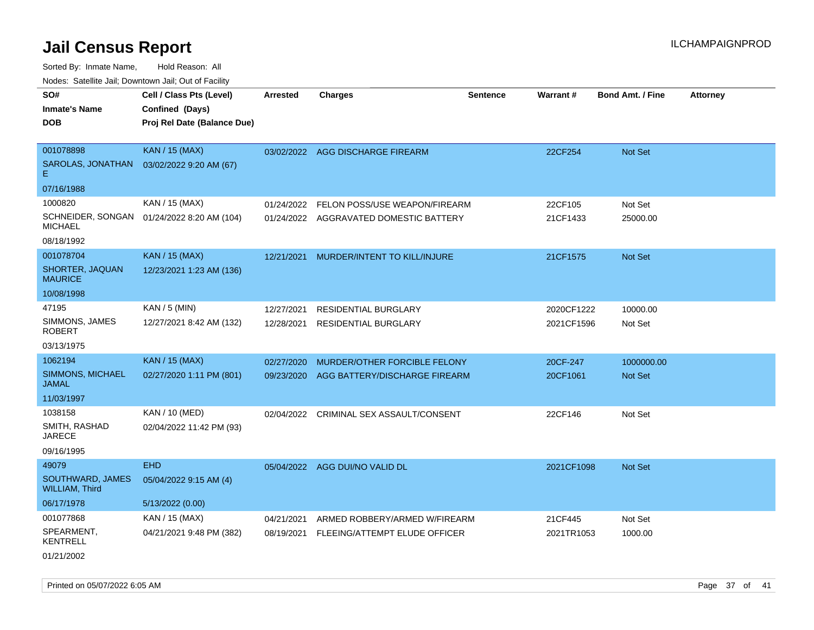| roaco. Catolino cali, Domntonn cali, Out of Facility |                                             |                 |                                         |                 |            |                         |                 |
|------------------------------------------------------|---------------------------------------------|-----------------|-----------------------------------------|-----------------|------------|-------------------------|-----------------|
| SO#                                                  | Cell / Class Pts (Level)                    | <b>Arrested</b> | Charges                                 | <b>Sentence</b> | Warrant#   | <b>Bond Amt. / Fine</b> | <b>Attorney</b> |
| <b>Inmate's Name</b>                                 | Confined (Days)                             |                 |                                         |                 |            |                         |                 |
| <b>DOB</b>                                           | Proj Rel Date (Balance Due)                 |                 |                                         |                 |            |                         |                 |
|                                                      |                                             |                 |                                         |                 |            |                         |                 |
| 001078898                                            | <b>KAN / 15 (MAX)</b>                       |                 | 03/02/2022 AGG DISCHARGE FIREARM        |                 | 22CF254    | Not Set                 |                 |
| SAROLAS, JONATHAN<br>E.                              | 03/02/2022 9:20 AM (67)                     |                 |                                         |                 |            |                         |                 |
| 07/16/1988                                           |                                             |                 |                                         |                 |            |                         |                 |
| 1000820                                              | KAN / 15 (MAX)                              | 01/24/2022      | FELON POSS/USE WEAPON/FIREARM           |                 | 22CF105    | Not Set                 |                 |
| <b>MICHAEL</b>                                       | SCHNEIDER, SONGAN  01/24/2022 8:20 AM (104) |                 | 01/24/2022 AGGRAVATED DOMESTIC BATTERY  |                 | 21CF1433   | 25000.00                |                 |
| 08/18/1992                                           |                                             |                 |                                         |                 |            |                         |                 |
| 001078704                                            | <b>KAN / 15 (MAX)</b>                       |                 | 12/21/2021 MURDER/INTENT TO KILL/INJURE |                 | 21CF1575   | Not Set                 |                 |
| SHORTER, JAQUAN<br><b>MAURICE</b>                    | 12/23/2021 1:23 AM (136)                    |                 |                                         |                 |            |                         |                 |
| 10/08/1998                                           |                                             |                 |                                         |                 |            |                         |                 |
| 47195                                                | $KAN / 5$ (MIN)                             | 12/27/2021      | RESIDENTIAL BURGLARY                    |                 | 2020CF1222 | 10000.00                |                 |
| SIMMONS, JAMES<br><b>ROBERT</b>                      | 12/27/2021 8:42 AM (132)                    | 12/28/2021      | <b>RESIDENTIAL BURGLARY</b>             |                 | 2021CF1596 | Not Set                 |                 |
| 03/13/1975                                           |                                             |                 |                                         |                 |            |                         |                 |
| 1062194                                              | <b>KAN / 15 (MAX)</b>                       | 02/27/2020      | MURDER/OTHER FORCIBLE FELONY            |                 | 20CF-247   | 1000000.00              |                 |
| SIMMONS, MICHAEL<br><b>JAMAL</b>                     | 02/27/2020 1:11 PM (801)                    | 09/23/2020      | AGG BATTERY/DISCHARGE FIREARM           |                 | 20CF1061   | Not Set                 |                 |
| 11/03/1997                                           |                                             |                 |                                         |                 |            |                         |                 |
| 1038158                                              | KAN / 10 (MED)                              |                 | 02/04/2022 CRIMINAL SEX ASSAULT/CONSENT |                 | 22CF146    | Not Set                 |                 |
| SMITH, RASHAD<br><b>JARECE</b>                       | 02/04/2022 11:42 PM (93)                    |                 |                                         |                 |            |                         |                 |
| 09/16/1995                                           |                                             |                 |                                         |                 |            |                         |                 |
| 49079                                                | <b>EHD</b>                                  |                 | 05/04/2022 AGG DUI/NO VALID DL          |                 | 2021CF1098 | <b>Not Set</b>          |                 |
| SOUTHWARD, JAMES<br><b>WILLIAM, Third</b>            | 05/04/2022 9:15 AM (4)                      |                 |                                         |                 |            |                         |                 |
| 06/17/1978                                           | 5/13/2022 (0.00)                            |                 |                                         |                 |            |                         |                 |
| 001077868                                            | KAN / 15 (MAX)                              | 04/21/2021      | ARMED ROBBERY/ARMED W/FIREARM           |                 | 21CF445    | Not Set                 |                 |
| SPEARMENT.<br><b>KENTRELL</b>                        | 04/21/2021 9:48 PM (382)                    | 08/19/2021      | FLEEING/ATTEMPT ELUDE OFFICER           |                 | 2021TR1053 | 1000.00                 |                 |
| 01/21/2002                                           |                                             |                 |                                         |                 |            |                         |                 |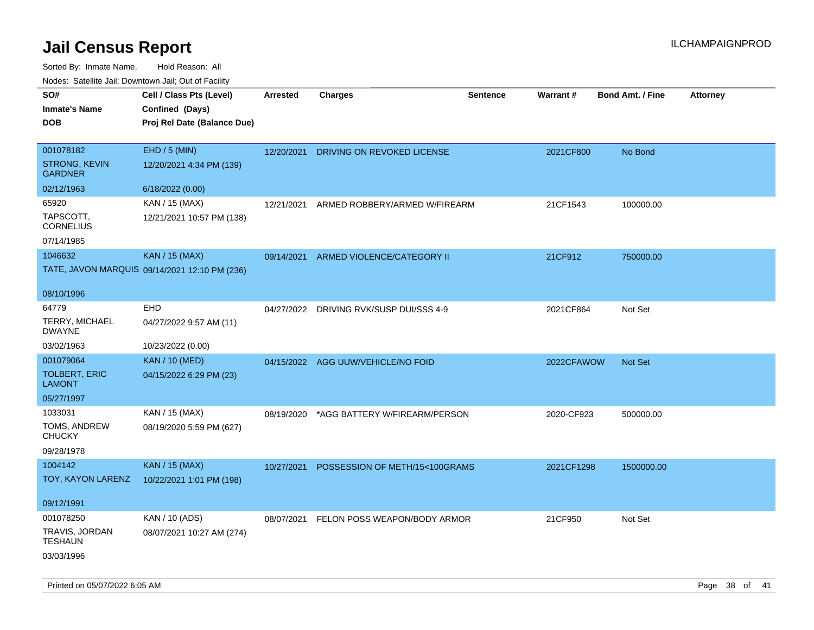| roaco. Catolino dall, Downtown dall, Out of Fability |                                               |                 |                                         |                 |            |                         |                 |
|------------------------------------------------------|-----------------------------------------------|-----------------|-----------------------------------------|-----------------|------------|-------------------------|-----------------|
| SO#                                                  | Cell / Class Pts (Level)                      | <b>Arrested</b> | <b>Charges</b>                          | <b>Sentence</b> | Warrant#   | <b>Bond Amt. / Fine</b> | <b>Attorney</b> |
| <b>Inmate's Name</b>                                 | Confined (Days)                               |                 |                                         |                 |            |                         |                 |
| <b>DOB</b>                                           | Proj Rel Date (Balance Due)                   |                 |                                         |                 |            |                         |                 |
|                                                      |                                               |                 |                                         |                 |            |                         |                 |
| 001078182                                            | $EHD / 5$ (MIN)                               | 12/20/2021      | DRIVING ON REVOKED LICENSE              |                 | 2021CF800  | No Bond                 |                 |
| <b>STRONG, KEVIN</b><br><b>GARDNER</b>               | 12/20/2021 4:34 PM (139)                      |                 |                                         |                 |            |                         |                 |
| 02/12/1963                                           | 6/18/2022 (0.00)                              |                 |                                         |                 |            |                         |                 |
| 65920                                                | KAN / 15 (MAX)                                | 12/21/2021      | ARMED ROBBERY/ARMED W/FIREARM           |                 | 21CF1543   | 100000.00               |                 |
| TAPSCOTT,<br><b>CORNELIUS</b>                        | 12/21/2021 10:57 PM (138)                     |                 |                                         |                 |            |                         |                 |
| 07/14/1985                                           |                                               |                 |                                         |                 |            |                         |                 |
| 1046632                                              | <b>KAN / 15 (MAX)</b>                         | 09/14/2021      | ARMED VIOLENCE/CATEGORY II              |                 | 21CF912    | 750000.00               |                 |
|                                                      | TATE, JAVON MARQUIS 09/14/2021 12:10 PM (236) |                 |                                         |                 |            |                         |                 |
|                                                      |                                               |                 |                                         |                 |            |                         |                 |
| 08/10/1996                                           |                                               |                 |                                         |                 |            |                         |                 |
| 64779                                                | <b>EHD</b>                                    |                 | 04/27/2022 DRIVING RVK/SUSP DUI/SSS 4-9 |                 | 2021CF864  | Not Set                 |                 |
| <b>TERRY, MICHAEL</b><br><b>DWAYNE</b>               | 04/27/2022 9:57 AM (11)                       |                 |                                         |                 |            |                         |                 |
| 03/02/1963                                           | 10/23/2022 (0.00)                             |                 |                                         |                 |            |                         |                 |
| 001079064                                            | <b>KAN / 10 (MED)</b>                         |                 | 04/15/2022 AGG UUW/VEHICLE/NO FOID      |                 | 2022CFAWOW | <b>Not Set</b>          |                 |
| <b>TOLBERT, ERIC</b><br><b>LAMONT</b>                | 04/15/2022 6:29 PM (23)                       |                 |                                         |                 |            |                         |                 |
| 05/27/1997                                           |                                               |                 |                                         |                 |            |                         |                 |
| 1033031                                              | KAN / 15 (MAX)                                | 08/19/2020      | *AGG BATTERY W/FIREARM/PERSON           |                 | 2020-CF923 | 500000.00               |                 |
| TOMS, ANDREW<br><b>CHUCKY</b>                        | 08/19/2020 5:59 PM (627)                      |                 |                                         |                 |            |                         |                 |
| 09/28/1978                                           |                                               |                 |                                         |                 |            |                         |                 |
| 1004142                                              | <b>KAN / 15 (MAX)</b>                         | 10/27/2021      | POSSESSION OF METH/15<100GRAMS          |                 | 2021CF1298 | 1500000.00              |                 |
| TOY, KAYON LARENZ                                    | 10/22/2021 1:01 PM (198)                      |                 |                                         |                 |            |                         |                 |
|                                                      |                                               |                 |                                         |                 |            |                         |                 |
| 09/12/1991                                           |                                               |                 |                                         |                 |            |                         |                 |
| 001078250                                            | KAN / 10 (ADS)                                |                 | 08/07/2021 FELON POSS WEAPON/BODY ARMOR |                 | 21CF950    | Not Set                 |                 |
| TRAVIS, JORDAN<br>TESHAUN                            | 08/07/2021 10:27 AM (274)                     |                 |                                         |                 |            |                         |                 |
| 03/03/1996                                           |                                               |                 |                                         |                 |            |                         |                 |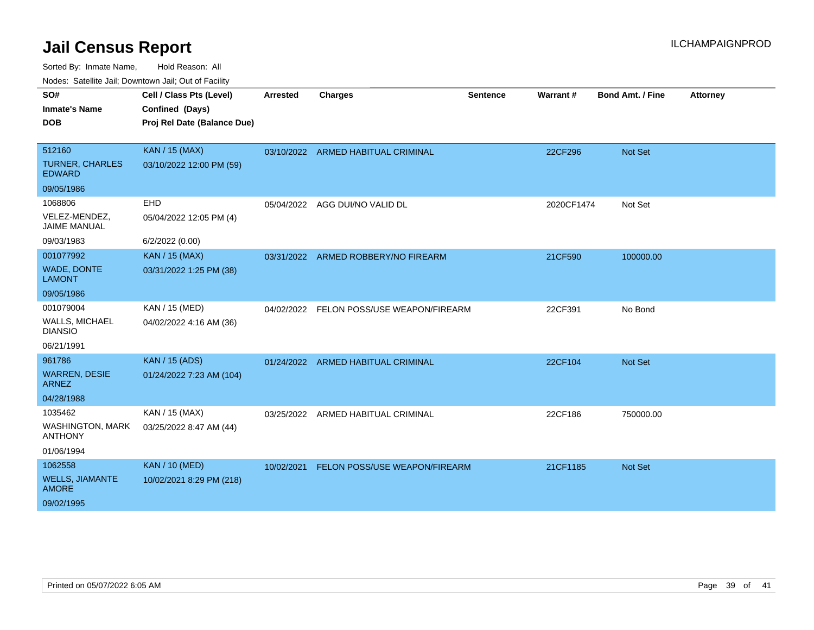| SO#                                       | Cell / Class Pts (Level)    | <b>Arrested</b> | <b>Charges</b>                           | <b>Sentence</b> | Warrant#   | <b>Bond Amt. / Fine</b> | <b>Attorney</b> |
|-------------------------------------------|-----------------------------|-----------------|------------------------------------------|-----------------|------------|-------------------------|-----------------|
| <b>Inmate's Name</b>                      | Confined (Days)             |                 |                                          |                 |            |                         |                 |
| <b>DOB</b>                                | Proj Rel Date (Balance Due) |                 |                                          |                 |            |                         |                 |
|                                           |                             |                 |                                          |                 |            |                         |                 |
| 512160                                    | <b>KAN / 15 (MAX)</b>       |                 | 03/10/2022 ARMED HABITUAL CRIMINAL       |                 | 22CF296    | <b>Not Set</b>          |                 |
| <b>TURNER, CHARLES</b><br><b>EDWARD</b>   | 03/10/2022 12:00 PM (59)    |                 |                                          |                 |            |                         |                 |
| 09/05/1986                                |                             |                 |                                          |                 |            |                         |                 |
| 1068806                                   | <b>EHD</b>                  | 05/04/2022      | AGG DUI/NO VALID DL                      |                 | 2020CF1474 | Not Set                 |                 |
| VELEZ-MENDEZ,<br>JAIME MANUAL             | 05/04/2022 12:05 PM (4)     |                 |                                          |                 |            |                         |                 |
| 09/03/1983                                | 6/2/2022 (0.00)             |                 |                                          |                 |            |                         |                 |
| 001077992                                 | <b>KAN / 15 (MAX)</b>       | 03/31/2022      | ARMED ROBBERY/NO FIREARM                 |                 | 21CF590    | 100000.00               |                 |
| <b>WADE, DONTE</b><br><b>LAMONT</b>       | 03/31/2022 1:25 PM (38)     |                 |                                          |                 |            |                         |                 |
| 09/05/1986                                |                             |                 |                                          |                 |            |                         |                 |
| 001079004                                 | KAN / 15 (MED)              |                 | 04/02/2022 FELON POSS/USE WEAPON/FIREARM |                 | 22CF391    | No Bond                 |                 |
| <b>WALLS, MICHAEL</b><br><b>DIANSIO</b>   | 04/02/2022 4:16 AM (36)     |                 |                                          |                 |            |                         |                 |
| 06/21/1991                                |                             |                 |                                          |                 |            |                         |                 |
| 961786                                    | <b>KAN / 15 (ADS)</b>       |                 | 01/24/2022 ARMED HABITUAL CRIMINAL       |                 | 22CF104    | <b>Not Set</b>          |                 |
| <b>WARREN, DESIE</b><br><b>ARNEZ</b>      | 01/24/2022 7:23 AM (104)    |                 |                                          |                 |            |                         |                 |
| 04/28/1988                                |                             |                 |                                          |                 |            |                         |                 |
| 1035462                                   | KAN / 15 (MAX)              | 03/25/2022      | ARMED HABITUAL CRIMINAL                  |                 | 22CF186    | 750000.00               |                 |
| <b>WASHINGTON, MARK</b><br><b>ANTHONY</b> | 03/25/2022 8:47 AM (44)     |                 |                                          |                 |            |                         |                 |
| 01/06/1994                                |                             |                 |                                          |                 |            |                         |                 |
| 1062558                                   | <b>KAN / 10 (MED)</b>       | 10/02/2021      | FELON POSS/USE WEAPON/FIREARM            |                 | 21CF1185   | <b>Not Set</b>          |                 |
| <b>WELLS, JIAMANTE</b><br><b>AMORE</b>    | 10/02/2021 8:29 PM (218)    |                 |                                          |                 |            |                         |                 |
| 09/02/1995                                |                             |                 |                                          |                 |            |                         |                 |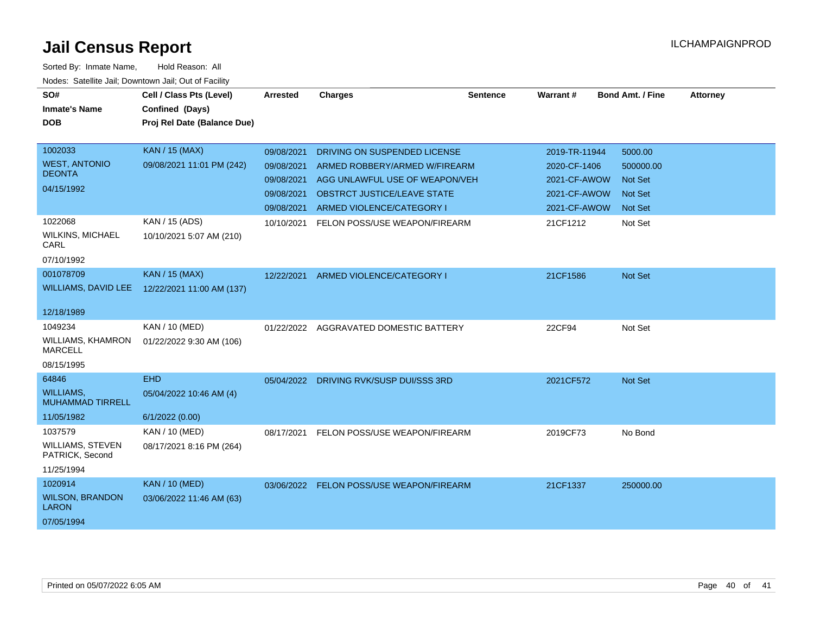| SO#<br><b>Inmate's Name</b><br><b>DOB</b>                          | Cell / Class Pts (Level)<br>Confined (Days)              | <b>Arrested</b>                                                    | <b>Charges</b>                                                                                                                                              | <b>Sentence</b> | Warrant#                                                                      | <b>Bond Amt. / Fine</b>                                             | <b>Attorney</b> |
|--------------------------------------------------------------------|----------------------------------------------------------|--------------------------------------------------------------------|-------------------------------------------------------------------------------------------------------------------------------------------------------------|-----------------|-------------------------------------------------------------------------------|---------------------------------------------------------------------|-----------------|
|                                                                    | Proj Rel Date (Balance Due)                              |                                                                    |                                                                                                                                                             |                 |                                                                               |                                                                     |                 |
| 1002033<br><b>WEST, ANTONIO</b><br><b>DEONTA</b><br>04/15/1992     | <b>KAN / 15 (MAX)</b><br>09/08/2021 11:01 PM (242)       | 09/08/2021<br>09/08/2021<br>09/08/2021<br>09/08/2021<br>09/08/2021 | DRIVING ON SUSPENDED LICENSE<br>ARMED ROBBERY/ARMED W/FIREARM<br>AGG UNLAWFUL USE OF WEAPON/VEH<br>OBSTRCT JUSTICE/LEAVE STATE<br>ARMED VIOLENCE/CATEGORY I |                 | 2019-TR-11944<br>2020-CF-1406<br>2021-CF-AWOW<br>2021-CF-AWOW<br>2021-CF-AWOW | 5000.00<br>500000.00<br>Not Set<br><b>Not Set</b><br><b>Not Set</b> |                 |
| 1022068<br><b>WILKINS, MICHAEL</b><br>CARL<br>07/10/1992           | KAN / 15 (ADS)<br>10/10/2021 5:07 AM (210)               | 10/10/2021                                                         | FELON POSS/USE WEAPON/FIREARM                                                                                                                               |                 | 21CF1212                                                                      | Not Set                                                             |                 |
| 001078709<br><b>WILLIAMS, DAVID LEE</b><br>12/18/1989              | <b>KAN / 15 (MAX)</b><br>12/22/2021 11:00 AM (137)       | 12/22/2021                                                         | ARMED VIOLENCE/CATEGORY I                                                                                                                                   |                 | 21CF1586                                                                      | Not Set                                                             |                 |
| 1049234<br>WILLIAMS, KHAMRON<br><b>MARCELL</b><br>08/15/1995       | KAN / 10 (MED)<br>01/22/2022 9:30 AM (106)               | 01/22/2022                                                         | AGGRAVATED DOMESTIC BATTERY                                                                                                                                 |                 | 22CF94                                                                        | Not Set                                                             |                 |
| 64846<br><b>WILLIAMS.</b><br><b>MUHAMMAD TIRRELL</b><br>11/05/1982 | <b>EHD</b><br>05/04/2022 10:46 AM (4)<br>6/1/2022 (0.00) |                                                                    | 05/04/2022 DRIVING RVK/SUSP DUI/SSS 3RD                                                                                                                     |                 | 2021CF572                                                                     | Not Set                                                             |                 |
| 1037579<br>WILLIAMS, STEVEN<br>PATRICK, Second<br>11/25/1994       | KAN / 10 (MED)<br>08/17/2021 8:16 PM (264)               | 08/17/2021                                                         | FELON POSS/USE WEAPON/FIREARM                                                                                                                               |                 | 2019CF73                                                                      | No Bond                                                             |                 |
| 1020914<br><b>WILSON, BRANDON</b><br><b>LARON</b><br>07/05/1994    | <b>KAN / 10 (MED)</b><br>03/06/2022 11:46 AM (63)        |                                                                    | 03/06/2022 FELON POSS/USE WEAPON/FIREARM                                                                                                                    |                 | 21CF1337                                                                      | 250000.00                                                           |                 |